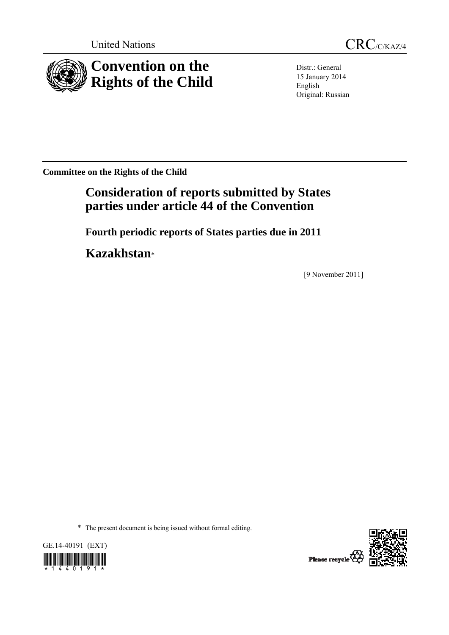



Distr.: General 15 January 2014 English Original: Russian

**Committee on the Rights of the Child** 

# **Consideration of reports submitted by States parties under article 44 of the Convention**

 **Fourth periodic reports of States parties due in 2011** 

 **Kazakhstan**\*

[9 November 2011]

\* The present document is being issued without formal editing.





Please recycle  $\overleftarrow{Q}$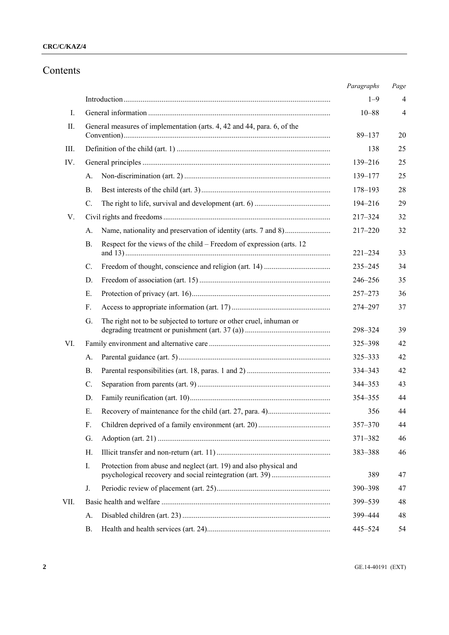## Contents

|      |                                                                                    | Paragraphs  | Page           |
|------|------------------------------------------------------------------------------------|-------------|----------------|
|      |                                                                                    | $1 - 9$     | 4              |
| I.   |                                                                                    | $10 - 88$   | $\overline{4}$ |
| II.  | General measures of implementation (arts. 4, 42 and 44, para. 6, of the            | $89 - 137$  | 20             |
| III. |                                                                                    | 138         | 25             |
| IV.  |                                                                                    | 139-216     | 25             |
|      | А.                                                                                 | 139-177     | 25             |
|      | В.                                                                                 | 178-193     | 28             |
|      | C.                                                                                 | 194-216     | 29             |
| V.   |                                                                                    | $217 - 324$ | 32             |
|      | A.                                                                                 | $217 - 220$ | 32             |
|      | Respect for the views of the child – Freedom of expression (arts. 12)<br><b>B.</b> | $221 - 234$ | 33             |
|      | $C_{\cdot}$                                                                        | 235-245     | 34             |
|      | D.                                                                                 | 246-256     | 35             |
|      | Ε.                                                                                 | $257 - 273$ | 36             |
|      | F.                                                                                 | 274-297     | 37             |
|      | The right not to be subjected to torture or other cruel, inhuman or<br>G.          | 298-324     | 39             |
| VI.  |                                                                                    | 325-398     | 42             |
|      | A.                                                                                 | 325-333     | 42             |
|      | <b>B.</b>                                                                          | 334-343     | 42             |
|      | $\mathcal{C}$ .                                                                    | 344-353     | 43             |
|      | D.                                                                                 | 354-355     | 44             |
|      | Ε.                                                                                 | 356         | 44             |
|      | F.                                                                                 | 357-370     | 44             |
|      | G.                                                                                 | 371-382     | 46             |
|      | Н.                                                                                 | 383-388     | 46             |
|      | Protection from abuse and neglect (art. 19) and also physical and<br>I.            | 389         | 47             |
|      | J.                                                                                 | 390-398     | 47             |
| VII. |                                                                                    | 399-539     | 48             |
|      | А.                                                                                 | 399 - 444   | 48             |
|      | В.                                                                                 | 445-524     | 54             |
|      |                                                                                    |             |                |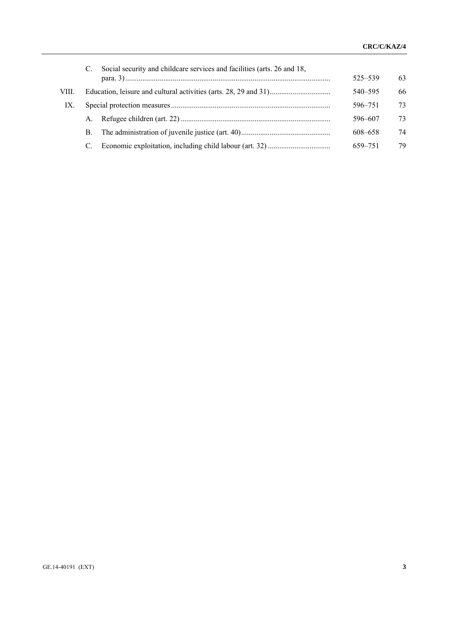|       | C. Social security and childcare services and facilities (arts. 26 and 18, | 525–539 | 63 |
|-------|----------------------------------------------------------------------------|---------|----|
| VIII. |                                                                            | 540–595 | 66 |
| IX.   |                                                                            | 596-751 | 73 |
|       | $A_{-}$                                                                    | 596-607 | 73 |
|       | В.                                                                         | 608-658 | 74 |
|       |                                                                            | 659-751 | 79 |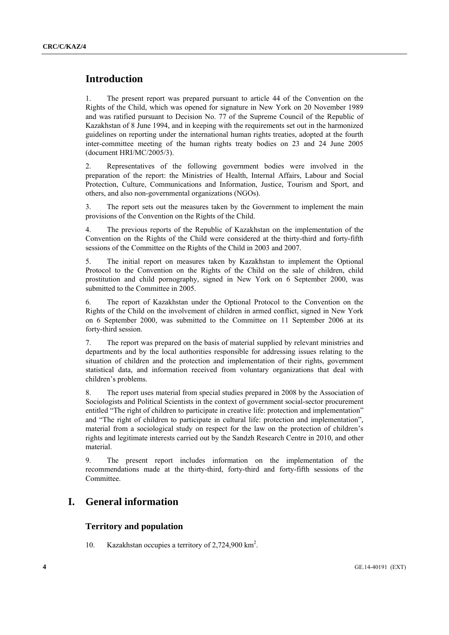## **Introduction**

1. The present report was prepared pursuant to article 44 of the Convention on the Rights of the Child, which was opened for signature in New York on 20 November 1989 and was ratified pursuant to Decision No. 77 of the Supreme Council of the Republic of Kazakhstan of 8 June 1994, and in keeping with the requirements set out in the harmonized guidelines on reporting under the international human rights treaties, adopted at the fourth inter-committee meeting of the human rights treaty bodies on 23 and 24 June 2005 (document HRI/MC/2005/3).

2. Representatives of the following government bodies were involved in the preparation of the report: the Ministries of Health, Internal Affairs, Labour and Social Protection, Culture, Communications and Information, Justice, Tourism and Sport, and others, and also non-governmental organizations (NGOs).

3. The report sets out the measures taken by the Government to implement the main provisions of the Convention on the Rights of the Child.

4. The previous reports of the Republic of Kazakhstan on the implementation of the Convention on the Rights of the Child were considered at the thirty-third and forty-fifth sessions of the Committee on the Rights of the Child in 2003 and 2007.

5. The initial report on measures taken by Kazakhstan to implement the Optional Protocol to the Convention on the Rights of the Child on the sale of children, child prostitution and child pornography, signed in New York on 6 September 2000, was submitted to the Committee in 2005.

6. The report of Kazakhstan under the Optional Protocol to the Convention on the Rights of the Child on the involvement of children in armed conflict, signed in New York on 6 September 2000, was submitted to the Committee on 11 September 2006 at its forty-third session.

7. The report was prepared on the basis of material supplied by relevant ministries and departments and by the local authorities responsible for addressing issues relating to the situation of children and the protection and implementation of their rights, government statistical data, and information received from voluntary organizations that deal with children's problems.

8. The report uses material from special studies prepared in 2008 by the Association of Sociologists and Political Scientists in the context of government social-sector procurement entitled "The right of children to participate in creative life: protection and implementation" and "The right of children to participate in cultural life: protection and implementation", material from a sociological study on respect for the law on the protection of children's rights and legitimate interests carried out by the Sandzh Research Centre in 2010, and other material.

9. The present report includes information on the implementation of the recommendations made at the thirty-third, forty-third and forty-fifth sessions of the Committee.

## **I. General information**

### **Territory and population**

10. Kazakhstan occupies a territory of 2,724,900 km<sup>2</sup>.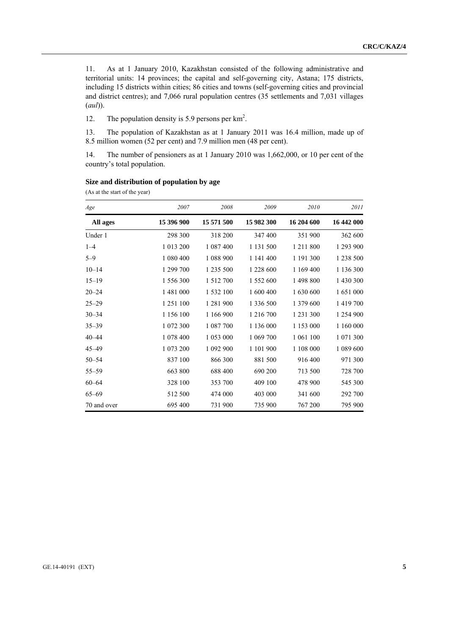11. As at 1 January 2010, Kazakhstan consisted of the following administrative and territorial units: 14 provinces; the capital and self-governing city, Astana; 175 districts, including 15 districts within cities; 86 cities and towns (self-governing cities and provincial and district centres); and 7,066 rural population centres (35 settlements and 7,031 villages (*aul*)).

12. The population density is 5.9 persons per km<sup>2</sup>.

13. The population of Kazakhstan as at 1 January 2011 was 16.4 million, made up of 8.5 million women (52 per cent) and 7.9 million men (48 per cent).

14. The number of pensioners as at 1 January 2010 was 1,662,000, or 10 per cent of the country's total population.

| Age         | 2007       | 2008          | 2009       | 2010       | 2011       |
|-------------|------------|---------------|------------|------------|------------|
| All ages    | 15 396 900 | 15 571 500    | 15 982 300 | 16 204 600 | 16 442 000 |
| Under 1     | 298 300    | 318 200       | 347 400    | 351 900    | 362 600    |
| $1 - 4$     | 1 013 200  | 1 087 400     | 1 131 500  | 1 211 800  | 1 293 900  |
| $5 - 9$     | 1 080 400  | 1 088 900     | 1 141 400  | 1 191 300  | 1 238 500  |
| $10 - 14$   | 1 299 700  | 1 235 500     | 1 228 600  | 1 169 400  | 1 136 300  |
| $15 - 19$   | 1 556 300  | 1 5 1 2 7 0 0 | 1 552 600  | 1 498 800  | 1 430 300  |
| $20 - 24$   | 1 481 000  | 1 532 100     | 1 600 400  | 1 630 600  | 1 651 000  |
| $25 - 29$   | 1 251 100  | 1 281 900     | 1 336 500  | 1 379 600  | 1 419 700  |
| $30 - 34$   | 1 156 100  | 1 166 900     | 1 216 700  | 1 231 300  | 1 254 900  |
| $35 - 39$   | 1 072 300  | 1 087 700     | 1 136 000  | 1 153 000  | 1 160 000  |
| $40 - 44$   | 1 078 400  | 1 053 000     | 1 069 700  | 1 061 100  | 1 071 300  |
| $45 - 49$   | 1 073 200  | 1 092 900     | 1 101 900  | 1 108 000  | 1 089 600  |
| $50 - 54$   | 837 100    | 866 300       | 881 500    | 916 400    | 971 300    |
| $55 - 59$   | 663 800    | 688 400       | 690 200    | 713 500    | 728 700    |
| $60 - 64$   | 328 100    | 353 700       | 409 100    | 478 900    | 545 300    |
| $65 - 69$   | 512 500    | 474 000       | 403 000    | 341 600    | 292 700    |
| 70 and over | 695 400    | 731 900       | 735 900    | 767 200    | 795 900    |

#### **Size and distribution of population by age**

(As at the start of the year)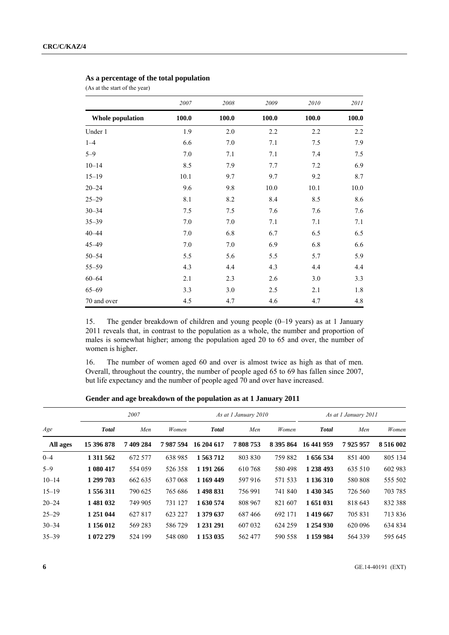#### **As a percentage of the total population**

(As at the start of the year)

|                         | 2007    | 2008    | 2009  | 2010  | 2011  |
|-------------------------|---------|---------|-------|-------|-------|
| <b>Whole population</b> | 100.0   | 100.0   | 100.0 | 100.0 | 100.0 |
| Under 1                 | 1.9     | 2.0     | 2.2   | 2.2   | 2.2   |
| $1 - 4$                 | 6.6     | 7.0     | 7.1   | 7.5   | 7.9   |
| $5 - 9$                 | 7.0     | 7.1     | 7.1   | 7.4   | 7.5   |
| $10 - 14$               | 8.5     | 7.9     | 7.7   | 7.2   | 6.9   |
| $15 - 19$               | 10.1    | 9.7     | 9.7   | 9.2   | 8.7   |
| $20 - 24$               | 9.6     | 9.8     | 10.0  | 10.1  | 10.0  |
| $25 - 29$               | 8.1     | 8.2     | 8.4   | 8.5   | 8.6   |
| $30 - 34$               | $7.5$   | 7.5     | 7.6   | 7.6   | 7.6   |
| $35 - 39$               | $7.0\,$ | $7.0\,$ | 7.1   | 7.1   | 7.1   |
| $40 - 44$               | 7.0     | 6.8     | 6.7   | 6.5   | 6.5   |
| $45 - 49$               | $7.0\,$ | $7.0\,$ | 6.9   | 6.8   | 6.6   |
| $50 - 54$               | 5.5     | 5.6     | 5.5   | 5.7   | 5.9   |
| $55 - 59$               | 4.3     | 4.4     | 4.3   | 4.4   | 4.4   |
| $60 - 64$               | 2.1     | 2.3     | 2.6   | 3.0   | 3.3   |
| $65 - 69$               | 3.3     | 3.0     | 2.5   | 2.1   | 1.8   |
| 70 and over             | 4.5     | 4.7     | 4.6   | 4.7   | 4.8   |

15. The gender breakdown of children and young people (0–19 years) as at 1 January 2011 reveals that, in contrast to the population as a whole, the number and proportion of males is somewhat higher; among the population aged 20 to 65 and over, the number of women is higher.

16. The number of women aged 60 and over is almost twice as high as that of men. Overall, throughout the country, the number of people aged 65 to 69 has fallen since 2007, but life expectancy and the number of people aged 70 and over have increased.

|           | 2007         |           |         |              | As at 1 January 2010 |           | As at 1 January 2011 |         |               |
|-----------|--------------|-----------|---------|--------------|----------------------|-----------|----------------------|---------|---------------|
| Age       | <b>Total</b> | Men       | Women   | <b>Total</b> | Men                  | Women     | <b>Total</b>         | Men     | Women         |
| All ages  | 15 396 878   | 7 409 284 | 7987594 | 16 204 617   | 7808753              | 8 395 864 | 16 441 959           | 7925957 | 8 5 1 6 0 0 2 |
| $0 - 4$   | 1 3 1 5 6 2  | 672 577   | 638 985 | 1 563 712    | 803 830              | 759 882   | 1 656 534            | 851400  | 805 134       |
| $5 - 9$   | 1 080 417    | 554 059   | 526 358 | 1 191 266    | 610 768              | 580498    | 1 238 493            | 635 510 | 602 983       |
| $10 - 14$ | 1 299 703    | 662 635   | 637 068 | 1 169 449    | 597 916              | 571 533   | 1 136 310            | 580 808 | 555 502       |
| $15 - 19$ | 1 556 311    | 790 625   | 765 686 | 1498831      | 756 991              | 741 840   | 1 430 345            | 726 560 | 703 785       |
| $20 - 24$ | 1481032      | 749 905   | 731 127 | 1 630 574    | 808 967              | 821 607   | 1 651 031            | 818 643 | 832 388       |
| $25 - 29$ | 1 251 044    | 627817    | 623 227 | 1 379 637    | 687466               | 692 171   | 1419667              | 705 831 | 713 836       |
| $30 - 34$ | 1 156 012    | 569 283   | 586 729 | 1 231 291    | 607 032              | 624 259   | 1 254 930            | 620 096 | 634 834       |
| $35 - 39$ | 1 072 279    | 524 199   | 548 080 | 1 1 53 0 35  | 562 477              | 590 558   | 1 159 984            | 564 339 | 595 645       |

 **Gender and age breakdown of the population as at 1 January 2011**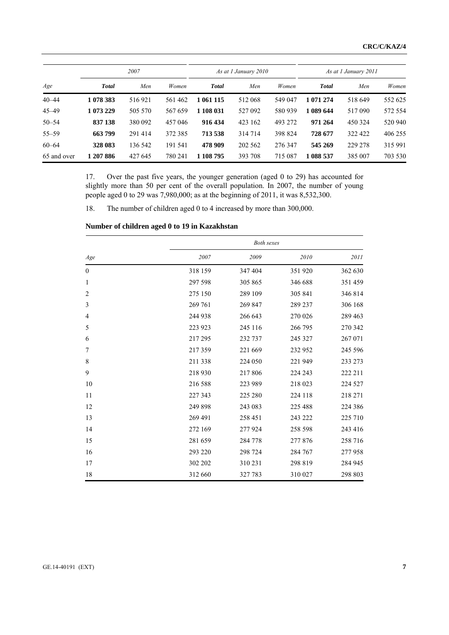|             | 2007         |         |         |              | As at 1 January 2010 |         | As at 1 January 2011 |         |         |
|-------------|--------------|---------|---------|--------------|----------------------|---------|----------------------|---------|---------|
| Age         | <b>Total</b> | Men     | Women   | <b>Total</b> | Men                  | Women   | <b>Total</b>         | Men     | Women   |
| $40 - 44$   | 1 078 383    | 516921  | 561 462 | 1 061 115    | 512 068              | 549 047 | 1 071 274            | 518 649 | 552 625 |
| $45 - 49$   | 1 073 229    | 505 570 | 567 659 | 1 108 031    | 527 092              | 580 939 | 089 644              | 517090  | 572 554 |
| $50 - 54$   | 837 138      | 380 092 | 457 046 | 916 434      | 423 162              | 493 272 | 971 264              | 450 324 | 520 940 |
| $55 - 59$   | 663799       | 291 414 | 372 385 | 713 538      | 314 714              | 398 824 | 728 677              | 322 422 | 406 255 |
| $60 - 64$   | 328 083      | 136 542 | 191 541 | 478 909      | 202 562              | 276 347 | 545 269              | 229 278 | 315 991 |
| 65 and over | 1 207 886    | 427 645 | 780 241 | 1 108 795    | 393 708              | 715 087 | 1 088 537            | 385 007 | 703 530 |

17. Over the past five years, the younger generation (aged 0 to 29) has accounted for slightly more than 50 per cent of the overall population. In 2007, the number of young people aged 0 to 29 was 7,980,000; as at the beginning of 2011, it was 8,532,300.

18. The number of children aged 0 to 4 increased by more than 300,000.

|                |         | <b>Both sexes</b> |         |         |
|----------------|---------|-------------------|---------|---------|
| Age            | 2007    | 2009              | 2010    | 2011    |
| $\theta$       | 318 159 | 347 404           | 351 920 | 362 630 |
| $\mathbf{1}$   | 297 598 | 305 865           | 346 688 | 351 459 |
| $\overline{2}$ | 275 150 | 289 109           | 305 841 | 346 814 |
| 3              | 269 761 | 269 847           | 289 237 | 306 168 |
| 4              | 244 938 | 266 643           | 270 026 | 289 463 |
| 5              | 223 923 | 245 116           | 266 795 | 270 342 |
| 6              | 217 295 | 232 737           | 245 327 | 267 071 |
| 7              | 217359  | 221 669           | 232 952 | 245 596 |
| 8              | 211 338 | 224 050           | 221 949 | 233 273 |
| 9              | 218 930 | 217806            | 224 243 | 222 211 |
| 10             | 216 588 | 223 989           | 218 023 | 224 527 |
| 11             | 227 343 | 225 280           | 224 118 | 218 271 |
| 12             | 249 898 | 243 083           | 225 488 | 224 386 |
| 13             | 269 491 | 258 451           | 243 222 | 225 710 |
| 14             | 272 169 | 277 924           | 258 598 | 243 416 |
| 15             | 281 659 | 284 778           | 277 876 | 258 716 |
| 16             | 293 220 | 298 724           | 284 767 | 277958  |
| 17             | 302 202 | 310 231           | 298 819 | 284 945 |
| 18             | 312 660 | 327 783           | 310 027 | 298 803 |

### **Number of children aged 0 to 19 in Kazakhstan**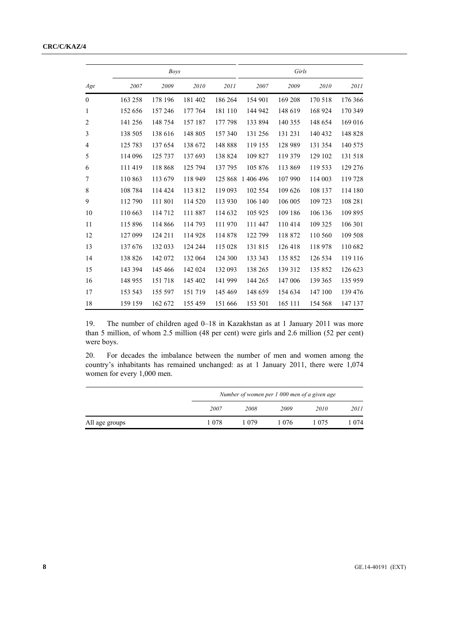### **CRC/C/KAZ/4**

|                |         | <b>Boys</b> |         |         | Girls     |         |         |         |
|----------------|---------|-------------|---------|---------|-----------|---------|---------|---------|
| Age            | 2007    | 2009        | 2010    | 2011    | 2007      | 2009    | 2010    | 2011    |
| $\theta$       | 163 258 | 178 196     | 181 402 | 186 264 | 154 901   | 169 208 | 170 518 | 176 366 |
| 1              | 152 656 | 157 246     | 177 764 | 181 110 | 144 942   | 148 619 | 168 924 | 170 349 |
| $\overline{2}$ | 141 256 | 148 754     | 157 187 | 177 798 | 133 894   | 140 355 | 148 654 | 169 016 |
| 3              | 138 505 | 138 616     | 148 805 | 157 340 | 131 256   | 131 231 | 140 432 | 148 828 |
| $\overline{4}$ | 125 783 | 137 654     | 138 672 | 148 888 | 119 155   | 128 989 | 131 354 | 140 575 |
| 5              | 114 096 | 125 737     | 137 693 | 138 824 | 109 827   | 119 379 | 129 102 | 131 518 |
| 6              | 111 419 | 118 868     | 125 794 | 137 795 | 105 876   | 113 869 | 119 533 | 129 276 |
| 7              | 110 863 | 113 679     | 118 949 | 125 868 | 1 406 496 | 107 990 | 114 003 | 119 728 |
| 8              | 108 784 | 114 424     | 113 812 | 119 093 | 102 554   | 109 626 | 108 137 | 114 180 |
| 9              | 112 790 | 111 801     | 114 520 | 113 930 | 106 140   | 106 005 | 109 723 | 108 281 |
| 10             | 110 663 | 114712      | 111 887 | 114 632 | 105 925   | 109 186 | 106 136 | 109 895 |
| 11             | 115 896 | 114 866     | 114 793 | 111970  | 111 447   | 110 414 | 109 325 | 106 301 |
| 12             | 127 099 | 124 211     | 114 928 | 114 878 | 122 799   | 118 872 | 110 560 | 109 508 |
| 13             | 137 676 | 132 033     | 124 244 | 115 028 | 131815    | 126 418 | 118 978 | 110 682 |
| 14             | 138 826 | 142 072     | 132 064 | 124 300 | 133 343   | 135 852 | 126 534 | 119 116 |
| 15             | 143 394 | 145 466     | 142 024 | 132 093 | 138 265   | 139 312 | 135 852 | 126 623 |
| 16             | 148 955 | 151 718     | 145 402 | 141 999 | 144 265   | 147 006 | 139 365 | 135 959 |
| 17             | 153 543 | 155 597     | 151 719 | 145 469 | 148 659   | 154 634 | 147 100 | 139 476 |
| 18             | 159 159 | 162 672     | 155 459 | 151 666 | 153 501   | 165 111 | 154 568 | 147 137 |

19. The number of children aged 0–18 in Kazakhstan as at 1 January 2011 was more than 5 million, of whom 2.5 million (48 per cent) were girls and 2.6 million (52 per cent) were boys.

20. For decades the imbalance between the number of men and women among the country's inhabitants has remained unchanged: as at 1 January 2011, there were 1,074 women for every 1,000 men.

|                | Number of women per 1 000 men of a given age |      |       |             |      |  |  |
|----------------|----------------------------------------------|------|-------|-------------|------|--|--|
|                | 2007                                         | 2008 | 2009  | <i>2010</i> | 2011 |  |  |
| All age groups | 1 078                                        | 1079 | 1 076 | 075         | 074  |  |  |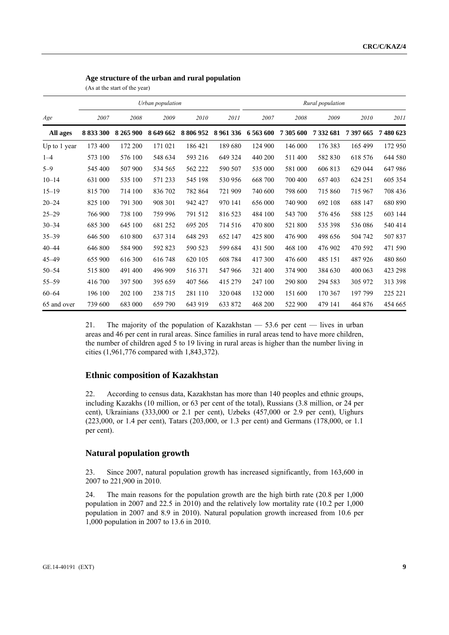| Age structure of the urban and rural population |  |
|-------------------------------------------------|--|
|                                                 |  |

(As at the start of the year)

|              |           |           | Urban population |           |             | Rural population |           |           |         |         |
|--------------|-----------|-----------|------------------|-----------|-------------|------------------|-----------|-----------|---------|---------|
| Age          | 2007      | 2008      | 2009             | 2010      | 2011        | 2007             | 2008      | 2009      | 2010    | 2011    |
| All ages     | 8 833 300 | 8 265 900 | 8 649 662        | 8 806 952 | 8 9 61 3 36 | 6 563 600        | 7 305 600 | 7 332 681 | 7397665 | 7480623 |
| Up to 1 year | 173 400   | 172 200   | 171 021          | 186 421   | 189 680     | 124 900          | 146 000   | 176 383   | 165 499 | 172 950 |
| $1 - 4$      | 573 100   | 576 100   | 548 634          | 593 216   | 649 324     | 440 200          | 511 400   | 582 830   | 618 576 | 644 580 |
| $5 - 9$      | 545 400   | 507 900   | 534 565          | 562 222   | 590 507     | 535 000          | 581 000   | 606 813   | 629 044 | 647986  |
| $10 - 14$    | 631 000   | 535 100   | 571 233          | 545 198   | 530 956     | 668 700          | 700 400   | 657 403   | 624 251 | 605 354 |
| $15 - 19$    | 815 700   | 714 100   | 836 702          | 782 864   | 721 909     | 740 600          | 798 600   | 715 860   | 715 967 | 708 436 |
| $20 - 24$    | 825 100   | 791 300   | 908 301          | 942 427   | 970 141     | 656 000          | 740 900   | 692 108   | 688 147 | 680 890 |
| $25 - 29$    | 766 900   | 738 100   | 759 996          | 791 512   | 816 523     | 484 100          | 543 700   | 576456    | 588 125 | 603 144 |
| $30 - 34$    | 685 300   | 645 100   | 681 252          | 695 205   | 714 516     | 470 800          | 521 800   | 535 398   | 536 086 | 540 414 |
| $35 - 39$    | 646 500   | 610 800   | 637314           | 648 293   | 652 147     | 425 800          | 476 900   | 498 656   | 504 742 | 507837  |
| $40 - 44$    | 646 800   | 584 900   | 592 823          | 590 523   | 599 684     | 431 500          | 468 100   | 476 902   | 470 592 | 471 590 |
| $45 - 49$    | 655 900   | 616 300   | 616 748          | 620 105   | 608 784     | 417 300          | 476 600   | 485 151   | 487926  | 480 860 |
| $50 - 54$    | 515 800   | 491 400   | 496 909          | 516 371   | 547 966     | 321 400          | 374 900   | 384 630   | 400 063 | 423 298 |
| $55 - 59$    | 416 700   | 397 500   | 395 659          | 407 566   | 415 279     | 247 100          | 290 800   | 294 583   | 305 972 | 313 398 |
| $60 - 64$    | 196 100   | 202 100   | 238 715          | 281 110   | 320 048     | 132 000          | 151 600   | 170 367   | 197 799 | 225 221 |
| 65 and over  | 739 600   | 683 000   | 659 790          | 643 919   | 633 872     | 468 200          | 522 900   | 479 141   | 464 876 | 454 665 |

21. The majority of the population of Kazakhstan — 53.6 per cent — lives in urban areas and 46 per cent in rural areas. Since families in rural areas tend to have more children, the number of children aged 5 to 19 living in rural areas is higher than the number living in cities (1,961,776 compared with 1,843,372).

#### **Ethnic composition of Kazakhstan**

22. According to census data, Kazakhstan has more than 140 peoples and ethnic groups, including Kazakhs (10 million, or 63 per cent of the total), Russians (3.8 million, or 24 per cent), Ukrainians (333,000 or 2.1 per cent), Uzbeks (457,000 or 2.9 per cent), Uighurs (223,000, or 1.4 per cent), Tatars (203,000, or 1.3 per cent) and Germans (178,000, or 1.1 per cent).

#### **Natural population growth**

23. Since 2007, natural population growth has increased significantly, from 163,600 in 2007 to 221,900 in 2010.

24. The main reasons for the population growth are the high birth rate (20.8 per 1,000 population in 2007 and 22.5 in 2010) and the relatively low mortality rate (10.2 per 1,000 population in 2007 and 8.9 in 2010). Natural population growth increased from 10.6 per 1,000 population in 2007 to 13.6 in 2010.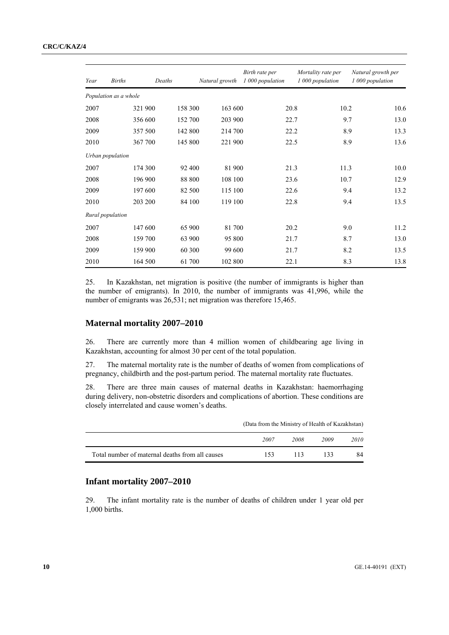| Year | <b>Births</b>         |         | Deaths  | Natural growth | Birth rate per<br>1 000 population | Mortality rate per<br>1 000 population | Natural growth per<br>1 000 population |
|------|-----------------------|---------|---------|----------------|------------------------------------|----------------------------------------|----------------------------------------|
|      | Population as a whole |         |         |                |                                    |                                        |                                        |
| 2007 |                       | 321 900 | 158 300 | 163 600        | 20.8                               | 10.2                                   | 10.6                                   |
| 2008 |                       | 356 600 | 152 700 | 203 900        | 22.7                               | 9.7                                    | 13.0                                   |
| 2009 |                       | 357 500 | 142 800 | 214 700        | 22.2                               | 8.9                                    | 13.3                                   |
| 2010 |                       | 367 700 | 145 800 | 221 900        | 22.5                               | 8.9                                    | 13.6                                   |
|      | Urban population      |         |         |                |                                    |                                        |                                        |
| 2007 |                       | 174 300 | 92 400  | 81 900         | 21.3                               | 11.3                                   | 10.0                                   |
| 2008 |                       | 196 900 | 88 800  | 108 100        | 23.6                               | 10.7                                   | 12.9                                   |
| 2009 |                       | 197 600 | 82 500  | 115 100        | 22.6                               | 9.4                                    | 13.2                                   |
| 2010 |                       | 203 200 | 84 100  | 119 100        | 22.8                               | 9.4                                    | 13.5                                   |
|      | Rural population      |         |         |                |                                    |                                        |                                        |
| 2007 |                       | 147 600 | 65 900  | 81 700         | 20.2                               | 9.0                                    | 11.2                                   |
| 2008 |                       | 159 700 | 63 900  | 95 800         | 21.7                               | 8.7                                    | 13.0                                   |
| 2009 |                       | 159 900 | 60 300  | 99 600         | 21.7                               | 8.2                                    | 13.5                                   |
| 2010 |                       | 164 500 | 61 700  | 102 800        | 22.1                               | 8.3                                    | 13.8                                   |

25. In Kazakhstan, net migration is positive (the number of immigrants is higher than the number of emigrants). In 2010, the number of immigrants was 41,996, while the number of emigrants was 26,531; net migration was therefore 15,465.

### **Maternal mortality 2007–2010**

26. There are currently more than 4 million women of childbearing age living in Kazakhstan, accounting for almost 30 per cent of the total population.

27. The maternal mortality rate is the number of deaths of women from complications of pregnancy, childbirth and the post-partum period. The maternal mortality rate fluctuates.

28. There are three main causes of maternal deaths in Kazakhstan: haemorrhaging during delivery, non-obstetric disorders and complications of abortion. These conditions are closely interrelated and cause women's deaths.

|                                                 | (Data from the Ministry of Health of Kazakhstan) |      |      |             |  |  |  |
|-------------------------------------------------|--------------------------------------------------|------|------|-------------|--|--|--|
|                                                 | 2007                                             | 2008 | 2009 | <i>2010</i> |  |  |  |
| Total number of maternal deaths from all causes | 153                                              | 113  | 133  | 84          |  |  |  |

## **Infant mortality 2007–2010**

29. The infant mortality rate is the number of deaths of children under 1 year old per 1,000 births.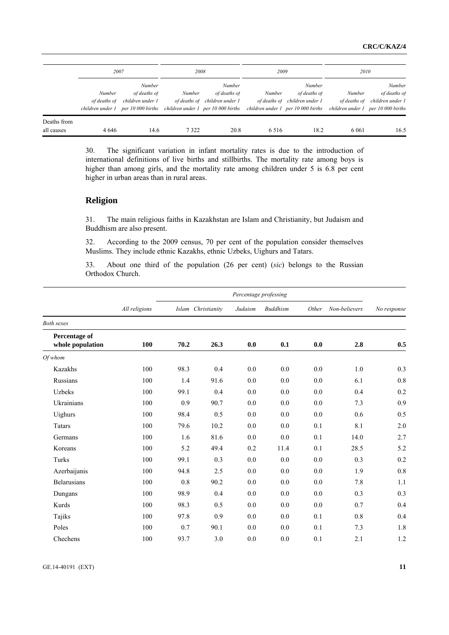|                           | 2007                          |                                                                                                                         | 2008          |                                                                | 2009    |                                                                                               | 2010                   |                                                                                    |
|---------------------------|-------------------------------|-------------------------------------------------------------------------------------------------------------------------|---------------|----------------------------------------------------------------|---------|-----------------------------------------------------------------------------------------------|------------------------|------------------------------------------------------------------------------------|
|                           | <b>Number</b><br>of deaths of | Number<br>of deaths of<br>children under 1<br>children under $1$ per 10 000 births children under $1$ per 10 000 births | <b>Number</b> | <b>Number</b><br>of deaths of<br>of deaths of children under 1 | Number  | Number<br>of deaths of<br>of deaths of children under 1<br>children under 1 per 10 000 births | Number<br>of deaths of | Number<br>of deaths of<br>children under 1<br>children under $1$ per 10 000 births |
| Deaths from<br>all causes | 4 6 4 6                       | 14.6                                                                                                                    | 7322          | 20.8                                                           | 6 5 1 6 | 18.2                                                                                          | 6 0 6 1                | 16.5                                                                               |

30. The significant variation in infant mortality rates is due to the introduction of international definitions of live births and stillbirths. The mortality rate among boys is higher than among girls, and the mortality rate among children under 5 is 6.8 per cent higher in urban areas than in rural areas.

#### **Religion**

31. The main religious faiths in Kazakhstan are Islam and Christianity, but Judaism and Buddhism are also present.

32. According to the 2009 census, 70 per cent of the population consider themselves Muslims. They include ethnic Kazakhs, ethnic Uzbeks, Uighurs and Tatars.

33. About one third of the population (26 per cent) (*sic*) belongs to the Russian Orthodox Church.

|                                   | Percentage professing |      |                    |         |                 |       |               |             |
|-----------------------------------|-----------------------|------|--------------------|---------|-----------------|-------|---------------|-------------|
|                                   | All religions         |      | Islam Christianity | Judaism | <b>Buddhism</b> | Other | Non-believers | No response |
| <b>Both sexes</b>                 |                       |      |                    |         |                 |       |               |             |
| Percentage of<br>whole population | 100                   | 70.2 | 26.3               | 0.0     | 0.1             | 0.0   | 2.8           | 0.5         |
| <i>Of whom</i>                    |                       |      |                    |         |                 |       |               |             |
| <b>Kazakhs</b>                    | 100                   | 98.3 | 0.4                | 0.0     | 0.0             | 0.0   | 1.0           | 0.3         |
| Russians                          | 100                   | 1.4  | 91.6               | 0.0     | 0.0             | 0.0   | 6.1           | 0.8         |
| <b>Uzbeks</b>                     | 100                   | 99.1 | 0.4                | 0.0     | 0.0             | 0.0   | 0.4           | 0.2         |
| Ukrainians                        | 100                   | 0.9  | 90.7               | 0.0     | 0.0             | 0.0   | 7.3           | 0.9         |
| Uighurs                           | 100                   | 98.4 | 0.5                | 0.0     | 0.0             | 0.0   | 0.6           | 0.5         |
| Tatars                            | 100                   | 79.6 | 10.2               | 0.0     | 0.0             | 0.1   | 8.1           | 2.0         |
| Germans                           | 100                   | 1.6  | 81.6               | 0.0     | 0.0             | 0.1   | 14.0          | 2.7         |
| Koreans                           | 100                   | 5.2  | 49.4               | 0.2     | 11.4            | 0.1   | 28.5          | 5.2         |
| Turks                             | 100                   | 99.1 | 0.3                | 0.0     | 0.0             | 0.0   | 0.3           | 0.2         |
| Azerbaijanis                      | 100                   | 94.8 | 2.5                | 0.0     | 0.0             | 0.0   | 1.9           | 0.8         |
| <b>Belarusians</b>                | 100                   | 0.8  | 90.2               | 0.0     | 0.0             | 0.0   | 7.8           | 1.1         |
| Dungans                           | 100                   | 98.9 | 0.4                | 0.0     | 0.0             | 0.0   | 0.3           | 0.3         |
| Kurds                             | 100                   | 98.3 | 0.5                | 0.0     | 0.0             | 0.0   | 0.7           | 0.4         |
| Tajiks                            | 100                   | 97.8 | 0.9                | 0.0     | 0.0             | 0.1   | 0.8           | 0.4         |
| Poles                             | 100                   | 0.7  | 90.1               | 0.0     | 0.0             | 0.1   | 7.3           | 1.8         |
| Chechens                          | 100                   | 93.7 | 3.0                | 0.0     | 0.0             | 0.1   | 2.1           | 1.2         |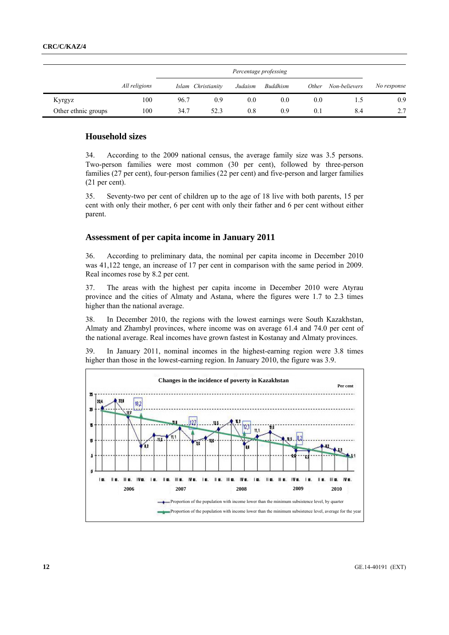|                     |               |      | Percentage professing |         |                 |              |               |             |  |
|---------------------|---------------|------|-----------------------|---------|-----------------|--------------|---------------|-------------|--|
|                     | All religions |      | Islam Christianity    | Judaism | <b>Buddhism</b> | <i>Other</i> | Non-believers | No response |  |
| Kyrgyz              | 100           | 96.7 | 0.9                   | 0.0     | 0.0             | 0.0          |               | 0.9         |  |
| Other ethnic groups | 100           | 34.7 | 52.3                  | 0.8     | 0.9             | 0.1          | 8.4           | 2.7         |  |

#### **Household sizes**

34. According to the 2009 national census, the average family size was 3.5 persons. Two-person families were most common (30 per cent), followed by three-person families (27 per cent), four-person families (22 per cent) and five-person and larger families (21 per cent).

35. Seventy-two per cent of children up to the age of 18 live with both parents, 15 per cent with only their mother, 6 per cent with only their father and 6 per cent without either parent.

#### **Assessment of per capita income in January 2011**

36. According to preliminary data, the nominal per capita income in December 2010 was 41,122 tenge, an increase of 17 per cent in comparison with the same period in 2009. Real incomes rose by 8.2 per cent.

37. The areas with the highest per capita income in December 2010 were Atyrau province and the cities of Almaty and Astana, where the figures were 1.7 to 2.3 times higher than the national average.

38. In December 2010, the regions with the lowest earnings were South Kazakhstan, Almaty and Zhambyl provinces, where income was on average 61.4 and 74.0 per cent of the national average. Real incomes have grown fastest in Kostanay and Almaty provinces.

39. In January 2011, nominal incomes in the highest-earning region were 3.8 times higher than those in the lowest-earning region. In January 2010, the figure was 3.9.

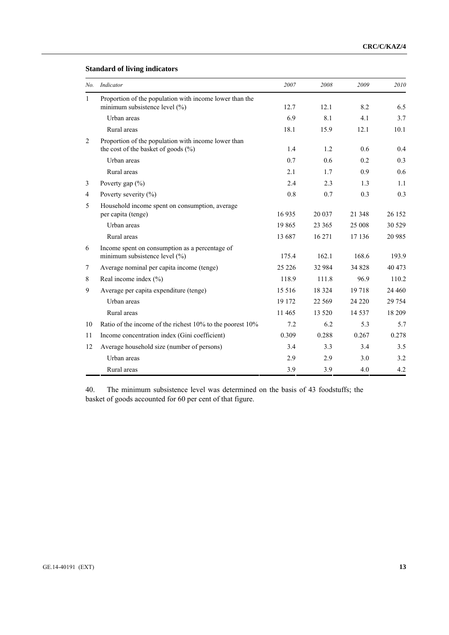## **Standard of living indicators**

| No.            | Indicator                                                                                  | 2007    | 2008     | 2009    | 2010     |
|----------------|--------------------------------------------------------------------------------------------|---------|----------|---------|----------|
| $\mathbf{1}$   | Proportion of the population with income lower than the                                    |         |          |         |          |
|                | minimum subsistence level (%)                                                              | 12.7    | 12.1     | 8.2     | 6.5      |
|                | Urban areas                                                                                | 6.9     | 8.1      | 4.1     | 3.7      |
|                | Rural areas                                                                                | 18.1    | 15.9     | 12.1    | 10.1     |
| $\overline{2}$ | Proportion of the population with income lower than<br>the cost of the basket of goods (%) | 1.4     | 1.2      | 0.6     | 0.4      |
|                | Urban areas                                                                                | 0.7     | 0.6      | 0.2     | 0.3      |
|                | Rural areas                                                                                | 2.1     | 1.7      | 0.9     | 0.6      |
| 3              | Poverty gap $(\% )$                                                                        | 2.4     | 2.3      | 1.3     | 1.1      |
| $\overline{4}$ | Poverty severity $(\% )$                                                                   | 0.8     | 0.7      | 0.3     | 0.3      |
| 5              | Household income spent on consumption, average                                             |         |          |         |          |
|                | per capita (tenge)                                                                         | 16935   | 20 037   | 21 348  | 26 152   |
|                | Urban areas                                                                                | 19865   | 23 365   | 25 008  | 30 5 29  |
|                | Rural areas                                                                                | 13 687  | 16 271   | 17 13 6 | 20 985   |
| 6              | Income spent on consumption as a percentage of                                             |         |          |         |          |
|                | minimum subsistence level (%)                                                              | 175.4   | 162.1    | 168.6   | 193.9    |
| 7              | Average nominal per capita income (tenge)                                                  | 25 2 26 | 32 984   | 34 828  | 40 473   |
| 8              | Real income index $(\% )$                                                                  | 118.9   | 111.8    | 96.9    | 110.2    |
| 9              | Average per capita expenditure (tenge)                                                     | 15 5 16 | 18 3 24  | 19718   | 24 4 6 0 |
|                | Urban areas                                                                                | 19 172  | 22 5 6 9 | 24 2 20 | 29 754   |
|                | Rural areas                                                                                | 11 4 65 | 13 5 20  | 14 5 37 | 18 209   |
| 10             | Ratio of the income of the richest 10% to the poorest 10%                                  | 7.2     | 6.2      | 5.3     | 5.7      |
| 11             | Income concentration index (Gini coefficient)                                              | 0.309   | 0.288    | 0.267   | 0.278    |
| 12             | Average household size (number of persons)                                                 | 3.4     | 3.3      | 3.4     | 3.5      |
|                | Urban areas                                                                                | 2.9     | 2.9      | 3.0     | 3.2      |
|                | Rural areas                                                                                | 3.9     | 3.9      | 4.0     | 4.2      |

40. The minimum subsistence level was determined on the basis of 43 foodstuffs; the basket of goods accounted for 60 per cent of that figure.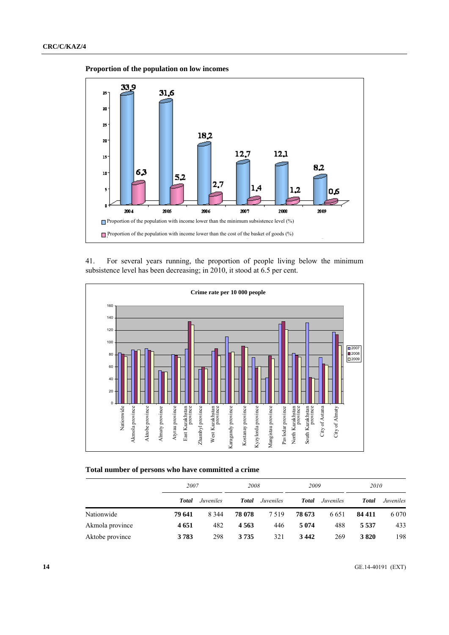**Proportion of the population on low incomes** 



41. For several years running, the proportion of people living below the minimum subsistence level has been decreasing; in 2010, it stood at 6.5 per cent.



#### **Total number of persons who have committed a crime**

|                 |         | 2007      |        | 2008      |              | 2009      |              | 2010      |  |
|-----------------|---------|-----------|--------|-----------|--------------|-----------|--------------|-----------|--|
|                 | Total   | Juveniles | Total  | Juveniles | <b>Total</b> | Juveniles | <b>Total</b> | Juveniles |  |
| Nationwide      | 79 641  | 8 3 4 4   | 78 078 | 7 5 1 9   | 78 673       | 6 6 5 1   | 84 411       | 6 0 7 0   |  |
| Akmola province | 4 6 5 1 | 482       | 4563   | 446       | 5 0 7 4      | 488       | 5 5 3 7      | 433       |  |
| Aktobe province | 3783    | 298       | 3735   | 321       | 3442         | 269       | 3820         | 198       |  |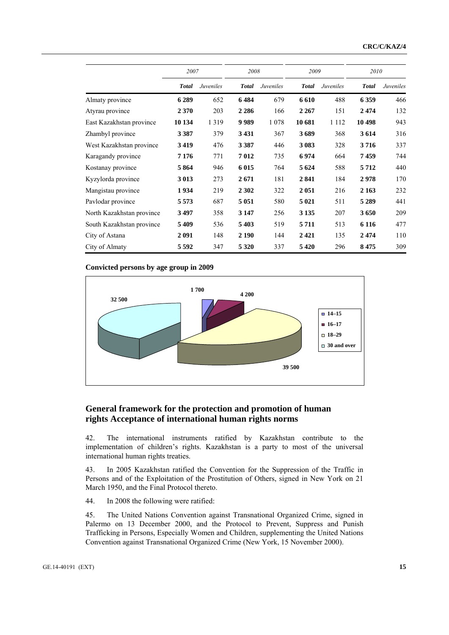|                           | 2007         |           | 2008         |           | 2009         |           | 2010         |           |
|---------------------------|--------------|-----------|--------------|-----------|--------------|-----------|--------------|-----------|
|                           | <b>Total</b> | Juveniles | <b>Total</b> | Juveniles | <b>Total</b> | Juveniles | <b>Total</b> | Juveniles |
| Almaty province           | 6289         | 652       | 6484         | 679       | 6610         | 488       | 6 3 5 9      | 466       |
| Atyrau province           | 2 3 7 0      | 203       | 2 2 8 6      | 166       | 2 2 6 7      | 151       | 2474         | 132       |
| East Kazakhstan province  | 10 134       | 1 3 1 9   | 9989         | 1 0 7 8   | 10 681       | 1 1 1 2   | 10 498       | 943       |
| Zhambyl province          | 3 3 8 7      | 379       | 3431         | 367       | 3689         | 368       | 3614         | 316       |
| West Kazakhstan province  | 3419         | 476       | 3 3 8 7      | 446       | 3 0 8 3      | 328       | 3716         | 337       |
| Karagandy province        | 7 1 7 6      | 771       | 7012         | 735       | 6974         | 664       | 7459         | 744       |
| Kostanay province         | 5864         | 946       | 6 0 15       | 764       | 5 6 24       | 588       | 5712         | 440       |
| Kyzylorda province        | 3 0 1 3      | 273       | 2671         | 181       | 2841         | 184       | 2978         | 170       |
| Mangistau province        | 1934         | 219       | 2 3 0 2      | 322       | 2051         | 216       | 2 1 6 3      | 232       |
| Pavlodar province         | 5 5 7 3      | 687       | 5 0 5 1      | 580       | 5 0 21       | 511       | 5 2 8 9      | 441       |
| North Kazakhstan province | 3497         | 358       | 3 1 4 7      | 256       | 3 1 3 5      | 207       | 3650         | 209       |
| South Kazakhstan province | 5409         | 536       | 5 4 0 3      | 519       | 5711         | 513       | 6 1 1 6      | 477       |
| City of Astana            | 2091         | 148       | 2 1 9 0      | 144       | 2421         | 135       | 2474         | 110       |
| City of Almaty            | 5 5 9 2      | 347       | 5 3 2 0      | 337       | 5420         | 296       | 8475         | 309       |

#### **Convicted persons by age group in 2009**



## **General framework for the protection and promotion of human rights Acceptance of international human rights norms**

42. The international instruments ratified by Kazakhstan contribute to the implementation of children's rights. Kazakhstan is a party to most of the universal international human rights treaties.

43. In 2005 Kazakhstan ratified the Convention for the Suppression of the Traffic in Persons and of the Exploitation of the Prostitution of Others, signed in New York on 21 March 1950, and the Final Protocol thereto.

44. In 2008 the following were ratified:

45. The United Nations Convention against Transnational Organized Crime, signed in Palermo on 13 December 2000, and the Protocol to Prevent, Suppress and Punish Trafficking in Persons, Especially Women and Children, supplementing the United Nations Convention against Transnational Organized Crime (New York, 15 November 2000).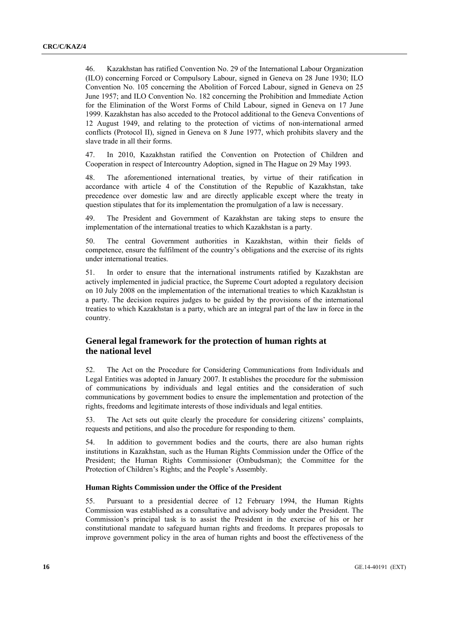46. Kazakhstan has ratified Convention No. 29 of the International Labour Organization (ILO) concerning Forced or Compulsory Labour, signed in Geneva on 28 June 1930; ILO Convention No. 105 concerning the Abolition of Forced Labour, signed in Geneva on 25 June 1957; and ILO Convention No. 182 concerning the Prohibition and Immediate Action for the Elimination of the Worst Forms of Child Labour, signed in Geneva on 17 June 1999. Kazakhstan has also acceded to the Protocol additional to the Geneva Conventions of 12 August 1949, and relating to the protection of victims of non-international armed conflicts (Protocol II), signed in Geneva on 8 June 1977, which prohibits slavery and the slave trade in all their forms.

47. In 2010, Kazakhstan ratified the Convention on Protection of Children and Cooperation in respect of Intercountry Adoption, signed in The Hague on 29 May 1993.

48. The aforementioned international treaties, by virtue of their ratification in accordance with article 4 of the Constitution of the Republic of Kazakhstan, take precedence over domestic law and are directly applicable except where the treaty in question stipulates that for its implementation the promulgation of a law is necessary.

49. The President and Government of Kazakhstan are taking steps to ensure the implementation of the international treaties to which Kazakhstan is a party.

50. The central Government authorities in Kazakhstan, within their fields of competence, ensure the fulfilment of the country's obligations and the exercise of its rights under international treaties.

51. In order to ensure that the international instruments ratified by Kazakhstan are actively implemented in judicial practice, the Supreme Court adopted a regulatory decision on 10 July 2008 on the implementation of the international treaties to which Kazakhstan is a party. The decision requires judges to be guided by the provisions of the international treaties to which Kazakhstan is a party, which are an integral part of the law in force in the country.

## **General legal framework for the protection of human rights at the national level**

52. The Act on the Procedure for Considering Communications from Individuals and Legal Entities was adopted in January 2007. It establishes the procedure for the submission of communications by individuals and legal entities and the consideration of such communications by government bodies to ensure the implementation and protection of the rights, freedoms and legitimate interests of those individuals and legal entities.

53. The Act sets out quite clearly the procedure for considering citizens' complaints, requests and petitions, and also the procedure for responding to them.

54. In addition to government bodies and the courts, there are also human rights institutions in Kazakhstan, such as the Human Rights Commission under the Office of the President; the Human Rights Commissioner (Ombudsman); the Committee for the Protection of Children's Rights; and the People's Assembly.

#### **Human Rights Commission under the Office of the President**

55. Pursuant to a presidential decree of 12 February 1994, the Human Rights Commission was established as a consultative and advisory body under the President. The Commission's principal task is to assist the President in the exercise of his or her constitutional mandate to safeguard human rights and freedoms. It prepares proposals to improve government policy in the area of human rights and boost the effectiveness of the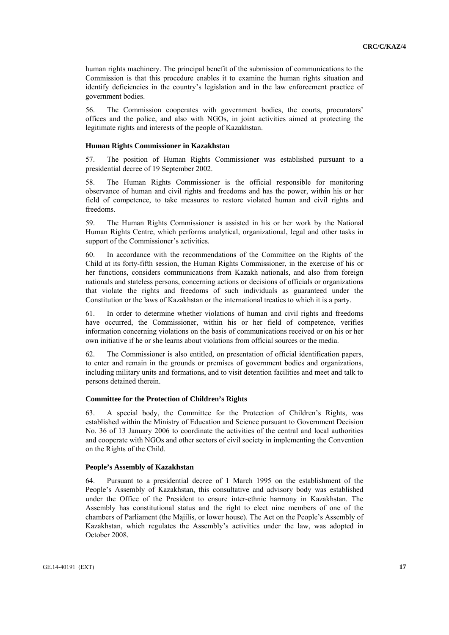human rights machinery. The principal benefit of the submission of communications to the Commission is that this procedure enables it to examine the human rights situation and identify deficiencies in the country's legislation and in the law enforcement practice of government bodies.

56. The Commission cooperates with government bodies, the courts, procurators' offices and the police, and also with NGOs, in joint activities aimed at protecting the legitimate rights and interests of the people of Kazakhstan.

#### **Human Rights Commissioner in Kazakhstan**

57. The position of Human Rights Commissioner was established pursuant to a presidential decree of 19 September 2002.

58. The Human Rights Commissioner is the official responsible for monitoring observance of human and civil rights and freedoms and has the power, within his or her field of competence, to take measures to restore violated human and civil rights and freedoms.

59. The Human Rights Commissioner is assisted in his or her work by the National Human Rights Centre, which performs analytical, organizational, legal and other tasks in support of the Commissioner's activities.

60. In accordance with the recommendations of the Committee on the Rights of the Child at its forty-fifth session, the Human Rights Commissioner, in the exercise of his or her functions, considers communications from Kazakh nationals, and also from foreign nationals and stateless persons, concerning actions or decisions of officials or organizations that violate the rights and freedoms of such individuals as guaranteed under the Constitution or the laws of Kazakhstan or the international treaties to which it is a party.

61. In order to determine whether violations of human and civil rights and freedoms have occurred, the Commissioner, within his or her field of competence, verifies information concerning violations on the basis of communications received or on his or her own initiative if he or she learns about violations from official sources or the media.

62. The Commissioner is also entitled, on presentation of official identification papers, to enter and remain in the grounds or premises of government bodies and organizations, including military units and formations, and to visit detention facilities and meet and talk to persons detained therein.

#### **Committee for the Protection of Children's Rights**

63. A special body, the Committee for the Protection of Children's Rights, was established within the Ministry of Education and Science pursuant to Government Decision No. 36 of 13 January 2006 to coordinate the activities of the central and local authorities and cooperate with NGOs and other sectors of civil society in implementing the Convention on the Rights of the Child.

#### **People's Assembly of Kazakhstan**

64. Pursuant to a presidential decree of 1 March 1995 on the establishment of the People's Assembly of Kazakhstan, this consultative and advisory body was established under the Office of the President to ensure inter-ethnic harmony in Kazakhstan. The Assembly has constitutional status and the right to elect nine members of one of the chambers of Parliament (the Majilis, or lower house). The Act on the People's Assembly of Kazakhstan, which regulates the Assembly's activities under the law, was adopted in October 2008.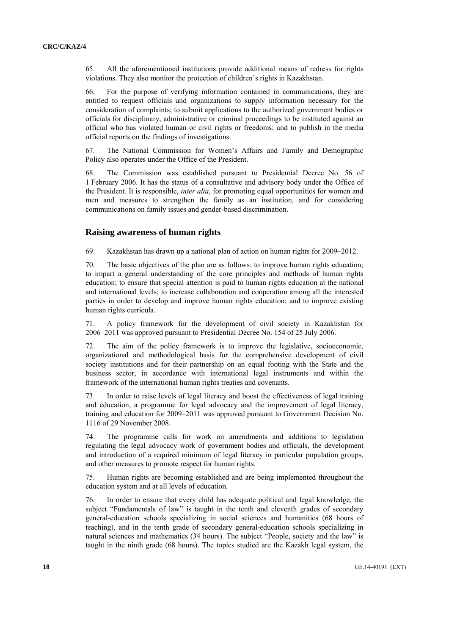65. All the aforementioned institutions provide additional means of redress for rights violations. They also monitor the protection of children's rights in Kazakhstan.

66. For the purpose of verifying information contained in communications, they are entitled to request officials and organizations to supply information necessary for the consideration of complaints; to submit applications to the authorized government bodies or officials for disciplinary, administrative or criminal proceedings to be instituted against an official who has violated human or civil rights or freedoms; and to publish in the media official reports on the findings of investigations.

67. The National Commission for Women's Affairs and Family and Demographic Policy also operates under the Office of the President.

68. The Commission was established pursuant to Presidential Decree No. 56 of 1 February 2006. It has the status of a consultative and advisory body under the Office of the President. It is responsible, *inter alia*, for promoting equal opportunities for women and men and measures to strengthen the family as an institution, and for considering communications on family issues and gender-based discrimination.

#### **Raising awareness of human rights**

69. Kazakhstan has drawn up a national plan of action on human rights for 2009–2012.

70. The basic objectives of the plan are as follows: to improve human rights education; to impart a general understanding of the core principles and methods of human rights education; to ensure that special attention is paid to human rights education at the national and international levels; to increase collaboration and cooperation among all the interested parties in order to develop and improve human rights education; and to improve existing human rights curricula.

71. A policy framework for the development of civil society in Kazakhstan for 2006–2011 was approved pursuant to Presidential Decree No. 154 of 25 July 2006.

72. The aim of the policy framework is to improve the legislative, socioeconomic, organizational and methodological basis for the comprehensive development of civil society institutions and for their partnership on an equal footing with the State and the business sector, in accordance with international legal instruments and within the framework of the international human rights treaties and covenants.

73. In order to raise levels of legal literacy and boost the effectiveness of legal training and education, a programme for legal advocacy and the improvement of legal literacy, training and education for 2009–2011 was approved pursuant to Government Decision No. 1116 of 29 November 2008.

74. The programme calls for work on amendments and additions to legislation regulating the legal advocacy work of government bodies and officials, the development and introduction of a required minimum of legal literacy in particular population groups, and other measures to promote respect for human rights.

75. Human rights are becoming established and are being implemented throughout the education system and at all levels of education.

76. In order to ensure that every child has adequate political and legal knowledge, the subject "Fundamentals of law" is taught in the tenth and eleventh grades of secondary general-education schools specializing in social sciences and humanities (68 hours of teaching), and in the tenth grade of secondary general-education schools specializing in natural sciences and mathematics (34 hours). The subject "People, society and the law" is taught in the ninth grade (68 hours). The topics studied are the Kazakh legal system, the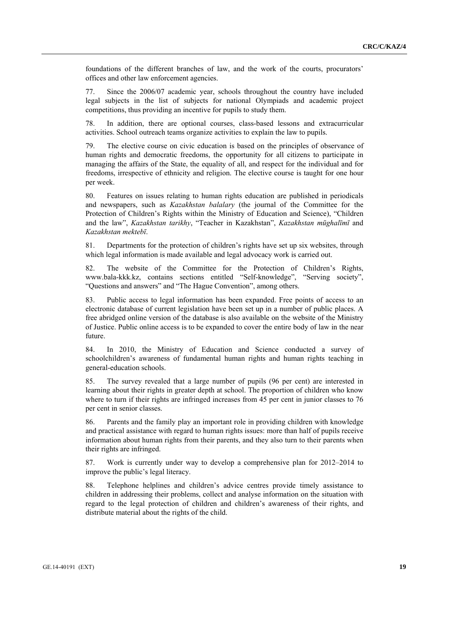foundations of the different branches of law, and the work of the courts, procurators' offices and other law enforcement agencies.

77. Since the 2006/07 academic year, schools throughout the country have included legal subjects in the list of subjects for national Olympiads and academic project competitions, thus providing an incentive for pupils to study them.

78. In addition, there are optional courses, class-based lessons and extracurricular activities. School outreach teams organize activities to explain the law to pupils.

79. The elective course on civic education is based on the principles of observance of human rights and democratic freedoms, the opportunity for all citizens to participate in managing the affairs of the State, the equality of all, and respect for the individual and for freedoms, irrespective of ethnicity and religion. The elective course is taught for one hour per week.

80. Features on issues relating to human rights education are published in periodicals and newspapers, such as *Kazakhstan balalary* (the journal of the Committee for the Protection of Children's Rights within the Ministry of Education and Science), "Children and the law", *Kazakhstan tarikhy*, "Teacher in Kazakhstan", *Kazakhstan mūghalīmī* and *Kazakhstan mektebī*.

81. Departments for the protection of children's rights have set up six websites, through which legal information is made available and legal advocacy work is carried out.

82. The website of the Committee for the Protection of Children's Rights, www.bala-kkk.kz, contains sections entitled "Self-knowledge", "Serving society", "Questions and answers" and "The Hague Convention", among others.

83. Public access to legal information has been expanded. Free points of access to an electronic database of current legislation have been set up in a number of public places. A free abridged online version of the database is also available on the website of the Ministry of Justice. Public online access is to be expanded to cover the entire body of law in the near future.

84. In 2010, the Ministry of Education and Science conducted a survey of schoolchildren's awareness of fundamental human rights and human rights teaching in general-education schools.

85. The survey revealed that a large number of pupils (96 per cent) are interested in learning about their rights in greater depth at school. The proportion of children who know where to turn if their rights are infringed increases from 45 per cent in junior classes to 76 per cent in senior classes.

86. Parents and the family play an important role in providing children with knowledge and practical assistance with regard to human rights issues: more than half of pupils receive information about human rights from their parents, and they also turn to their parents when their rights are infringed.

87. Work is currently under way to develop a comprehensive plan for 2012–2014 to improve the public's legal literacy.

88. Telephone helplines and children's advice centres provide timely assistance to children in addressing their problems, collect and analyse information on the situation with regard to the legal protection of children and children's awareness of their rights, and distribute material about the rights of the child.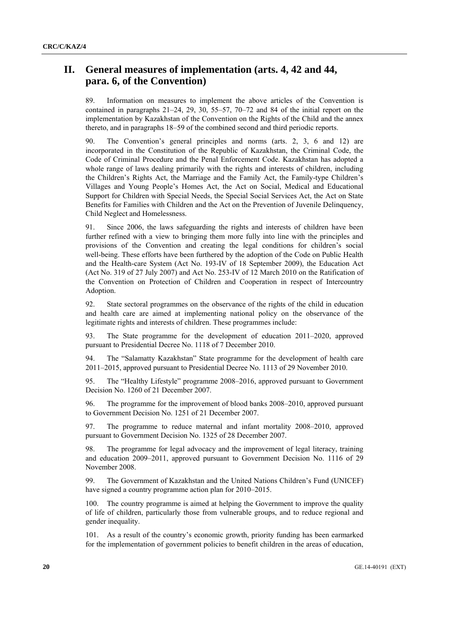## **II. General measures of implementation (arts. 4, 42 and 44, para. 6, of the Convention)**

89. Information on measures to implement the above articles of the Convention is contained in paragraphs 21–24, 29, 30, 55–57, 70–72 and 84 of the initial report on the implementation by Kazakhstan of the Convention on the Rights of the Child and the annex thereto, and in paragraphs 18–59 of the combined second and third periodic reports.

90. The Convention's general principles and norms (arts. 2, 3, 6 and 12) are incorporated in the Constitution of the Republic of Kazakhstan, the Criminal Code, the Code of Criminal Procedure and the Penal Enforcement Code. Kazakhstan has adopted a whole range of laws dealing primarily with the rights and interests of children, including the Children's Rights Act, the Marriage and the Family Act, the Family-type Children's Villages and Young People's Homes Act, the Act on Social, Medical and Educational Support for Children with Special Needs, the Special Social Services Act, the Act on State Benefits for Families with Children and the Act on the Prevention of Juvenile Delinquency, Child Neglect and Homelessness.

91. Since 2006, the laws safeguarding the rights and interests of children have been further refined with a view to bringing them more fully into line with the principles and provisions of the Convention and creating the legal conditions for children's social well-being. These efforts have been furthered by the adoption of the Code on Public Health and the Health-care System (Act No. 193-IV of 18 September 2009), the Education Act (Act No. 319 of 27 July 2007) and Act No. 253-IV of 12 March 2010 on the Ratification of the Convention on Protection of Children and Cooperation in respect of Intercountry Adoption.

92. State sectoral programmes on the observance of the rights of the child in education and health care are aimed at implementing national policy on the observance of the legitimate rights and interests of children. These programmes include:

93. The State programme for the development of education 2011–2020, approved pursuant to Presidential Decree No. 1118 of 7 December 2010.

94. The "Salamatty Kazakhstan" State programme for the development of health care 2011–2015, approved pursuant to Presidential Decree No. 1113 of 29 November 2010.

95. The "Healthy Lifestyle" programme 2008–2016, approved pursuant to Government Decision No. 1260 of 21 December 2007.

96. The programme for the improvement of blood banks 2008–2010, approved pursuant to Government Decision No. 1251 of 21 December 2007.

97. The programme to reduce maternal and infant mortality 2008–2010, approved pursuant to Government Decision No. 1325 of 28 December 2007.

98. The programme for legal advocacy and the improvement of legal literacy, training and education 2009–2011, approved pursuant to Government Decision No. 1116 of 29 November 2008.

99. The Government of Kazakhstan and the United Nations Children's Fund (UNICEF) have signed a country programme action plan for 2010–2015.

100. The country programme is aimed at helping the Government to improve the quality of life of children, particularly those from vulnerable groups, and to reduce regional and gender inequality.

101. As a result of the country's economic growth, priority funding has been earmarked for the implementation of government policies to benefit children in the areas of education,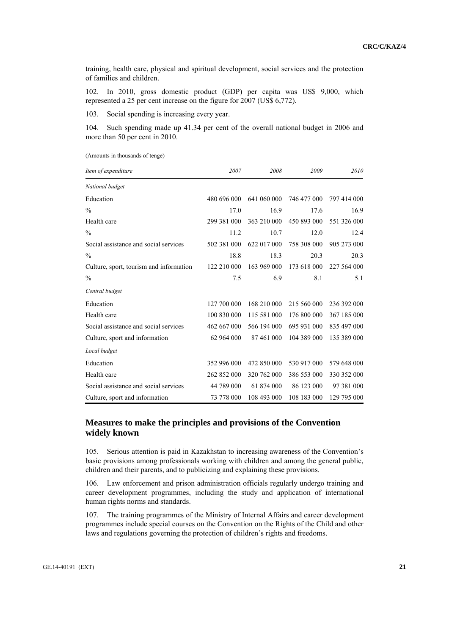training, health care, physical and spiritual development, social services and the protection of families and children.

102. In 2010, gross domestic product (GDP) per capita was US\$ 9,000, which represented a 25 per cent increase on the figure for 2007 (US\$ 6,772).

103. Social spending is increasing every year.

104. Such spending made up 41.34 per cent of the overall national budget in 2006 and more than 50 per cent in 2010.

|  |  | (Amounts in thousands of tenge) |  |  |
|--|--|---------------------------------|--|--|
|--|--|---------------------------------|--|--|

| Item of expenditure                     | 2007        | 2008        | 2009        | 2010        |
|-----------------------------------------|-------------|-------------|-------------|-------------|
| National budget                         |             |             |             |             |
| Education                               | 480 696 000 | 641 060 000 | 746 477 000 | 797 414 000 |
| $\frac{0}{0}$                           | 17.0        | 16.9        | 17.6        | 16.9        |
| Health care                             | 299 381 000 | 363 210 000 | 450 893 000 | 551 326 000 |
| $\frac{0}{0}$                           | 11.2        | 10.7        | 12.0        | 12.4        |
| Social assistance and social services   | 502 381 000 | 622 017 000 | 758 308 000 | 905 273 000 |
| $\frac{0}{0}$                           | 18.8        | 18.3        | 20.3        | 20.3        |
| Culture, sport, tourism and information | 122 210 000 | 163 969 000 | 173 618 000 | 227 564 000 |
| $\frac{0}{0}$                           | 7.5         | 6.9         | 8.1         | 5.1         |
| Central budget                          |             |             |             |             |
| Education                               | 127 700 000 | 168 210 000 | 215 560 000 | 236 392 000 |
| Health care                             | 100 830 000 | 115 581 000 | 176 800 000 | 367 185 000 |
| Social assistance and social services   | 462 667 000 | 566 194 000 | 695 931 000 | 835 497 000 |
| Culture, sport and information          | 62 964 000  | 87 461 000  | 104 389 000 | 135 389 000 |
| Local budget                            |             |             |             |             |
| Education                               | 352 996 000 | 472 850 000 | 530 917 000 | 579 648 000 |
| Health care                             | 262 852 000 | 320 762 000 | 386 553 000 | 330 352 000 |
| Social assistance and social services   | 44 789 000  | 61 874 000  | 86 123 000  | 97 381 000  |
| Culture, sport and information          | 73 778 000  | 108 493 000 | 108 183 000 | 129 795 000 |

## **Measures to make the principles and provisions of the Convention widely known**

105. Serious attention is paid in Kazakhstan to increasing awareness of the Convention's basic provisions among professionals working with children and among the general public, children and their parents, and to publicizing and explaining these provisions.

106. Law enforcement and prison administration officials regularly undergo training and career development programmes, including the study and application of international human rights norms and standards.

107. The training programmes of the Ministry of Internal Affairs and career development programmes include special courses on the Convention on the Rights of the Child and other laws and regulations governing the protection of children's rights and freedoms.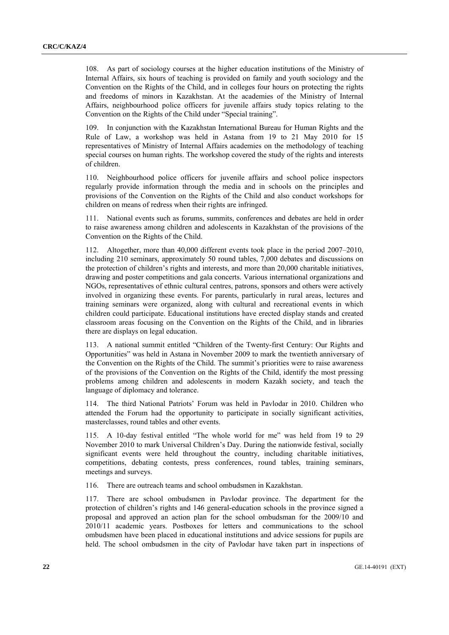108. As part of sociology courses at the higher education institutions of the Ministry of Internal Affairs, six hours of teaching is provided on family and youth sociology and the Convention on the Rights of the Child, and in colleges four hours on protecting the rights and freedoms of minors in Kazakhstan. At the academies of the Ministry of Internal Affairs, neighbourhood police officers for juvenile affairs study topics relating to the Convention on the Rights of the Child under "Special training".

109. In conjunction with the Kazakhstan International Bureau for Human Rights and the Rule of Law, a workshop was held in Astana from 19 to 21 May 2010 for 15 representatives of Ministry of Internal Affairs academies on the methodology of teaching special courses on human rights. The workshop covered the study of the rights and interests of children.

110. Neighbourhood police officers for juvenile affairs and school police inspectors regularly provide information through the media and in schools on the principles and provisions of the Convention on the Rights of the Child and also conduct workshops for children on means of redress when their rights are infringed.

111. National events such as forums, summits, conferences and debates are held in order to raise awareness among children and adolescents in Kazakhstan of the provisions of the Convention on the Rights of the Child.

112. Altogether, more than 40,000 different events took place in the period 2007–2010, including 210 seminars, approximately 50 round tables, 7,000 debates and discussions on the protection of children's rights and interests, and more than 20,000 charitable initiatives, drawing and poster competitions and gala concerts. Various international organizations and NGOs, representatives of ethnic cultural centres, patrons, sponsors and others were actively involved in organizing these events. For parents, particularly in rural areas, lectures and training seminars were organized, along with cultural and recreational events in which children could participate. Educational institutions have erected display stands and created classroom areas focusing on the Convention on the Rights of the Child, and in libraries there are displays on legal education.

113. A national summit entitled "Children of the Twenty-first Century: Our Rights and Opportunities" was held in Astana in November 2009 to mark the twentieth anniversary of the Convention on the Rights of the Child. The summit's priorities were to raise awareness of the provisions of the Convention on the Rights of the Child, identify the most pressing problems among children and adolescents in modern Kazakh society, and teach the language of diplomacy and tolerance.

114. The third National Patriots' Forum was held in Pavlodar in 2010. Children who attended the Forum had the opportunity to participate in socially significant activities, masterclasses, round tables and other events.

115. A 10-day festival entitled "The whole world for me" was held from 19 to 29 November 2010 to mark Universal Children's Day. During the nationwide festival, socially significant events were held throughout the country, including charitable initiatives, competitions, debating contests, press conferences, round tables, training seminars, meetings and surveys.

116. There are outreach teams and school ombudsmen in Kazakhstan.

117. There are school ombudsmen in Pavlodar province. The department for the protection of children's rights and 146 general-education schools in the province signed a proposal and approved an action plan for the school ombudsman for the 2009/10 and 2010/11 academic years. Postboxes for letters and communications to the school ombudsmen have been placed in educational institutions and advice sessions for pupils are held. The school ombudsmen in the city of Pavlodar have taken part in inspections of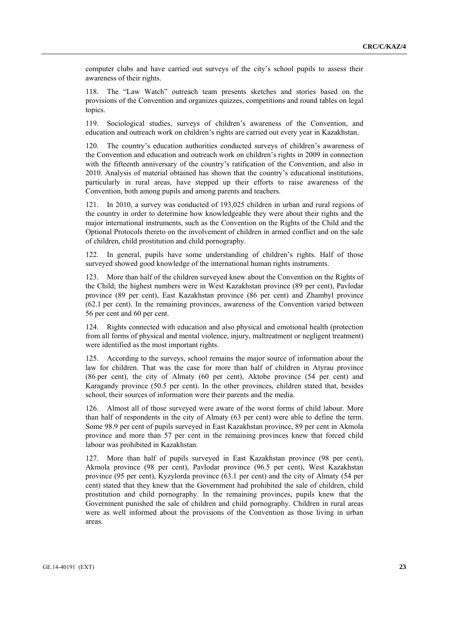computer clubs and have carried out surveys of the city's school pupils to assess their awareness of their rights.

118. The "Law Watch" outreach team presents sketches and stories based on the provisions of the Convention and organizes quizzes, competitions and round tables on legal topics.

119. Sociological studies, surveys of children's awareness of the Convention, and education and outreach work on children's rights are carried out every year in Kazakhstan.

120. The country's education authorities conducted surveys of children's awareness of the Convention and education and outreach work on children's rights in 2009 in connection with the fifteenth anniversary of the country's ratification of the Convention, and also in 2010. Analysis of material obtained has shown that the country's educational institutions, particularly in rural areas, have stepped up their efforts to raise awareness of the Convention, both among pupils and among parents and teachers.

121. In 2010, a survey was conducted of 193,025 children in urban and rural regions of the country in order to determine how knowledgeable they were about their rights and the major international instruments, such as the Convention on the Rights of the Child and the Optional Protocols thereto on the involvement of children in armed conflict and on the sale of children, child prostitution and child pornography.

122. In general, pupils have some understanding of children's rights. Half of those surveyed showed good knowledge of the international human rights instruments.

123. More than half of the children surveyed knew about the Convention on the Rights of the Child; the highest numbers were in West Kazakhstan province (89 per cent), Pavlodar province (89 per cent), East Kazakhstan province (86 per cent) and Zhambyl province (62.1 per cent). In the remaining provinces, awareness of the Convention varied between 56 per cent and 60 per cent.

124. Rights connected with education and also physical and emotional health (protection from all forms of physical and mental violence, injury, maltreatment or negligent treatment) were identified as the most important rights.

125. According to the surveys, school remains the major source of information about the law for children. That was the case for more than half of children in Atyrau province (86 per cent), the city of Almaty (60 per cent), Aktobe province (54 per cent) and Karagandy province (50.5 per cent). In the other provinces, children stated that, besides school, their sources of information were their parents and the media.

126. Almost all of those surveyed were aware of the worst forms of child labour. More than half of respondents in the city of Almaty (63 per cent) were able to define the term. Some 98.9 per cent of pupils surveyed in East Kazakhstan province, 89 per cent in Akmola province and more than 57 per cent in the remaining provinces knew that forced child labour was prohibited in Kazakhstan.

127. More than half of pupils surveyed in East Kazakhstan province (98 per cent), Akmola province (98 per cent), Pavlodar province (96.5 per cent), West Kazakhstan province (95 per cent), Kyzylorda province (63.1 per cent) and the city of Almaty (54 per cent) stated that they knew that the Government had prohibited the sale of children, child prostitution and child pornography. In the remaining provinces, pupils knew that the Government punished the sale of children and child pornography. Children in rural areas were as well informed about the provisions of the Convention as those living in urban areas.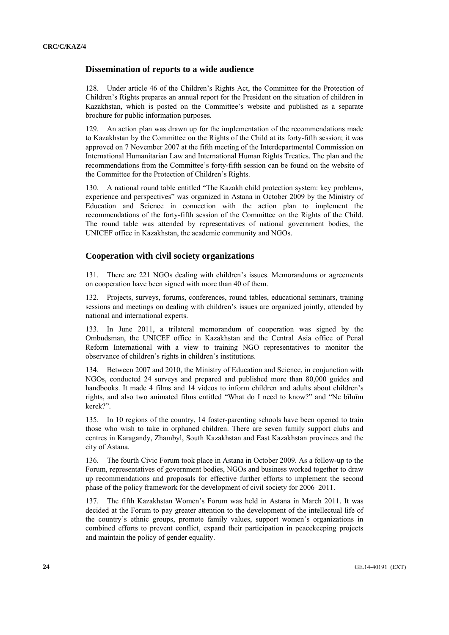#### **Dissemination of reports to a wide audience**

128. Under article 46 of the Children's Rights Act, the Committee for the Protection of Children's Rights prepares an annual report for the President on the situation of children in Kazakhstan, which is posted on the Committee's website and published as a separate brochure for public information purposes.

129. An action plan was drawn up for the implementation of the recommendations made to Kazakhstan by the Committee on the Rights of the Child at its forty-fifth session; it was approved on 7 November 2007 at the fifth meeting of the Interdepartmental Commission on International Humanitarian Law and International Human Rights Treaties. The plan and the recommendations from the Committee's forty-fifth session can be found on the website of the Committee for the Protection of Children's Rights.

130. A national round table entitled "The Kazakh child protection system: key problems, experience and perspectives" was organized in Astana in October 2009 by the Ministry of Education and Science in connection with the action plan to implement the recommendations of the forty-fifth session of the Committee on the Rights of the Child. The round table was attended by representatives of national government bodies, the UNICEF office in Kazakhstan, the academic community and NGOs.

#### **Cooperation with civil society organizations**

131. There are 221 NGOs dealing with children's issues. Memorandums or agreements on cooperation have been signed with more than 40 of them.

132. Projects, surveys, forums, conferences, round tables, educational seminars, training sessions and meetings on dealing with children's issues are organized jointly, attended by national and international experts.

133. In June 2011, a trilateral memorandum of cooperation was signed by the Ombudsman, the UNICEF office in Kazakhstan and the Central Asia office of Penal Reform International with a view to training NGO representatives to monitor the observance of children's rights in children's institutions.

134. Between 2007 and 2010, the Ministry of Education and Science, in conjunction with NGOs, conducted 24 surveys and prepared and published more than 80,000 guides and handbooks. It made 4 films and 14 videos to inform children and adults about children's rights, and also two animated films entitled "What do I need to know?" and "Ne bīluīm kerek?".

135. In 10 regions of the country, 14 foster-parenting schools have been opened to train those who wish to take in orphaned children. There are seven family support clubs and centres in Karagandy, Zhambyl, South Kazakhstan and East Kazakhstan provinces and the city of Astana.

136. The fourth Civic Forum took place in Astana in October 2009. As a follow-up to the Forum, representatives of government bodies, NGOs and business worked together to draw up recommendations and proposals for effective further efforts to implement the second phase of the policy framework for the development of civil society for 2006–2011.

137. The fifth Kazakhstan Women's Forum was held in Astana in March 2011. It was decided at the Forum to pay greater attention to the development of the intellectual life of the country's ethnic groups, promote family values, support women's organizations in combined efforts to prevent conflict, expand their participation in peacekeeping projects and maintain the policy of gender equality.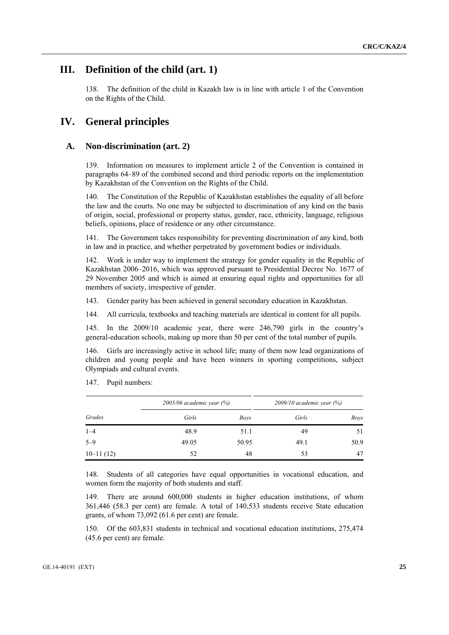## **III. Definition of the child (art. 1)**

138. The definition of the child in Kazakh law is in line with article 1 of the Convention on the Rights of the Child.

## **IV. General principles**

#### **A. Non-discrimination (art. 2)**

139. Information on measures to implement article 2 of the Convention is contained in paragraphs 64–89 of the combined second and third periodic reports on the implementation by Kazakhstan of the Convention on the Rights of the Child.

140. The Constitution of the Republic of Kazakhstan establishes the equality of all before the law and the courts. No one may be subjected to discrimination of any kind on the basis of origin, social, professional or property status, gender, race, ethnicity, language, religious beliefs, opinions, place of residence or any other circumstance.

141. The Government takes responsibility for preventing discrimination of any kind, both in law and in practice, and whether perpetrated by government bodies or individuals.

142. Work is under way to implement the strategy for gender equality in the Republic of Kazakhstan 2006–2016, which was approved pursuant to Presidential Decree No. 1677 of 29 November 2005 and which is aimed at ensuring equal rights and opportunities for all members of society, irrespective of gender.

143. Gender parity has been achieved in general secondary education in Kazakhstan.

144. All curricula, textbooks and teaching materials are identical in content for all pupils.

145. In the 2009/10 academic year, there were 246,790 girls in the country's general-education schools, making up more than 50 per cent of the total number of pupils.

146. Girls are increasingly active in school life; many of them now lead organizations of children and young people and have been winners in sporting competitions, subject Olympiads and cultural events.

|             | $2005/06$ academic year $(%)$ |       | $2009/10$ academic year $(%)$ |      |  |
|-------------|-------------------------------|-------|-------------------------------|------|--|
| Grades      | Girls                         | Boys  | Girls                         | Boys |  |
| $1 - 4$     | 48.9                          | 51.1  | 49                            | 51   |  |
| $5 - 9$     | 49.05                         | 50.95 | 49.1                          | 50.9 |  |
| $10-11(12)$ | 52                            | 48    | 53                            | 47   |  |

147. Pupil numbers:

148. Students of all categories have equal opportunities in vocational education, and women form the majority of both students and staff.

149. There are around 600,000 students in higher education institutions, of whom 361,446 (58.3 per cent) are female. A total of 140,533 students receive State education grants, of whom 73,092 (61.6 per cent) are female.

150. Of the 603,831 students in technical and vocational education institutions, 275,474 (45.6 per cent) are female.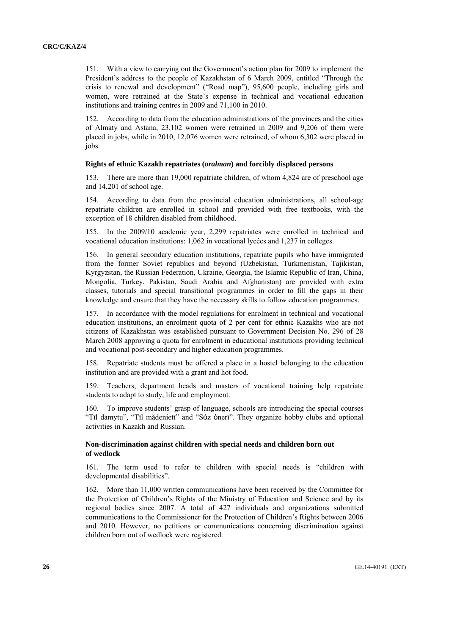151. With a view to carrying out the Government's action plan for 2009 to implement the President's address to the people of Kazakhstan of 6 March 2009, entitled "Through the crisis to renewal and development" ("Road map"), 95,600 people, including girls and women, were retrained at the State's expense in technical and vocational education institutions and training centres in 2009 and 71,100 in 2010.

152. According to data from the education administrations of the provinces and the cities of Almaty and Astana, 23,102 women were retrained in 2009 and 9,206 of them were placed in jobs, while in 2010, 12,076 women were retrained, of whom 6,302 were placed in jobs.

#### **Rights of ethnic Kazakh repatriates (***oralman***) and forcibly displaced persons**

153. There are more than 19,000 repatriate children, of whom 4,824 are of preschool age and 14,201 of school age.

154. According to data from the provincial education administrations, all school-age repatriate children are enrolled in school and provided with free textbooks, with the exception of 18 children disabled from childhood.

155. In the 2009/10 academic year, 2,299 repatriates were enrolled in technical and vocational education institutions: 1,062 in vocational lycées and 1,237 in colleges.

156. In general secondary education institutions, repatriate pupils who have immigrated from the former Soviet republics and beyond (Uzbekistan, Turkmenistan, Tajikistan, Kyrgyzstan, the Russian Federation, Ukraine, Georgia, the Islamic Republic of Iran, China, Mongolia, Turkey, Pakistan, Saudi Arabia and Afghanistan) are provided with extra classes, tutorials and special transitional programmes in order to fill the gaps in their knowledge and ensure that they have the necessary skills to follow education programmes.

157. In accordance with the model regulations for enrolment in technical and vocational education institutions, an enrolment quota of 2 per cent for ethnic Kazakhs who are not citizens of Kazakhstan was established pursuant to Government Decision No. 296 of 28 March 2008 approving a quota for enrolment in educational institutions providing technical and vocational post-secondary and higher education programmes.

158. Repatriate students must be offered a place in a hostel belonging to the education institution and are provided with a grant and hot food.

159. Teachers, department heads and masters of vocational training help repatriate students to adapt to study, life and employment.

160. To improve students' grasp of language, schools are introducing the special courses "Tīl damytu", "Tīl mădenietī" and "Sȯz ȯnerī". They organize hobby clubs and optional activities in Kazakh and Russian.

#### **Non-discrimination against children with special needs and children born out of wedlock**

161. The term used to refer to children with special needs is "children with developmental disabilities".

162. More than 11,000 written communications have been received by the Committee for the Protection of Children's Rights of the Ministry of Education and Science and by its regional bodies since 2007. A total of 427 individuals and organizations submitted communications to the Commissioner for the Protection of Children's Rights between 2006 and 2010. However, no petitions or communications concerning discrimination against children born out of wedlock were registered.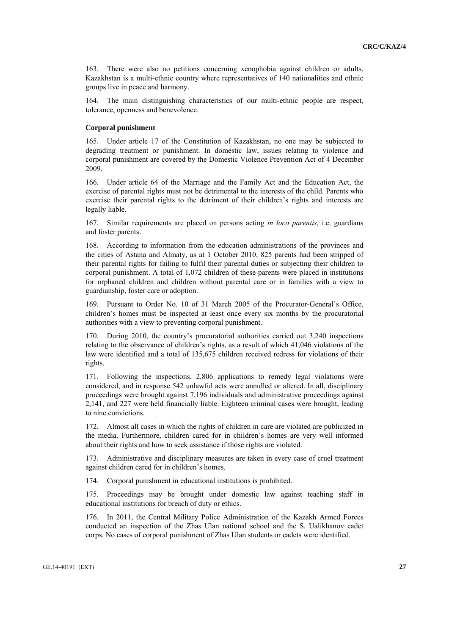163. There were also no petitions concerning xenophobia against children or adults. Kazakhstan is a multi-ethnic country where representatives of 140 nationalities and ethnic groups live in peace and harmony.

164. The main distinguishing characteristics of our multi-ethnic people are respect, tolerance, openness and benevolence.

#### **Corporal punishment**

165. Under article 17 of the Constitution of Kazakhstan, no one may be subjected to degrading treatment or punishment. In domestic law, issues relating to violence and corporal punishment are covered by the Domestic Violence Prevention Act of 4 December 2009.

166. Under article 64 of the Marriage and the Family Act and the Education Act, the exercise of parental rights must not be detrimental to the interests of the child. Parents who exercise their parental rights to the detriment of their children's rights and interests are legally liable.

167. Similar requirements are placed on persons acting *in loco parentis*, i.e. guardians and foster parents.

168. According to information from the education administrations of the provinces and the cities of Astana and Almaty, as at 1 October 2010, 825 parents had been stripped of their parental rights for failing to fulfil their parental duties or subjecting their children to corporal punishment. A total of 1,072 children of these parents were placed in institutions for orphaned children and children without parental care or in families with a view to guardianship, foster care or adoption.

169. Pursuant to Order No. 10 of 31 March 2005 of the Procurator-General's Office, children's homes must be inspected at least once every six months by the procuratorial authorities with a view to preventing corporal punishment.

170. During 2010, the country's procuratorial authorities carried out 3,240 inspections relating to the observance of children's rights, as a result of which 41,046 violations of the law were identified and a total of 135,675 children received redress for violations of their rights.

171. Following the inspections, 2,806 applications to remedy legal violations were considered, and in response 542 unlawful acts were annulled or altered. In all, disciplinary proceedings were brought against 7,196 individuals and administrative proceedings against 2,141, and 227 were held financially liable. Eighteen criminal cases were brought, leading to nine convictions.

172. Almost all cases in which the rights of children in care are violated are publicized in the media. Furthermore, children cared for in children's homes are very well informed about their rights and how to seek assistance if those rights are violated.

173. Administrative and disciplinary measures are taken in every case of cruel treatment against children cared for in children's homes.

174. Corporal punishment in educational institutions is prohibited.

175. Proceedings may be brought under domestic law against teaching staff in educational institutions for breach of duty or ethics.

176. In 2011, the Central Military Police Administration of the Kazakh Armed Forces conducted an inspection of the Zhas Ulan national school and the S. Ualikhanov cadet corps. No cases of corporal punishment of Zhas Ulan students or cadets were identified.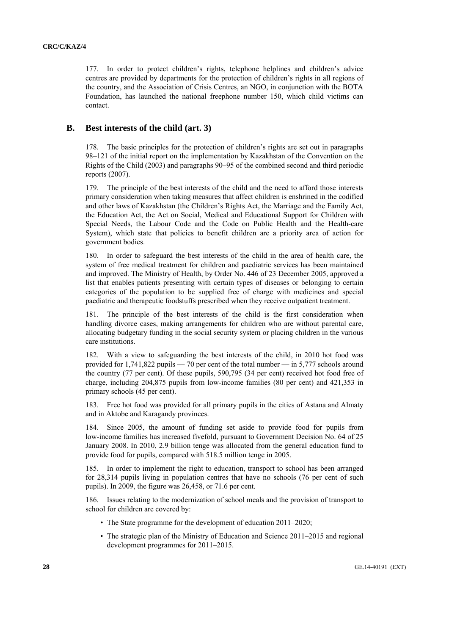177. In order to protect children's rights, telephone helplines and children's advice centres are provided by departments for the protection of children's rights in all regions of the country, and the Association of Crisis Centres, an NGO, in conjunction with the BOTA Foundation, has launched the national freephone number 150, which child victims can contact.

#### **B. Best interests of the child (art. 3)**

178. The basic principles for the protection of children's rights are set out in paragraphs 98–121 of the initial report on the implementation by Kazakhstan of the Convention on the Rights of the Child (2003) and paragraphs 90–95 of the combined second and third periodic reports (2007).

179. The principle of the best interests of the child and the need to afford those interests primary consideration when taking measures that affect children is enshrined in the codified and other laws of Kazakhstan (the Children's Rights Act, the Marriage and the Family Act, the Education Act, the Act on Social, Medical and Educational Support for Children with Special Needs, the Labour Code and the Code on Public Health and the Health-care System), which state that policies to benefit children are a priority area of action for government bodies.

180. In order to safeguard the best interests of the child in the area of health care, the system of free medical treatment for children and paediatric services has been maintained and improved. The Ministry of Health, by Order No. 446 of 23 December 2005, approved a list that enables patients presenting with certain types of diseases or belonging to certain categories of the population to be supplied free of charge with medicines and special paediatric and therapeutic foodstuffs prescribed when they receive outpatient treatment.

181. The principle of the best interests of the child is the first consideration when handling divorce cases, making arrangements for children who are without parental care, allocating budgetary funding in the social security system or placing children in the various care institutions.

With a view to safeguarding the best interests of the child, in 2010 hot food was provided for 1,741,822 pupils — 70 per cent of the total number — in 5,777 schools around the country (77 per cent). Of these pupils, 590,795 (34 per cent) received hot food free of charge, including 204,875 pupils from low-income families (80 per cent) and 421,353 in primary schools (45 per cent).

183. Free hot food was provided for all primary pupils in the cities of Astana and Almaty and in Aktobe and Karagandy provinces.

184. Since 2005, the amount of funding set aside to provide food for pupils from low-income families has increased fivefold, pursuant to Government Decision No. 64 of 25 January 2008. In 2010, 2.9 billion tenge was allocated from the general education fund to provide food for pupils, compared with 518.5 million tenge in 2005.

185. In order to implement the right to education, transport to school has been arranged for 28,314 pupils living in population centres that have no schools (76 per cent of such pupils). In 2009, the figure was 26,458, or 71.6 per cent.

186. Issues relating to the modernization of school meals and the provision of transport to school for children are covered by:

- The State programme for the development of education 2011–2020;
- The strategic plan of the Ministry of Education and Science 2011–2015 and regional development programmes for 2011–2015.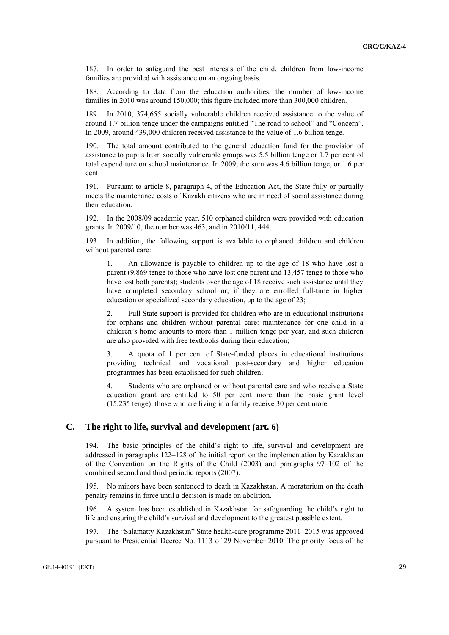187. In order to safeguard the best interests of the child, children from low-income families are provided with assistance on an ongoing basis.

188. According to data from the education authorities, the number of low-income families in 2010 was around 150,000; this figure included more than 300,000 children.

189. In 2010, 374,655 socially vulnerable children received assistance to the value of around 1.7 billion tenge under the campaigns entitled "The road to school" and "Concern". In 2009, around 439,000 children received assistance to the value of 1.6 billion tenge.

190. The total amount contributed to the general education fund for the provision of assistance to pupils from socially vulnerable groups was 5.5 billion tenge or 1.7 per cent of total expenditure on school maintenance. In 2009, the sum was 4.6 billion tenge, or 1.6 per cent.

191. Pursuant to article 8, paragraph 4, of the Education Act, the State fully or partially meets the maintenance costs of Kazakh citizens who are in need of social assistance during their education.

192. In the 2008/09 academic year, 510 orphaned children were provided with education grants. In 2009/10, the number was 463, and in 2010/11, 444.

193. In addition, the following support is available to orphaned children and children without parental care:

 1. An allowance is payable to children up to the age of 18 who have lost a parent (9,869 tenge to those who have lost one parent and 13,457 tenge to those who have lost both parents); students over the age of 18 receive such assistance until they have completed secondary school or, if they are enrolled full-time in higher education or specialized secondary education, up to the age of 23;

 2. Full State support is provided for children who are in educational institutions for orphans and children without parental care: maintenance for one child in a children's home amounts to more than 1 million tenge per year, and such children are also provided with free textbooks during their education;

 3. A quota of 1 per cent of State-funded places in educational institutions providing technical and vocational post-secondary and higher education programmes has been established for such children;

 4. Students who are orphaned or without parental care and who receive a State education grant are entitled to 50 per cent more than the basic grant level (15,235 tenge); those who are living in a family receive 30 per cent more.

## **C. The right to life, survival and development (art. 6)**

194. The basic principles of the child's right to life, survival and development are addressed in paragraphs 122–128 of the initial report on the implementation by Kazakhstan of the Convention on the Rights of the Child (2003) and paragraphs 97–102 of the combined second and third periodic reports (2007).

195. No minors have been sentenced to death in Kazakhstan. A moratorium on the death penalty remains in force until a decision is made on abolition.

196. A system has been established in Kazakhstan for safeguarding the child's right to life and ensuring the child's survival and development to the greatest possible extent.

197. The "Salamatty Kazakhstan" State health-care programme 2011–2015 was approved pursuant to Presidential Decree No. 1113 of 29 November 2010. The priority focus of the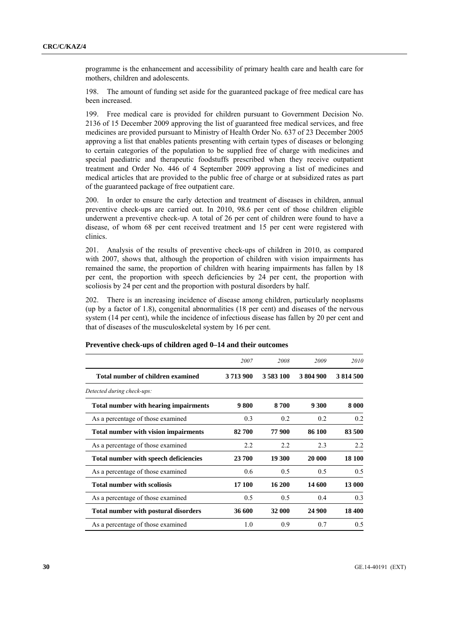programme is the enhancement and accessibility of primary health care and health care for mothers, children and adolescents.

198. The amount of funding set aside for the guaranteed package of free medical care has been increased.

199. Free medical care is provided for children pursuant to Government Decision No. 2136 of 15 December 2009 approving the list of guaranteed free medical services, and free medicines are provided pursuant to Ministry of Health Order No. 637 of 23 December 2005 approving a list that enables patients presenting with certain types of diseases or belonging to certain categories of the population to be supplied free of charge with medicines and special paediatric and therapeutic foodstuffs prescribed when they receive outpatient treatment and Order No. 446 of 4 September 2009 approving a list of medicines and medical articles that are provided to the public free of charge or at subsidized rates as part of the guaranteed package of free outpatient care.

200. In order to ensure the early detection and treatment of diseases in children, annual preventive check-ups are carried out. In 2010, 98.6 per cent of those children eligible underwent a preventive check-up. A total of 26 per cent of children were found to have a disease, of whom 68 per cent received treatment and 15 per cent were registered with clinics.

201. Analysis of the results of preventive check-ups of children in 2010, as compared with 2007, shows that, although the proportion of children with vision impairments has remained the same, the proportion of children with hearing impairments has fallen by 18 per cent, the proportion with speech deficiencies by 24 per cent, the proportion with scoliosis by 24 per cent and the proportion with postural disorders by half.

202. There is an increasing incidence of disease among children, particularly neoplasms (up by a factor of 1.8), congenital abnormalities (18 per cent) and diseases of the nervous system (14 per cent), while the incidence of infectious disease has fallen by 20 per cent and that of diseases of the musculoskeletal system by 16 per cent.

|                                              | 2007    | 2008          | 2009      | 2010      |
|----------------------------------------------|---------|---------------|-----------|-----------|
| Total number of children examined            | 3713900 | 3 5 8 3 1 0 0 | 3 804 900 | 3 814 500 |
| Detected during check-ups:                   |         |               |           |           |
| <b>Total number with hearing impairments</b> | 9800    | 8700          | 9 300     | 8 0 0 0   |
| As a percentage of those examined            | 0.3     | 0.2           | 0.2       | 0.2       |
| <b>Total number with vision impairments</b>  | 82 700  | 77 900        | 86 100    | 83 500    |
| As a percentage of those examined            | 2.2     | 2.2           | 2.3       | 2.2       |
| Total number with speech deficiencies        | 23 700  | 19 300        | 20 000    | 18 100    |
| As a percentage of those examined            | 0.6     | 0.5           | 0.5       | 0.5       |
| <b>Total number with scoliosis</b>           | 17 100  | 16 200        | 14 600    | 13 000    |
| As a percentage of those examined            | 0.5     | 0.5           | 0.4       | 0.3       |
| <b>Total number with postural disorders</b>  | 36 600  | 32 000        | 24 900    | 18 400    |
| As a percentage of those examined            | 1.0     | 0.9           | 0.7       | 0.5       |

#### **Preventive check-ups of children aged 0–14 and their outcomes**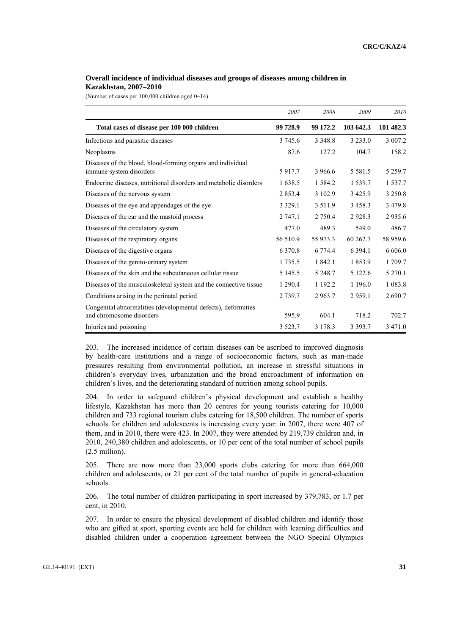#### **Overall incidence of individual diseases and groups of diseases among children in Kazakhstan, 2007–2010**

(Number of cases per 100,000 children aged 0**–**14)

|                                                                                           | 2007        | 2008        | 2009        | 2010        |
|-------------------------------------------------------------------------------------------|-------------|-------------|-------------|-------------|
| Total cases of disease per 100 000 children                                               | 99 728.9    | 99 172.2    | 103 642.3   | 101 482.3   |
| Infectious and parasitic diseases                                                         | 3 745.6     | 3 3 4 8 .8  | 3 2 3 3 .0  | 3 007.2     |
| Neoplasms                                                                                 | 87.6        | 127.2       | 104.7       | 158.2       |
| Diseases of the blood, blood-forming organs and individual<br>immune system disorders     | 5 9 1 7 . 7 | 3 966.6     | 5 5 8 1 .5  | 5 2 5 9 . 7 |
| Endocrine diseases, nutritional disorders and metabolic disorders                         | 1 638.5     | 1 5 8 4 .2  | 1539.7      | 1 537.7     |
| Diseases of the nervous system                                                            | 2853.4      | 3 102.9     | 3425.9      | 3 2 5 0 .8  |
| Diseases of the eye and appendages of the eye                                             | 3 3 2 9 .1  | 3 5 1 1 .9  | 3 4 5 8 . 3 | 3 4 7 9 . 8 |
| Diseases of the ear and the mastoid process                                               | 2 747.1     | 2 7 5 0 4   | 2928.3      | 2935.6      |
| Diseases of the circulatory system                                                        | 477.0       | 489.3       | 549.0       | 486.7       |
| Diseases of the respiratory organs                                                        | 56 510.9    | 55 973.3    | 60 262.7    | 58 959.6    |
| Diseases of the digestive organs                                                          | 6 3 7 0 . 8 | 6 7 7 4 4   | 6 3 9 4 1   | 6 606.0     |
| Diseases of the genito-urinary system                                                     | 1 7 3 5 . 5 | 1 842.1     | 1853.9      | 1 709.7     |
| Diseases of the skin and the subcutaneous cellular tissue                                 | 5 145.5     | 5 2 4 8 .7  | 5 1 2 2 . 6 | 5 270.1     |
| Diseases of the musculoskeletal system and the connective tissue                          | 1 2 9 0.4   | 1 192.2     | 1 1 9 6 .0  | 1 0 8 3 . 8 |
| Conditions arising in the perinatal period                                                | 2 7 3 9 . 7 | 2963.7      | 2959.1      | 2690.7      |
| Congenital abnormalities (developmental defects), deformities<br>and chromosome disorders | 595.9       | 604.1       | 718.2       | 702.7       |
| Injuries and poisoning                                                                    | 3 5 2 3 . 7 | 3 1 7 8 . 3 | 3 3 9 3 .7  | 3 471.0     |

203. The increased incidence of certain diseases can be ascribed to improved diagnosis by health-care institutions and a range of socioeconomic factors, such as man-made pressures resulting from environmental pollution, an increase in stressful situations in children's everyday lives, urbanization and the broad encroachment of information on children's lives, and the deteriorating standard of nutrition among school pupils.

204. In order to safeguard children's physical development and establish a healthy lifestyle, Kazakhstan has more than 20 centres for young tourists catering for 10,000 children and 733 regional tourism clubs catering for 18,500 children. The number of sports schools for children and adolescents is increasing every year: in 2007, there were 407 of them, and in 2010, there were 423. In 2007, they were attended by 219,739 children and, in 2010, 240,380 children and adolescents, or 10 per cent of the total number of school pupils (2.5 million).

205. There are now more than 23,000 sports clubs catering for more than 664,000 children and adolescents, or 21 per cent of the total number of pupils in general-education schools.

206. The total number of children participating in sport increased by 379,783, or 1.7 per cent, in 2010.

207. In order to ensure the physical development of disabled children and identify those who are gifted at sport, sporting events are held for children with learning difficulties and disabled children under a cooperation agreement between the NGO Special Olympics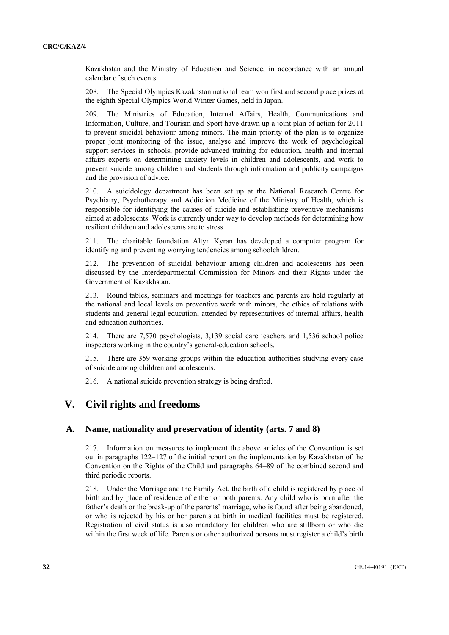Kazakhstan and the Ministry of Education and Science, in accordance with an annual calendar of such events.

208. The Special Olympics Kazakhstan national team won first and second place prizes at the eighth Special Olympics World Winter Games, held in Japan.

209. The Ministries of Education, Internal Affairs, Health, Communications and Information, Culture, and Tourism and Sport have drawn up a joint plan of action for 2011 to prevent suicidal behaviour among minors. The main priority of the plan is to organize proper joint monitoring of the issue, analyse and improve the work of psychological support services in schools, provide advanced training for education, health and internal affairs experts on determining anxiety levels in children and adolescents, and work to prevent suicide among children and students through information and publicity campaigns and the provision of advice.

210. A suicidology department has been set up at the National Research Centre for Psychiatry, Psychotherapy and Addiction Medicine of the Ministry of Health, which is responsible for identifying the causes of suicide and establishing preventive mechanisms aimed at adolescents. Work is currently under way to develop methods for determining how resilient children and adolescents are to stress.

211. The charitable foundation Altyn Kyran has developed a computer program for identifying and preventing worrying tendencies among schoolchildren.

212. The prevention of suicidal behaviour among children and adolescents has been discussed by the Interdepartmental Commission for Minors and their Rights under the Government of Kazakhstan.

213. Round tables, seminars and meetings for teachers and parents are held regularly at the national and local levels on preventive work with minors, the ethics of relations with students and general legal education, attended by representatives of internal affairs, health and education authorities.

214. There are 7,570 psychologists, 3,139 social care teachers and 1,536 school police inspectors working in the country's general-education schools.

215. There are 359 working groups within the education authorities studying every case of suicide among children and adolescents.

216. A national suicide prevention strategy is being drafted.

## **V. Civil rights and freedoms**

### **A. Name, nationality and preservation of identity (arts. 7 and 8)**

217. Information on measures to implement the above articles of the Convention is set out in paragraphs 122–127 of the initial report on the implementation by Kazakhstan of the Convention on the Rights of the Child and paragraphs 64–89 of the combined second and third periodic reports.

218. Under the Marriage and the Family Act, the birth of a child is registered by place of birth and by place of residence of either or both parents. Any child who is born after the father's death or the break-up of the parents' marriage, who is found after being abandoned, or who is rejected by his or her parents at birth in medical facilities must be registered. Registration of civil status is also mandatory for children who are stillborn or who die within the first week of life. Parents or other authorized persons must register a child's birth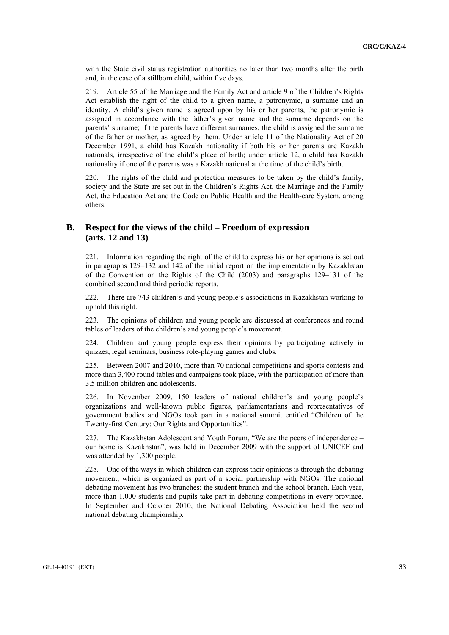with the State civil status registration authorities no later than two months after the birth and, in the case of a stillborn child, within five days.

219. Article 55 of the Marriage and the Family Act and article 9 of the Children's Rights Act establish the right of the child to a given name, a patronymic, a surname and an identity. A child's given name is agreed upon by his or her parents, the patronymic is assigned in accordance with the father's given name and the surname depends on the parents' surname; if the parents have different surnames, the child is assigned the surname of the father or mother, as agreed by them. Under article 11 of the Nationality Act of 20 December 1991, a child has Kazakh nationality if both his or her parents are Kazakh nationals, irrespective of the child's place of birth; under article 12, a child has Kazakh nationality if one of the parents was a Kazakh national at the time of the child's birth.

220. The rights of the child and protection measures to be taken by the child's family, society and the State are set out in the Children's Rights Act, the Marriage and the Family Act, the Education Act and the Code on Public Health and the Health-care System, among others.

### **B. Respect for the views of the child – Freedom of expression (arts. 12 and 13)**

221. Information regarding the right of the child to express his or her opinions is set out in paragraphs 129–132 and 142 of the initial report on the implementation by Kazakhstan of the Convention on the Rights of the Child (2003) and paragraphs 129–131 of the combined second and third periodic reports.

222. There are 743 children's and young people's associations in Kazakhstan working to uphold this right.

223. The opinions of children and young people are discussed at conferences and round tables of leaders of the children's and young people's movement.

224. Children and young people express their opinions by participating actively in quizzes, legal seminars, business role-playing games and clubs.

225. Between 2007 and 2010, more than 70 national competitions and sports contests and more than 3,400 round tables and campaigns took place, with the participation of more than 3.5 million children and adolescents.

226. In November 2009, 150 leaders of national children's and young people's organizations and well-known public figures, parliamentarians and representatives of government bodies and NGOs took part in a national summit entitled "Children of the Twenty-first Century: Our Rights and Opportunities".

227. The Kazakhstan Adolescent and Youth Forum, "We are the peers of independence – our home is Kazakhstan", was held in December 2009 with the support of UNICEF and was attended by 1,300 people.

228. One of the ways in which children can express their opinions is through the debating movement, which is organized as part of a social partnership with NGOs. The national debating movement has two branches: the student branch and the school branch. Each year, more than 1,000 students and pupils take part in debating competitions in every province. In September and October 2010, the National Debating Association held the second national debating championship.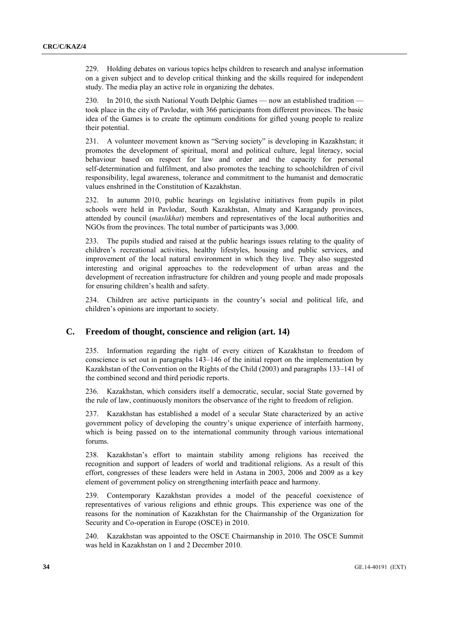229. Holding debates on various topics helps children to research and analyse information on a given subject and to develop critical thinking and the skills required for independent study. The media play an active role in organizing the debates.

230. In 2010, the sixth National Youth Delphic Games — now an established tradition took place in the city of Pavlodar, with 366 participants from different provinces. The basic idea of the Games is to create the optimum conditions for gifted young people to realize their potential.

231. A volunteer movement known as "Serving society" is developing in Kazakhstan; it promotes the development of spiritual, moral and political culture, legal literacy, social behaviour based on respect for law and order and the capacity for personal self-determination and fulfilment, and also promotes the teaching to schoolchildren of civil responsibility, legal awareness, tolerance and commitment to the humanist and democratic values enshrined in the Constitution of Kazakhstan.

232. In autumn 2010, public hearings on legislative initiatives from pupils in pilot schools were held in Pavlodar, South Kazakhstan, Almaty and Karagandy provinces, attended by council (*maslikhat*) members and representatives of the local authorities and NGOs from the provinces. The total number of participants was 3,000.

233. The pupils studied and raised at the public hearings issues relating to the quality of children's recreational activities, healthy lifestyles, housing and public services, and improvement of the local natural environment in which they live. They also suggested interesting and original approaches to the redevelopment of urban areas and the development of recreation infrastructure for children and young people and made proposals for ensuring children's health and safety.

234. Children are active participants in the country's social and political life, and children's opinions are important to society.

### **C. Freedom of thought, conscience and religion (art. 14)**

Information regarding the right of every citizen of Kazakhstan to freedom of conscience is set out in paragraphs 143–146 of the initial report on the implementation by Kazakhstan of the Convention on the Rights of the Child (2003) and paragraphs 133–141 of the combined second and third periodic reports.

236. Kazakhstan, which considers itself a democratic, secular, social State governed by the rule of law, continuously monitors the observance of the right to freedom of religion.

237. Kazakhstan has established a model of a secular State characterized by an active government policy of developing the country's unique experience of interfaith harmony, which is being passed on to the international community through various international forums.

238. Kazakhstan's effort to maintain stability among religions has received the recognition and support of leaders of world and traditional religions. As a result of this effort, congresses of these leaders were held in Astana in 2003, 2006 and 2009 as a key element of government policy on strengthening interfaith peace and harmony.

239. Contemporary Kazakhstan provides a model of the peaceful coexistence of representatives of various religions and ethnic groups. This experience was one of the reasons for the nomination of Kazakhstan for the Chairmanship of the Organization for Security and Co-operation in Europe (OSCE) in 2010.

240. Kazakhstan was appointed to the OSCE Chairmanship in 2010. The OSCE Summit was held in Kazakhstan on 1 and 2 December 2010.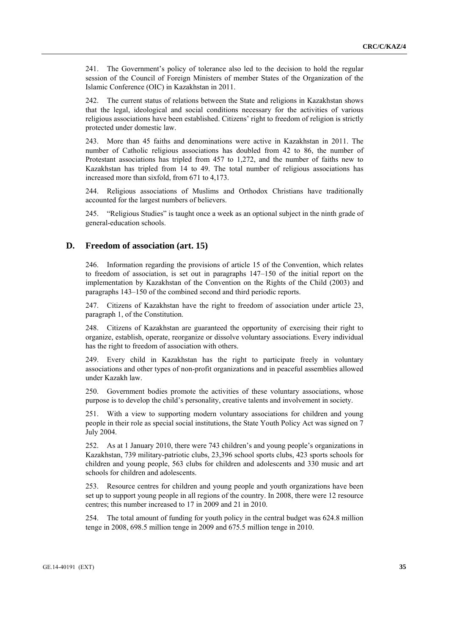241. The Government's policy of tolerance also led to the decision to hold the regular session of the Council of Foreign Ministers of member States of the Organization of the Islamic Conference (OIC) in Kazakhstan in 2011.

242. The current status of relations between the State and religions in Kazakhstan shows that the legal, ideological and social conditions necessary for the activities of various religious associations have been established. Citizens' right to freedom of religion is strictly protected under domestic law.

243. More than 45 faiths and denominations were active in Kazakhstan in 2011. The number of Catholic religious associations has doubled from 42 to 86, the number of Protestant associations has tripled from 457 to 1,272, and the number of faiths new to Kazakhstan has tripled from 14 to 49. The total number of religious associations has increased more than sixfold, from 671 to 4,173.

244. Religious associations of Muslims and Orthodox Christians have traditionally accounted for the largest numbers of believers.

245. "Religious Studies" is taught once a week as an optional subject in the ninth grade of general-education schools.

### **D. Freedom of association (art. 15)**

246. Information regarding the provisions of article 15 of the Convention, which relates to freedom of association, is set out in paragraphs 147–150 of the initial report on the implementation by Kazakhstan of the Convention on the Rights of the Child (2003) and paragraphs 143–150 of the combined second and third periodic reports.

247. Citizens of Kazakhstan have the right to freedom of association under article 23, paragraph 1, of the Constitution.

248. Citizens of Kazakhstan are guaranteed the opportunity of exercising their right to organize, establish, operate, reorganize or dissolve voluntary associations. Every individual has the right to freedom of association with others.

249. Every child in Kazakhstan has the right to participate freely in voluntary associations and other types of non-profit organizations and in peaceful assemblies allowed under Kazakh law.

250. Government bodies promote the activities of these voluntary associations, whose purpose is to develop the child's personality, creative talents and involvement in society.

251. With a view to supporting modern voluntary associations for children and young people in their role as special social institutions, the State Youth Policy Act was signed on 7 July 2004.

252. As at 1 January 2010, there were 743 children's and young people's organizations in Kazakhstan, 739 military-patriotic clubs, 23,396 school sports clubs, 423 sports schools for children and young people, 563 clubs for children and adolescents and 330 music and art schools for children and adolescents.

253. Resource centres for children and young people and youth organizations have been set up to support young people in all regions of the country. In 2008, there were 12 resource centres; this number increased to 17 in 2009 and 21 in 2010.

254. The total amount of funding for youth policy in the central budget was 624.8 million tenge in 2008, 698.5 million tenge in 2009 and 675.5 million tenge in 2010.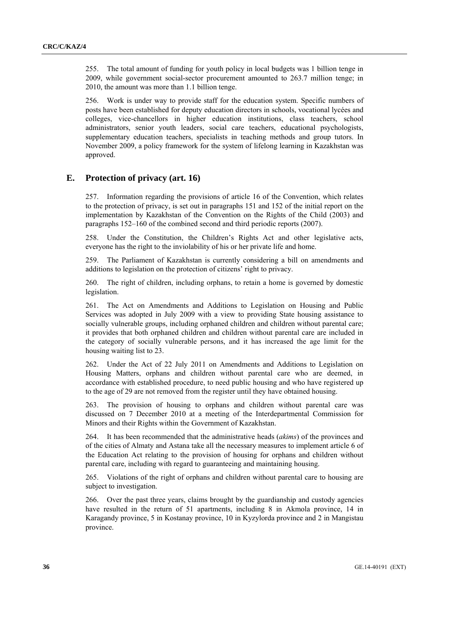255. The total amount of funding for youth policy in local budgets was 1 billion tenge in 2009, while government social-sector procurement amounted to 263.7 million tenge; in 2010, the amount was more than 1.1 billion tenge.

256. Work is under way to provide staff for the education system. Specific numbers of posts have been established for deputy education directors in schools, vocational lycées and colleges, vice-chancellors in higher education institutions, class teachers, school administrators, senior youth leaders, social care teachers, educational psychologists, supplementary education teachers, specialists in teaching methods and group tutors. In November 2009, a policy framework for the system of lifelong learning in Kazakhstan was approved.

### **E. Protection of privacy (art. 16)**

257. Information regarding the provisions of article 16 of the Convention, which relates to the protection of privacy, is set out in paragraphs 151 and 152 of the initial report on the implementation by Kazakhstan of the Convention on the Rights of the Child (2003) and paragraphs 152–160 of the combined second and third periodic reports (2007).

258. Under the Constitution, the Children's Rights Act and other legislative acts, everyone has the right to the inviolability of his or her private life and home.

259. The Parliament of Kazakhstan is currently considering a bill on amendments and additions to legislation on the protection of citizens' right to privacy.

260. The right of children, including orphans, to retain a home is governed by domestic legislation.

261. The Act on Amendments and Additions to Legislation on Housing and Public Services was adopted in July 2009 with a view to providing State housing assistance to socially vulnerable groups, including orphaned children and children without parental care; it provides that both orphaned children and children without parental care are included in the category of socially vulnerable persons, and it has increased the age limit for the housing waiting list to 23.

262. Under the Act of 22 July 2011 on Amendments and Additions to Legislation on Housing Matters, orphans and children without parental care who are deemed, in accordance with established procedure, to need public housing and who have registered up to the age of 29 are not removed from the register until they have obtained housing.

263. The provision of housing to orphans and children without parental care was discussed on 7 December 2010 at a meeting of the Interdepartmental Commission for Minors and their Rights within the Government of Kazakhstan.

264. It has been recommended that the administrative heads (*akims*) of the provinces and of the cities of Almaty and Astana take all the necessary measures to implement article 6 of the Education Act relating to the provision of housing for orphans and children without parental care, including with regard to guaranteeing and maintaining housing.

265. Violations of the right of orphans and children without parental care to housing are subject to investigation.

266. Over the past three years, claims brought by the guardianship and custody agencies have resulted in the return of 51 apartments, including 8 in Akmola province, 14 in Karagandy province, 5 in Kostanay province, 10 in Kyzylorda province and 2 in Mangistau province.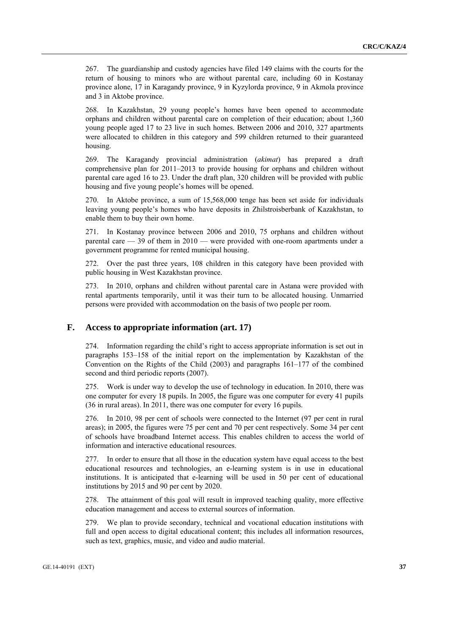267. The guardianship and custody agencies have filed 149 claims with the courts for the return of housing to minors who are without parental care, including 60 in Kostanay province alone, 17 in Karagandy province, 9 in Kyzylorda province, 9 in Akmola province and 3 in Aktobe province.

268. In Kazakhstan, 29 young people's homes have been opened to accommodate orphans and children without parental care on completion of their education; about 1,360 young people aged 17 to 23 live in such homes. Between 2006 and 2010, 327 apartments were allocated to children in this category and 599 children returned to their guaranteed housing.

269. The Karagandy provincial administration (*akimat*) has prepared a draft comprehensive plan for 2011–2013 to provide housing for orphans and children without parental care aged 16 to 23. Under the draft plan, 320 children will be provided with public housing and five young people's homes will be opened.

270. In Aktobe province, a sum of 15,568,000 tenge has been set aside for individuals leaving young people's homes who have deposits in Zhilstroisberbank of Kazakhstan, to enable them to buy their own home.

271. In Kostanay province between 2006 and 2010, 75 orphans and children without parental care — 39 of them in 2010 — were provided with one-room apartments under a government programme for rented municipal housing.

272. Over the past three years, 108 children in this category have been provided with public housing in West Kazakhstan province.

273. In 2010, orphans and children without parental care in Astana were provided with rental apartments temporarily, until it was their turn to be allocated housing. Unmarried persons were provided with accommodation on the basis of two people per room.

### **F. Access to appropriate information (art. 17)**

274. Information regarding the child's right to access appropriate information is set out in paragraphs 153–158 of the initial report on the implementation by Kazakhstan of the Convention on the Rights of the Child (2003) and paragraphs 161–177 of the combined second and third periodic reports (2007).

275. Work is under way to develop the use of technology in education. In 2010, there was one computer for every 18 pupils. In 2005, the figure was one computer for every 41 pupils (36 in rural areas). In 2011, there was one computer for every 16 pupils.

276. In 2010, 98 per cent of schools were connected to the Internet (97 per cent in rural areas); in 2005, the figures were 75 per cent and 70 per cent respectively. Some 34 per cent of schools have broadband Internet access. This enables children to access the world of information and interactive educational resources.

277. In order to ensure that all those in the education system have equal access to the best educational resources and technologies, an e-learning system is in use in educational institutions. It is anticipated that e-learning will be used in 50 per cent of educational institutions by 2015 and 90 per cent by 2020.

278. The attainment of this goal will result in improved teaching quality, more effective education management and access to external sources of information.

279. We plan to provide secondary, technical and vocational education institutions with full and open access to digital educational content; this includes all information resources, such as text, graphics, music, and video and audio material.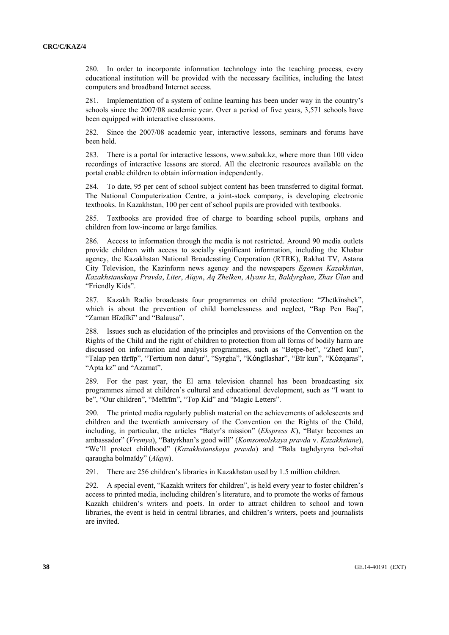280. In order to incorporate information technology into the teaching process, every educational institution will be provided with the necessary facilities, including the latest computers and broadband Internet access.

281. Implementation of a system of online learning has been under way in the country's schools since the 2007/08 academic year. Over a period of five years, 3,571 schools have been equipped with interactive classrooms.

282. Since the 2007/08 academic year, interactive lessons, seminars and forums have been held.

283. There is a portal for interactive lessons, www.sabak.kz, where more than 100 video recordings of interactive lessons are stored. All the electronic resources available on the portal enable children to obtain information independently.

284. To date, 95 per cent of school subject content has been transferred to digital format. The National Computerization Centre, a joint-stock company, is developing electronic textbooks. In Kazakhstan, 100 per cent of school pupils are provided with textbooks.

285. Textbooks are provided free of charge to boarding school pupils, orphans and children from low-income or large families.

286. Access to information through the media is not restricted. Around 90 media outlets provide children with access to socially significant information, including the Khabar agency, the Kazakhstan National Broadcasting Corporation (RTRK), Rakhat TV, Astana City Television, the Kazinform news agency and the newspapers *Egemen Kazakhstan*, *Kazakhstanskaya Pravda*, *Liter*, *Aĭqyn*, *Aq Zhelken*, *Alyans kz*, *Baldyrghan*, *Zhas Ūlаn* and "Friendly Kids".

287. Kazakh Radio broadcasts four programmes on child protection: "Zhetkīnshek", which is about the prevention of child homelessness and neglect, "Bap Pen Baq", "Zaman Bīzdīkī" and "Balausa".

288. Issues such as elucidation of the principles and provisions of the Convention on the Rights of the Child and the right of children to protection from all forms of bodily harm are discussed on information and analysis programmes, such as "Betpe-bet", "Zhetī kun", "Talap pen tărtīp", "Tertium non datur", "Syrgha", "Kȯngīlashar", "Bīr kun", "Kȯzqaras", "Apta kz" and "Azamat".

289. For the past year, the El arna television channel has been broadcasting six programmes aimed at children's cultural and educational development, such as "I want to be", "Our children", "Meĭīrīm", "Top Kid" and "Magic Letters".

290. The printed media regularly publish material on the achievements of adolescents and children and the twentieth anniversary of the Convention on the Rights of the Child, including, in particular, the articles "Batyr's mission" (*Ekspress K*), "Batyr becomes an ambassador" (*Vremya*), "Batyrkhan's good will" (*Komsomolskaya pravda* v. *Kazakhstane*), "We'll protect childhood" (*Kazakhstanskaya pravda*) and "Bala taghdyryna beĭ-zhaĭ qaraugha bolmaĭdy" (*Aĭqyn*).

291. There are 256 children's libraries in Kazakhstan used by 1.5 million children.

292. A special event, "Kazakh writers for children", is held every year to foster children's access to printed media, including children's literature, and to promote the works of famous Kazakh children's writers and poets. In order to attract children to school and town libraries, the event is held in central libraries, and children's writers, poets and journalists are invited.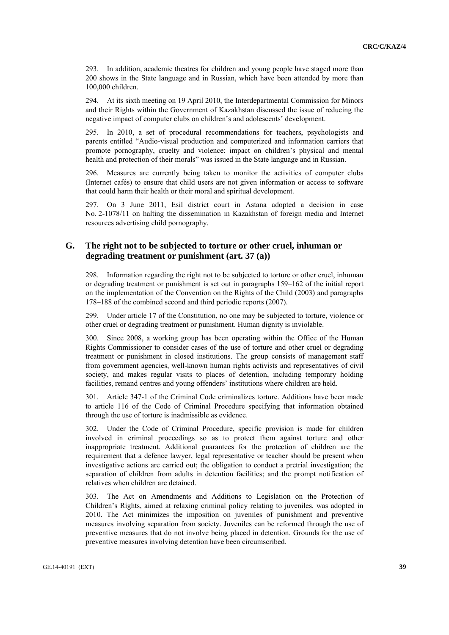293. In addition, academic theatres for children and young people have staged more than 200 shows in the State language and in Russian, which have been attended by more than 100,000 children.

294. At its sixth meeting on 19 April 2010, the Interdepartmental Commission for Minors and their Rights within the Government of Kazakhstan discussed the issue of reducing the negative impact of computer clubs on children's and adolescents' development.

295. In 2010, a set of procedural recommendations for teachers, psychologists and parents entitled "Audio-visual production and computerized and information carriers that promote pornography, cruelty and violence: impact on children's physical and mental health and protection of their morals" was issued in the State language and in Russian.

296. Measures are currently being taken to monitor the activities of computer clubs (Internet cafés) to ensure that child users are not given information or access to software that could harm their health or their moral and spiritual development.

297. On 3 June 2011, Esil district court in Astana adopted a decision in case No. 2-1078/11 on halting the dissemination in Kazakhstan of foreign media and Internet resources advertising child pornography.

## **G. The right not to be subjected to torture or other cruel, inhuman or degrading treatment or punishment (art. 37 (a))**

298. Information regarding the right not to be subjected to torture or other cruel, inhuman or degrading treatment or punishment is set out in paragraphs 159–162 of the initial report on the implementation of the Convention on the Rights of the Child (2003) and paragraphs 178–188 of the combined second and third periodic reports (2007).

299. Under article 17 of the Constitution, no one may be subjected to torture, violence or other cruel or degrading treatment or punishment. Human dignity is inviolable.

Since 2008, a working group has been operating within the Office of the Human Rights Commissioner to consider cases of the use of torture and other cruel or degrading treatment or punishment in closed institutions. The group consists of management staff from government agencies, well-known human rights activists and representatives of civil society, and makes regular visits to places of detention, including temporary holding facilities, remand centres and young offenders' institutions where children are held.

301. Article 347-1 of the Criminal Code criminalizes torture. Additions have been made to article 116 of the Code of Criminal Procedure specifying that information obtained through the use of torture is inadmissible as evidence.

302. Under the Code of Criminal Procedure, specific provision is made for children involved in criminal proceedings so as to protect them against torture and other inappropriate treatment. Additional guarantees for the protection of children are the requirement that a defence lawyer, legal representative or teacher should be present when investigative actions are carried out; the obligation to conduct a pretrial investigation; the separation of children from adults in detention facilities; and the prompt notification of relatives when children are detained.

303. The Act on Amendments and Additions to Legislation on the Protection of Children's Rights, aimed at relaxing criminal policy relating to juveniles, was adopted in 2010. The Act minimizes the imposition on juveniles of punishment and preventive measures involving separation from society. Juveniles can be reformed through the use of preventive measures that do not involve being placed in detention. Grounds for the use of preventive measures involving detention have been circumscribed.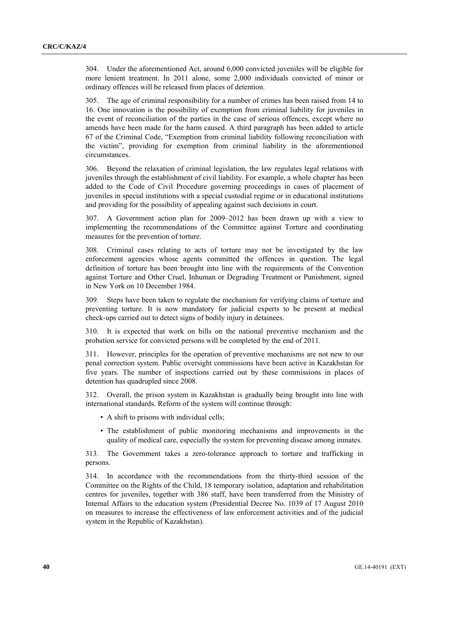304. Under the aforementioned Act, around 6,000 convicted juveniles will be eligible for more lenient treatment. In 2011 alone, some 2,000 individuals convicted of minor or ordinary offences will be released from places of detention.

305. The age of criminal responsibility for a number of crimes has been raised from 14 to 16. One innovation is the possibility of exemption from criminal liability for juveniles in the event of reconciliation of the parties in the case of serious offences, except where no amends have been made for the harm caused. A third paragraph has been added to article 67 of the Criminal Code, "Exemption from criminal liability following reconciliation with the victim", providing for exemption from criminal liability in the aforementioned circumstances.

306. Beyond the relaxation of criminal legislation, the law regulates legal relations with juveniles through the establishment of civil liability. For example, a whole chapter has been added to the Code of Civil Procedure governing proceedings in cases of placement of juveniles in special institutions with a special custodial regime or in educational institutions and providing for the possibility of appealing against such decisions in court.

307. A Government action plan for 2009–2012 has been drawn up with a view to implementing the recommendations of the Committee against Torture and coordinating measures for the prevention of torture.

308. Criminal cases relating to acts of torture may not be investigated by the law enforcement agencies whose agents committed the offences in question. The legal definition of torture has been brought into line with the requirements of the Convention against Torture and Other Cruel, Inhuman or Degrading Treatment or Punishment, signed in New York on 10 December 1984.

309. Steps have been taken to regulate the mechanism for verifying claims of torture and preventing torture. It is now mandatory for judicial experts to be present at medical check-ups carried out to detect signs of bodily injury in detainees.

310. It is expected that work on bills on the national preventive mechanism and the probation service for convicted persons will be completed by the end of 2011.

311. However, principles for the operation of preventive mechanisms are not new to our penal correction system. Public oversight commissions have been active in Kazakhstan for five years. The number of inspections carried out by these commissions in places of detention has quadrupled since 2008.

312. Overall, the prison system in Kazakhstan is gradually being brought into line with international standards. Reform of the system will continue through:

- A shift to prisons with individual cells;
- The establishment of public monitoring mechanisms and improvements in the quality of medical care, especially the system for preventing disease among inmates.

313. The Government takes a zero-tolerance approach to torture and trafficking in persons.

314. In accordance with the recommendations from the thirty-third session of the Committee on the Rights of the Child, 18 temporary isolation, adaptation and rehabilitation centres for juveniles, together with 386 staff, have been transferred from the Ministry of Internal Affairs to the education system (Presidential Decree No. 1039 of 17 August 2010 on measures to increase the effectiveness of law enforcement activities and of the judicial system in the Republic of Kazakhstan).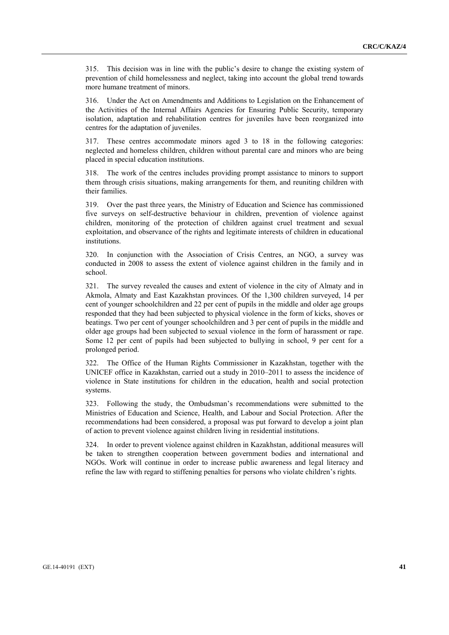315. This decision was in line with the public's desire to change the existing system of prevention of child homelessness and neglect, taking into account the global trend towards more humane treatment of minors.

316. Under the Act on Amendments and Additions to Legislation on the Enhancement of the Activities of the Internal Affairs Agencies for Ensuring Public Security, temporary isolation, adaptation and rehabilitation centres for juveniles have been reorganized into centres for the adaptation of juveniles.

317. These centres accommodate minors aged 3 to 18 in the following categories: neglected and homeless children, children without parental care and minors who are being placed in special education institutions.

318. The work of the centres includes providing prompt assistance to minors to support them through crisis situations, making arrangements for them, and reuniting children with their families.

319. Over the past three years, the Ministry of Education and Science has commissioned five surveys on self-destructive behaviour in children, prevention of violence against children, monitoring of the protection of children against cruel treatment and sexual exploitation, and observance of the rights and legitimate interests of children in educational institutions.

320. In conjunction with the Association of Crisis Centres, an NGO, a survey was conducted in 2008 to assess the extent of violence against children in the family and in school.

321. The survey revealed the causes and extent of violence in the city of Almaty and in Akmola, Almaty and East Kazakhstan provinces. Of the 1,300 children surveyed, 14 per cent of younger schoolchildren and 22 per cent of pupils in the middle and older age groups responded that they had been subjected to physical violence in the form of kicks, shoves or beatings. Two per cent of younger schoolchildren and 3 per cent of pupils in the middle and older age groups had been subjected to sexual violence in the form of harassment or rape. Some 12 per cent of pupils had been subjected to bullying in school, 9 per cent for a prolonged period.

322. The Office of the Human Rights Commissioner in Kazakhstan, together with the UNICEF office in Kazakhstan, carried out a study in 2010–2011 to assess the incidence of violence in State institutions for children in the education, health and social protection systems.

323. Following the study, the Ombudsman's recommendations were submitted to the Ministries of Education and Science, Health, and Labour and Social Protection. After the recommendations had been considered, a proposal was put forward to develop a joint plan of action to prevent violence against children living in residential institutions.

324. In order to prevent violence against children in Kazakhstan, additional measures will be taken to strengthen cooperation between government bodies and international and NGOs. Work will continue in order to increase public awareness and legal literacy and refine the law with regard to stiffening penalties for persons who violate children's rights.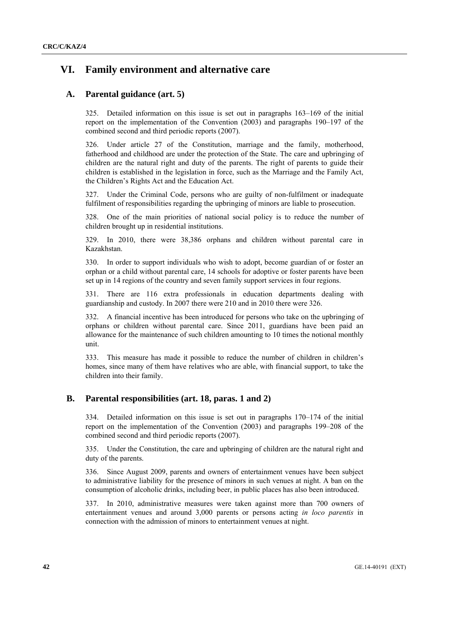# **VI. Family environment and alternative care**

## **A. Parental guidance (art. 5)**

325. Detailed information on this issue is set out in paragraphs 163–169 of the initial report on the implementation of the Convention (2003) and paragraphs 190–197 of the combined second and third periodic reports (2007).

326. Under article 27 of the Constitution, marriage and the family, motherhood, fatherhood and childhood are under the protection of the State. The care and upbringing of children are the natural right and duty of the parents. The right of parents to guide their children is established in the legislation in force, such as the Marriage and the Family Act, the Children's Rights Act and the Education Act.

327. Under the Criminal Code, persons who are guilty of non-fulfilment or inadequate fulfilment of responsibilities regarding the upbringing of minors are liable to prosecution.

328. One of the main priorities of national social policy is to reduce the number of children brought up in residential institutions.

329. In 2010, there were 38,386 orphans and children without parental care in Kazakhstan.

330. In order to support individuals who wish to adopt, become guardian of or foster an orphan or a child without parental care, 14 schools for adoptive or foster parents have been set up in 14 regions of the country and seven family support services in four regions.

331. There are 116 extra professionals in education departments dealing with guardianship and custody. In 2007 there were 210 and in 2010 there were 326.

332. A financial incentive has been introduced for persons who take on the upbringing of orphans or children without parental care. Since 2011, guardians have been paid an allowance for the maintenance of such children amounting to 10 times the notional monthly unit.

333. This measure has made it possible to reduce the number of children in children's homes, since many of them have relatives who are able, with financial support, to take the children into their family.

## **B. Parental responsibilities (art. 18, paras. 1 and 2)**

334. Detailed information on this issue is set out in paragraphs 170–174 of the initial report on the implementation of the Convention (2003) and paragraphs 199–208 of the combined second and third periodic reports (2007).

335. Under the Constitution, the care and upbringing of children are the natural right and duty of the parents.

336. Since August 2009, parents and owners of entertainment venues have been subject to administrative liability for the presence of minors in such venues at night. A ban on the consumption of alcoholic drinks, including beer, in public places has also been introduced.

337. In 2010, administrative measures were taken against more than 700 owners of entertainment venues and around 3,000 parents or persons acting *in loco parentis* in connection with the admission of minors to entertainment venues at night.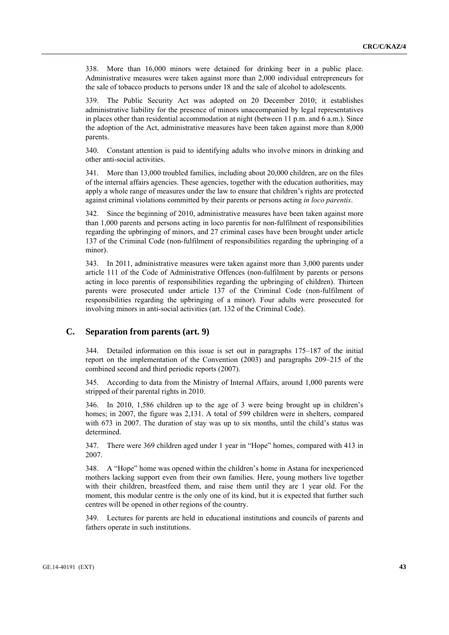338. More than 16,000 minors were detained for drinking beer in a public place. Administrative measures were taken against more than 2,000 individual entrepreneurs for the sale of tobacco products to persons under 18 and the sale of alcohol to adolescents.

339. The Public Security Act was adopted on 20 December 2010; it establishes administrative liability for the presence of minors unaccompanied by legal representatives in places other than residential accommodation at night (between 11 p.m. and 6 a.m.). Since the adoption of the Act, administrative measures have been taken against more than 8,000 parents.

340. Constant attention is paid to identifying adults who involve minors in drinking and other anti-social activities.

341. More than 13,000 troubled families, including about 20,000 children, are on the files of the internal affairs agencies. These agencies, together with the education authorities, may apply a whole range of measures under the law to ensure that children's rights are protected against criminal violations committed by their parents or persons acting *in loco parentis*.

342. Since the beginning of 2010, administrative measures have been taken against more than 1,000 parents and persons acting in loco parentis for non-fulfilment of responsibilities regarding the upbringing of minors, and 27 criminal cases have been brought under article 137 of the Criminal Code (non-fulfilment of responsibilities regarding the upbringing of a minor).

343. In 2011, administrative measures were taken against more than 3,000 parents under article 111 of the Code of Administrative Offences (non-fulfilment by parents or persons acting in loco parentis of responsibilities regarding the upbringing of children). Thirteen parents were prosecuted under article 137 of the Criminal Code (non-fulfilment of responsibilities regarding the upbringing of a minor). Four adults were prosecuted for involving minors in anti-social activities (art. 132 of the Criminal Code).

### **C. Separation from parents (art. 9)**

344. Detailed information on this issue is set out in paragraphs 175–187 of the initial report on the implementation of the Convention (2003) and paragraphs 209–215 of the combined second and third periodic reports (2007).

345. According to data from the Ministry of Internal Affairs, around 1,000 parents were stripped of their parental rights in 2010.

346. In 2010, 1,586 children up to the age of 3 were being brought up in children's homes; in 2007, the figure was 2,131. A total of 599 children were in shelters, compared with 673 in 2007. The duration of stay was up to six months, until the child's status was determined.

347. There were 369 children aged under 1 year in "Hope" homes, compared with 413 in 2007.

348. A "Hope" home was opened within the children's home in Astana for inexperienced mothers lacking support even from their own families. Here, young mothers live together with their children, breastfeed them, and raise them until they are 1 year old. For the moment, this modular centre is the only one of its kind, but it is expected that further such centres will be opened in other regions of the country.

349. Lectures for parents are held in educational institutions and councils of parents and fathers operate in such institutions.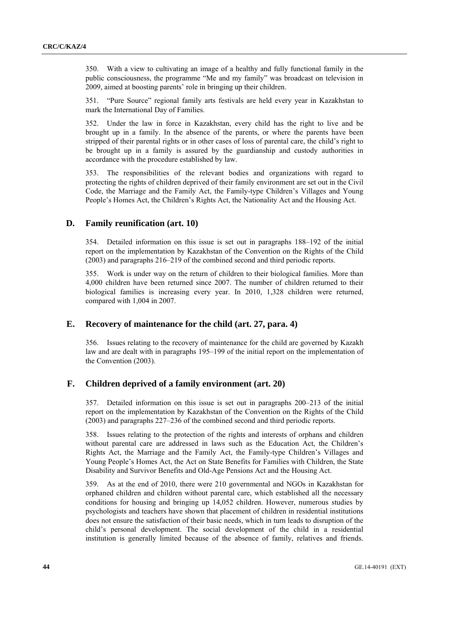350. With a view to cultivating an image of a healthy and fully functional family in the public consciousness, the programme "Me and my family" was broadcast on television in 2009, aimed at boosting parents' role in bringing up their children.

351. "Pure Source" regional family arts festivals are held every year in Kazakhstan to mark the International Day of Families.

352. Under the law in force in Kazakhstan, every child has the right to live and be brought up in a family. In the absence of the parents, or where the parents have been stripped of their parental rights or in other cases of loss of parental care, the child's right to be brought up in a family is assured by the guardianship and custody authorities in accordance with the procedure established by law.

353. The responsibilities of the relevant bodies and organizations with regard to protecting the rights of children deprived of their family environment are set out in the Civil Code, the Marriage and the Family Act, the Family-type Children's Villages and Young People's Homes Act, the Children's Rights Act, the Nationality Act and the Housing Act.

## **D. Family reunification (art. 10)**

354. Detailed information on this issue is set out in paragraphs 188–192 of the initial report on the implementation by Kazakhstan of the Convention on the Rights of the Child (2003) and paragraphs 216–219 of the combined second and third periodic reports.

355. Work is under way on the return of children to their biological families. More than 4,000 children have been returned since 2007. The number of children returned to their biological families is increasing every year. In 2010, 1,328 children were returned, compared with 1,004 in 2007.

## **E. Recovery of maintenance for the child (art. 27, para. 4)**

356. Issues relating to the recovery of maintenance for the child are governed by Kazakh law and are dealt with in paragraphs 195–199 of the initial report on the implementation of the Convention (2003).

## **F. Children deprived of a family environment (art. 20)**

357. Detailed information on this issue is set out in paragraphs 200–213 of the initial report on the implementation by Kazakhstan of the Convention on the Rights of the Child (2003) and paragraphs 227–236 of the combined second and third periodic reports.

358. Issues relating to the protection of the rights and interests of orphans and children without parental care are addressed in laws such as the Education Act, the Children's Rights Act, the Marriage and the Family Act, the Family-type Children's Villages and Young People's Homes Act, the Act on State Benefits for Families with Children, the State Disability and Survivor Benefits and Old-Age Pensions Act and the Housing Act.

359. As at the end of 2010, there were 210 governmental and NGOs in Kazakhstan for orphaned children and children without parental care, which established all the necessary conditions for housing and bringing up 14,052 children. However, numerous studies by psychologists and teachers have shown that placement of children in residential institutions does not ensure the satisfaction of their basic needs, which in turn leads to disruption of the child's personal development. The social development of the child in a residential institution is generally limited because of the absence of family, relatives and friends.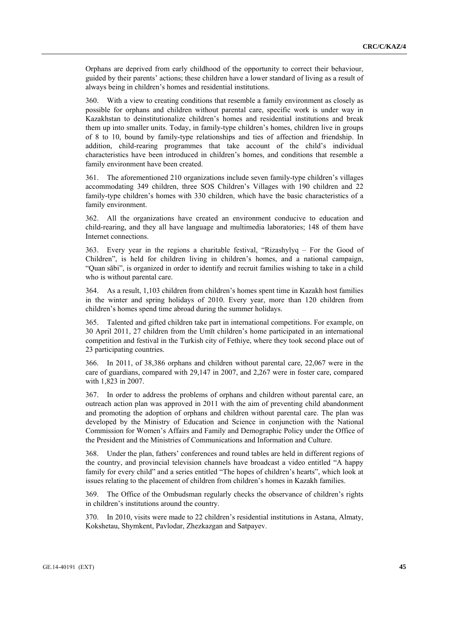Orphans are deprived from early childhood of the opportunity to correct their behaviour, guided by their parents' actions; these children have a lower standard of living as a result of always being in children's homes and residential institutions.

360. With a view to creating conditions that resemble a family environment as closely as possible for orphans and children without parental care, specific work is under way in Kazakhstan to deinstitutionalize children's homes and residential institutions and break them up into smaller units. Today, in family-type children's homes, children live in groups of 8 to 10, bound by family-type relationships and ties of affection and friendship. In addition, child-rearing programmes that take account of the child's individual characteristics have been introduced in children's homes, and conditions that resemble a family environment have been created.

361. The aforementioned 210 organizations include seven family-type children's villages accommodating 349 children, three SOS Children's Villages with 190 children and 22 family-type children's homes with 330 children, which have the basic characteristics of a family environment.

362. All the organizations have created an environment conducive to education and child-rearing, and they all have language and multimedia laboratories; 148 of them have Internet connections.

363. Every year in the regions a charitable festival, "Rizashylyq – For the Good of Children", is held for children living in children's homes, and a national campaign, "Quan săbi", is organized in order to identify and recruit families wishing to take in a child who is without parental care.

364. As a result, 1,103 children from children's homes spent time in Kazakh host families in the winter and spring holidays of 2010. Every year, more than 120 children from children's homes spend time abroad during the summer holidays.

365. Talented and gifted children take part in international competitions. For example, on 30 April 2011, 27 children from the Umīt children's home participated in an international competition and festival in the Turkish city of Fethiye, where they took second place out of 23 participating countries.

366. In 2011, of 38,386 orphans and children without parental care, 22,067 were in the care of guardians, compared with 29,147 in 2007, and 2,267 were in foster care, compared with 1,823 in 2007.

367. In order to address the problems of orphans and children without parental care, an outreach action plan was approved in 2011 with the aim of preventing child abandonment and promoting the adoption of orphans and children without parental care. The plan was developed by the Ministry of Education and Science in conjunction with the National Commission for Women's Affairs and Family and Demographic Policy under the Office of the President and the Ministries of Communications and Information and Culture.

368. Under the plan, fathers' conferences and round tables are held in different regions of the country, and provincial television channels have broadcast a video entitled "A happy family for every child" and a series entitled "The hopes of children's hearts", which look at issues relating to the placement of children from children's homes in Kazakh families.

369. The Office of the Ombudsman regularly checks the observance of children's rights in children's institutions around the country.

370. In 2010, visits were made to 22 children's residential institutions in Astana, Almaty, Kokshetau, Shymkent, Pavlodar, Zhezkazgan and Satpayev.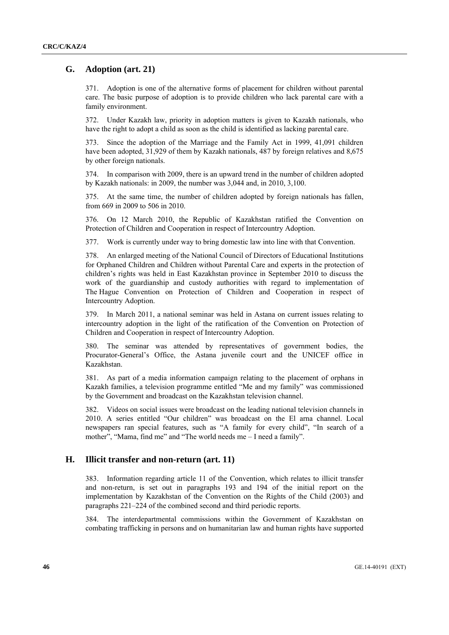## **G. Adoption (art. 21)**

371. Adoption is one of the alternative forms of placement for children without parental care. The basic purpose of adoption is to provide children who lack parental care with a family environment.

372. Under Kazakh law, priority in adoption matters is given to Kazakh nationals, who have the right to adopt a child as soon as the child is identified as lacking parental care.

373. Since the adoption of the Marriage and the Family Act in 1999, 41,091 children have been adopted, 31,929 of them by Kazakh nationals, 487 by foreign relatives and 8,675 by other foreign nationals.

374. In comparison with 2009, there is an upward trend in the number of children adopted by Kazakh nationals: in 2009, the number was 3,044 and, in 2010, 3,100.

375. At the same time, the number of children adopted by foreign nationals has fallen, from 669 in 2009 to 506 in 2010.

376. On 12 March 2010, the Republic of Kazakhstan ratified the Convention on Protection of Children and Cooperation in respect of Intercountry Adoption.

377. Work is currently under way to bring domestic law into line with that Convention.

378. An enlarged meeting of the National Council of Directors of Educational Institutions for Orphaned Children and Children without Parental Care and experts in the protection of children's rights was held in East Kazakhstan province in September 2010 to discuss the work of the guardianship and custody authorities with regard to implementation of The Hague Convention on Protection of Children and Cooperation in respect of Intercountry Adoption.

379. In March 2011, a national seminar was held in Astana on current issues relating to intercountry adoption in the light of the ratification of the Convention on Protection of Children and Cooperation in respect of Intercountry Adoption.

380. The seminar was attended by representatives of government bodies, the Procurator-General's Office, the Astana juvenile court and the UNICEF office in Kazakhstan.

381. As part of a media information campaign relating to the placement of orphans in Kazakh families, a television programme entitled "Me and my family" was commissioned by the Government and broadcast on the Kazakhstan television channel.

382. Videos on social issues were broadcast on the leading national television channels in 2010. A series entitled "Our children" was broadcast on the El arna channel. Local newspapers ran special features, such as "A family for every child", "In search of a mother", "Mama, find me" and "The world needs me – I need a family".

### **H. Illicit transfer and non-return (art. 11)**

383. Information regarding article 11 of the Convention, which relates to illicit transfer and non-return, is set out in paragraphs 193 and 194 of the initial report on the implementation by Kazakhstan of the Convention on the Rights of the Child (2003) and paragraphs 221–224 of the combined second and third periodic reports.

384. The interdepartmental commissions within the Government of Kazakhstan on combating trafficking in persons and on humanitarian law and human rights have supported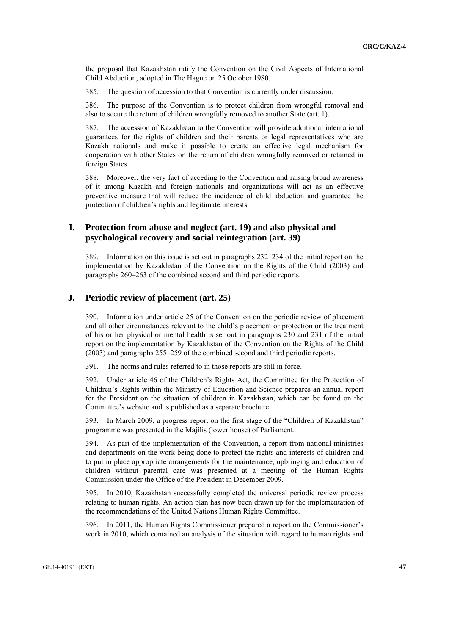the proposal that Kazakhstan ratify the Convention on the Civil Aspects of International Child Abduction, adopted in The Hague on 25 October 1980.

385. The question of accession to that Convention is currently under discussion.

386. The purpose of the Convention is to protect children from wrongful removal and also to secure the return of children wrongfully removed to another State (art. 1).

387. The accession of Kazakhstan to the Convention will provide additional international guarantees for the rights of children and their parents or legal representatives who are Kazakh nationals and make it possible to create an effective legal mechanism for cooperation with other States on the return of children wrongfully removed or retained in foreign States.

388. Moreover, the very fact of acceding to the Convention and raising broad awareness of it among Kazakh and foreign nationals and organizations will act as an effective preventive measure that will reduce the incidence of child abduction and guarantee the protection of children's rights and legitimate interests.

## **I. Protection from abuse and neglect (art. 19) and also physical and psychological recovery and social reintegration (art. 39)**

389. Information on this issue is set out in paragraphs 232–234 of the initial report on the implementation by Kazakhstan of the Convention on the Rights of the Child (2003) and paragraphs 260–263 of the combined second and third periodic reports.

### **J. Periodic review of placement (art. 25)**

390. Information under article 25 of the Convention on the periodic review of placement and all other circumstances relevant to the child's placement or protection or the treatment of his or her physical or mental health is set out in paragraphs 230 and 231 of the initial report on the implementation by Kazakhstan of the Convention on the Rights of the Child (2003) and paragraphs 255–259 of the combined second and third periodic reports.

391. The norms and rules referred to in those reports are still in force.

392. Under article 46 of the Children's Rights Act, the Committee for the Protection of Children's Rights within the Ministry of Education and Science prepares an annual report for the President on the situation of children in Kazakhstan, which can be found on the Committee's website and is published as a separate brochure.

393. In March 2009, a progress report on the first stage of the "Children of Kazakhstan" programme was presented in the Majilis (lower house) of Parliament.

394. As part of the implementation of the Convention, a report from national ministries and departments on the work being done to protect the rights and interests of children and to put in place appropriate arrangements for the maintenance, upbringing and education of children without parental care was presented at a meeting of the Human Rights Commission under the Office of the President in December 2009.

395. In 2010, Kazakhstan successfully completed the universal periodic review process relating to human rights. An action plan has now been drawn up for the implementation of the recommendations of the United Nations Human Rights Committee.

396. In 2011, the Human Rights Commissioner prepared a report on the Commissioner's work in 2010, which contained an analysis of the situation with regard to human rights and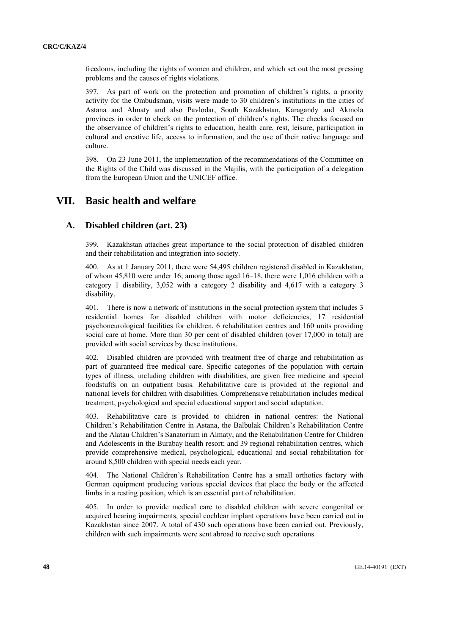freedoms, including the rights of women and children, and which set out the most pressing problems and the causes of rights violations.

397. As part of work on the protection and promotion of children's rights, a priority activity for the Ombudsman, visits were made to 30 children's institutions in the cities of Astana and Almaty and also Pavlodar, South Kazakhstan, Karagandy and Akmola provinces in order to check on the protection of children's rights. The checks focused on the observance of children's rights to education, health care, rest, leisure, participation in cultural and creative life, access to information, and the use of their native language and culture.

398. On 23 June 2011, the implementation of the recommendations of the Committee on the Rights of the Child was discussed in the Majilis, with the participation of a delegation from the European Union and the UNICEF office.

## **VII. Basic health and welfare**

### **A. Disabled children (art. 23)**

399. Kazakhstan attaches great importance to the social protection of disabled children and their rehabilitation and integration into society.

400. As at 1 January 2011, there were 54,495 children registered disabled in Kazakhstan, of whom 45,810 were under 16; among those aged 16–18, there were 1,016 children with a category 1 disability, 3,052 with a category 2 disability and 4,617 with a category 3 disability.

401. There is now a network of institutions in the social protection system that includes 3 residential homes for disabled children with motor deficiencies, 17 residential psychoneurological facilities for children, 6 rehabilitation centres and 160 units providing social care at home. More than 30 per cent of disabled children (over 17,000 in total) are provided with social services by these institutions.

402. Disabled children are provided with treatment free of charge and rehabilitation as part of guaranteed free medical care. Specific categories of the population with certain types of illness, including children with disabilities, are given free medicine and special foodstuffs on an outpatient basis. Rehabilitative care is provided at the regional and national levels for children with disabilities. Comprehensive rehabilitation includes medical treatment, psychological and special educational support and social adaptation.

403. Rehabilitative care is provided to children in national centres: the National Children's Rehabilitation Centre in Astana, the Balbulak Children's Rehabilitation Centre and the Alatau Children's Sanatorium in Almaty, and the Rehabilitation Centre for Children and Adolescents in the Burabay health resort; and 39 regional rehabilitation centres, which provide comprehensive medical, psychological, educational and social rehabilitation for around 8,500 children with special needs each year.

404. The National Children's Rehabilitation Centre has a small orthotics factory with German equipment producing various special devices that place the body or the affected limbs in a resting position, which is an essential part of rehabilitation.

405. In order to provide medical care to disabled children with severe congenital or acquired hearing impairments, special cochlear implant operations have been carried out in Kazakhstan since 2007. A total of 430 such operations have been carried out. Previously, children with such impairments were sent abroad to receive such operations.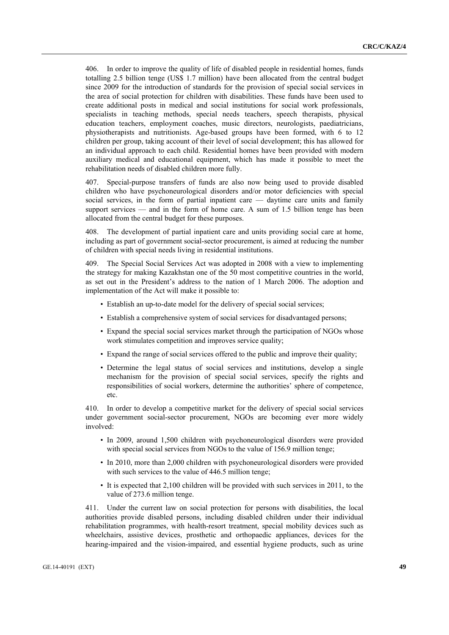406. In order to improve the quality of life of disabled people in residential homes, funds totalling 2.5 billion tenge (US\$ 1.7 million) have been allocated from the central budget since 2009 for the introduction of standards for the provision of special social services in the area of social protection for children with disabilities. These funds have been used to create additional posts in medical and social institutions for social work professionals, specialists in teaching methods, special needs teachers, speech therapists, physical education teachers, employment coaches, music directors, neurologists, paediatricians, physiotherapists and nutritionists. Age-based groups have been formed, with 6 to 12 children per group, taking account of their level of social development; this has allowed for an individual approach to each child. Residential homes have been provided with modern auxiliary medical and educational equipment, which has made it possible to meet the rehabilitation needs of disabled children more fully.

407. Special-purpose transfers of funds are also now being used to provide disabled children who have psychoneurological disorders and/or motor deficiencies with special social services, in the form of partial inpatient care — daytime care units and family support services — and in the form of home care. A sum of 1.5 billion tenge has been allocated from the central budget for these purposes.

408. The development of partial inpatient care and units providing social care at home, including as part of government social-sector procurement, is aimed at reducing the number of children with special needs living in residential institutions.

409. The Special Social Services Act was adopted in 2008 with a view to implementing the strategy for making Kazakhstan one of the 50 most competitive countries in the world, as set out in the President's address to the nation of 1 March 2006. The adoption and implementation of the Act will make it possible to:

- Establish an up-to-date model for the delivery of special social services;
- Establish a comprehensive system of social services for disadvantaged persons;
- Expand the special social services market through the participation of NGOs whose work stimulates competition and improves service quality;
- Expand the range of social services offered to the public and improve their quality;
- Determine the legal status of social services and institutions, develop a single mechanism for the provision of special social services, specify the rights and responsibilities of social workers, determine the authorities' sphere of competence, etc.

410. In order to develop a competitive market for the delivery of special social services under government social-sector procurement, NGOs are becoming ever more widely involved:

- In 2009, around 1,500 children with psychoneurological disorders were provided with special social services from NGOs to the value of 156.9 million tenge;
- In 2010, more than 2,000 children with psychoneurological disorders were provided with such services to the value of 446.5 million tenge;
- It is expected that 2,100 children will be provided with such services in 2011, to the value of 273.6 million tenge.

411. Under the current law on social protection for persons with disabilities, the local authorities provide disabled persons, including disabled children under their individual rehabilitation programmes, with health-resort treatment, special mobility devices such as wheelchairs, assistive devices, prosthetic and orthopaedic appliances, devices for the hearing-impaired and the vision-impaired, and essential hygiene products, such as urine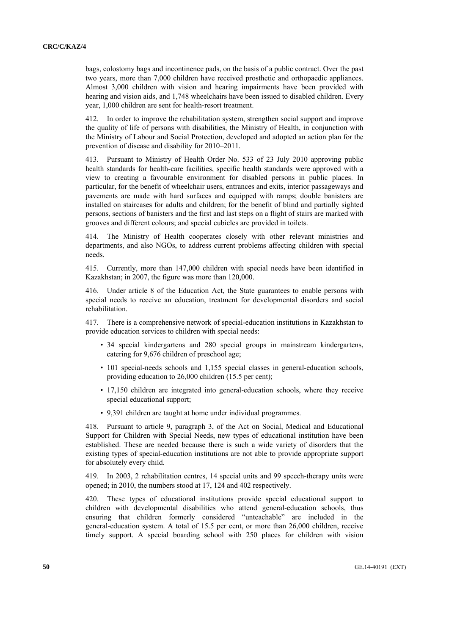bags, colostomy bags and incontinence pads, on the basis of a public contract. Over the past two years, more than 7,000 children have received prosthetic and orthopaedic appliances. Almost 3,000 children with vision and hearing impairments have been provided with hearing and vision aids, and 1,748 wheelchairs have been issued to disabled children. Every year, 1,000 children are sent for health-resort treatment.

412. In order to improve the rehabilitation system, strengthen social support and improve the quality of life of persons with disabilities, the Ministry of Health, in conjunction with the Ministry of Labour and Social Protection, developed and adopted an action plan for the prevention of disease and disability for 2010–2011.

413. Pursuant to Ministry of Health Order No. 533 of 23 July 2010 approving public health standards for health-care facilities, specific health standards were approved with a view to creating a favourable environment for disabled persons in public places. In particular, for the benefit of wheelchair users, entrances and exits, interior passageways and pavements are made with hard surfaces and equipped with ramps; double banisters are installed on staircases for adults and children; for the benefit of blind and partially sighted persons, sections of banisters and the first and last steps on a flight of stairs are marked with grooves and different colours; and special cubicles are provided in toilets.

414. The Ministry of Health cooperates closely with other relevant ministries and departments, and also NGOs, to address current problems affecting children with special needs.

415. Currently, more than 147,000 children with special needs have been identified in Kazakhstan; in 2007, the figure was more than 120,000.

416. Under article 8 of the Education Act, the State guarantees to enable persons with special needs to receive an education, treatment for developmental disorders and social rehabilitation.

417. There is a comprehensive network of special-education institutions in Kazakhstan to provide education services to children with special needs:

- 34 special kindergartens and 280 special groups in mainstream kindergartens, catering for 9,676 children of preschool age;
- 101 special-needs schools and 1,155 special classes in general-education schools, providing education to 26,000 children (15.5 per cent);
- 17,150 children are integrated into general-education schools, where they receive special educational support;
- 9,391 children are taught at home under individual programmes.

418. Pursuant to article 9, paragraph 3, of the Act on Social, Medical and Educational Support for Children with Special Needs, new types of educational institution have been established. These are needed because there is such a wide variety of disorders that the existing types of special-education institutions are not able to provide appropriate support for absolutely every child.

419. In 2003, 2 rehabilitation centres, 14 special units and 99 speech-therapy units were opened; in 2010, the numbers stood at 17, 124 and 402 respectively.

420. These types of educational institutions provide special educational support to children with developmental disabilities who attend general-education schools, thus ensuring that children formerly considered "unteachable" are included in the general-education system. A total of 15.5 per cent, or more than 26,000 children, receive timely support. A special boarding school with 250 places for children with vision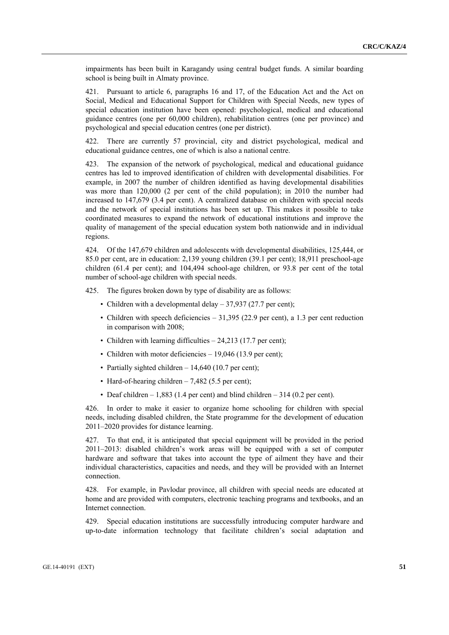impairments has been built in Karagandy using central budget funds. A similar boarding school is being built in Almaty province.

421. Pursuant to article 6, paragraphs 16 and 17, of the Education Act and the Act on Social, Medical and Educational Support for Children with Special Needs, new types of special education institution have been opened: psychological, medical and educational guidance centres (one per 60,000 children), rehabilitation centres (one per province) and psychological and special education centres (one per district).

422. There are currently 57 provincial, city and district psychological, medical and educational guidance centres, one of which is also a national centre.

423. The expansion of the network of psychological, medical and educational guidance centres has led to improved identification of children with developmental disabilities. For example, in 2007 the number of children identified as having developmental disabilities was more than 120,000 (2 per cent of the child population); in 2010 the number had increased to 147,679 (3.4 per cent). A centralized database on children with special needs and the network of special institutions has been set up. This makes it possible to take coordinated measures to expand the network of educational institutions and improve the quality of management of the special education system both nationwide and in individual regions.

424. Of the 147,679 children and adolescents with developmental disabilities, 125,444, or 85.0 per cent, are in education: 2,139 young children (39.1 per cent); 18,911 preschool-age children (61.4 per cent); and 104,494 school-age children, or 93.8 per cent of the total number of school-age children with special needs.

425. The figures broken down by type of disability are as follows:

- Children with a developmental delay 37,937 (27.7 per cent);
- Children with speech deficiencies 31,395 (22.9 per cent), a 1.3 per cent reduction in comparison with 2008;
- Children with learning difficulties 24,213 (17.7 per cent);
- Children with motor deficiencies 19,046 (13.9 per cent);
- Partially sighted children 14,640 (10.7 per cent);
- Hard-of-hearing children 7,482 (5.5 per cent);
- Deaf children  $-1,883$  (1.4 per cent) and blind children  $-314$  (0.2 per cent).

426. In order to make it easier to organize home schooling for children with special needs, including disabled children, the State programme for the development of education 2011–2020 provides for distance learning.

427. To that end, it is anticipated that special equipment will be provided in the period 2011–2013: disabled children's work areas will be equipped with a set of computer hardware and software that takes into account the type of ailment they have and their individual characteristics, capacities and needs, and they will be provided with an Internet connection.

428. For example, in Pavlodar province, all children with special needs are educated at home and are provided with computers, electronic teaching programs and textbooks, and an Internet connection.

429. Special education institutions are successfully introducing computer hardware and up-to-date information technology that facilitate children's social adaptation and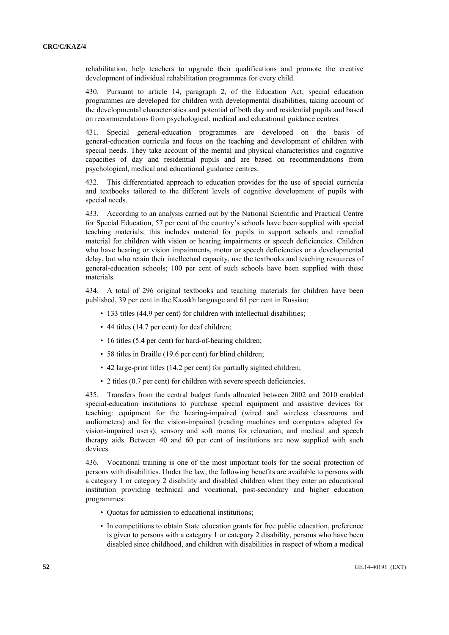rehabilitation, help teachers to upgrade their qualifications and promote the creative development of individual rehabilitation programmes for every child.

430. Pursuant to article 14, paragraph 2, of the Education Act, special education programmes are developed for children with developmental disabilities, taking account of the developmental characteristics and potential of both day and residential pupils and based on recommendations from psychological, medical and educational guidance centres.

431. Special general-education programmes are developed on the basis of general-education curricula and focus on the teaching and development of children with special needs. They take account of the mental and physical characteristics and cognitive capacities of day and residential pupils and are based on recommendations from psychological, medical and educational guidance centres.

432. This differentiated approach to education provides for the use of special curricula and textbooks tailored to the different levels of cognitive development of pupils with special needs.

433. According to an analysis carried out by the National Scientific and Practical Centre for Special Education, 57 per cent of the country's schools have been supplied with special teaching materials; this includes material for pupils in support schools and remedial material for children with vision or hearing impairments or speech deficiencies. Children who have hearing or vision impairments, motor or speech deficiencies or a developmental delay, but who retain their intellectual capacity, use the textbooks and teaching resources of general-education schools; 100 per cent of such schools have been supplied with these materials.

434. A total of 296 original textbooks and teaching materials for children have been published, 39 per cent in the Kazakh language and 61 per cent in Russian:

- 133 titles (44.9 per cent) for children with intellectual disabilities;
- 44 titles (14.7 per cent) for deaf children;
- 16 titles (5.4 per cent) for hard-of-hearing children;
- 58 titles in Braille (19.6 per cent) for blind children;
- 42 large-print titles (14.2 per cent) for partially sighted children;
- 2 titles (0.7 per cent) for children with severe speech deficiencies.

435. Transfers from the central budget funds allocated between 2002 and 2010 enabled special-education institutions to purchase special equipment and assistive devices for teaching: equipment for the hearing-impaired (wired and wireless classrooms and audiometers) and for the vision-impaired (reading machines and computers adapted for vision-impaired users); sensory and soft rooms for relaxation; and medical and speech therapy aids. Between 40 and 60 per cent of institutions are now supplied with such devices.

436. Vocational training is one of the most important tools for the social protection of persons with disabilities. Under the law, the following benefits are available to persons with a category 1 or category 2 disability and disabled children when they enter an educational institution providing technical and vocational, post-secondary and higher education programmes:

- Quotas for admission to educational institutions;
- In competitions to obtain State education grants for free public education, preference is given to persons with a category 1 or category 2 disability, persons who have been disabled since childhood, and children with disabilities in respect of whom a medical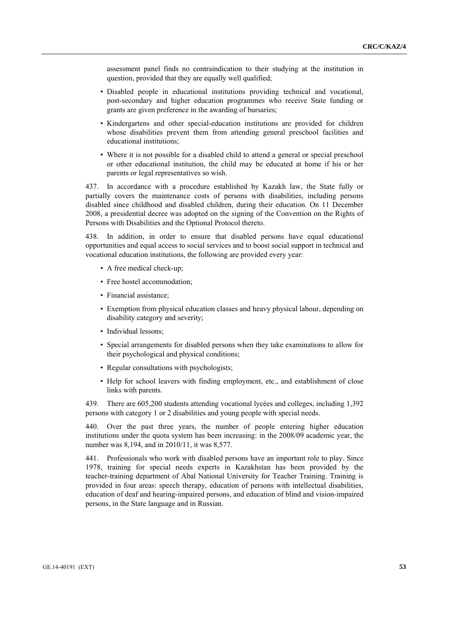assessment panel finds no contraindication to their studying at the institution in question, provided that they are equally well qualified;

- Disabled people in educational institutions providing technical and vocational, post-secondary and higher education programmes who receive State funding or grants are given preference in the awarding of bursaries;
- Kindergartens and other special-education institutions are provided for children whose disabilities prevent them from attending general preschool facilities and educational institutions;
- Where it is not possible for a disabled child to attend a general or special preschool or other educational institution, the child may be educated at home if his or her parents or legal representatives so wish.

437. In accordance with a procedure established by Kazakh law, the State fully or partially covers the maintenance costs of persons with disabilities, including persons disabled since childhood and disabled children, during their education. On 11 December 2008, a presidential decree was adopted on the signing of the Convention on the Rights of Persons with Disabilities and the Optional Protocol thereto.

438. In addition, in order to ensure that disabled persons have equal educational opportunities and equal access to social services and to boost social support in technical and vocational education institutions, the following are provided every year:

- A free medical check-up;
- Free hostel accommodation;
- Financial assistance:
- Exemption from physical education classes and heavy physical labour, depending on disability category and severity;
- Individual lessons;
- Special arrangements for disabled persons when they take examinations to allow for their psychological and physical conditions;
- Regular consultations with psychologists;
- Help for school leavers with finding employment, etc., and establishment of close links with parents.

439. There are 605,200 students attending vocational lycées and colleges, including 1,392 persons with category 1 or 2 disabilities and young people with special needs.

440. Over the past three years, the number of people entering higher education institutions under the quota system has been increasing: in the 2008/09 academic year, the number was 8,194, and in 2010/11, it was 8,577.

441. Professionals who work with disabled persons have an important role to play. Since 1978, training for special needs experts in Kazakhstan has been provided by the teacher-training department of Abaĭ National University for Teacher Training. Training is provided in four areas: speech therapy, education of persons with intellectual disabilities, education of deaf and hearing-impaired persons, and education of blind and vision-impaired persons, in the State language and in Russian.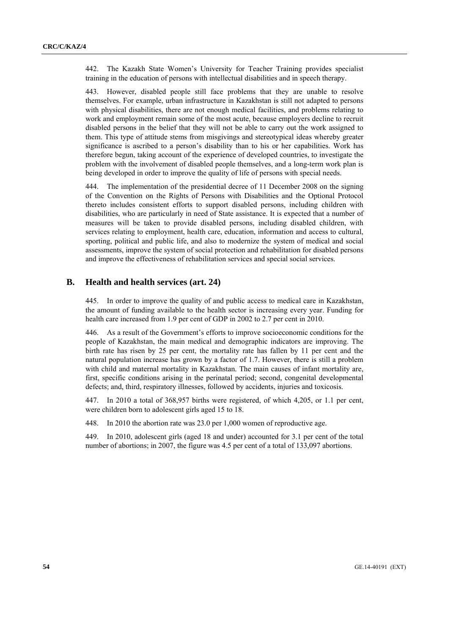442. The Kazakh State Women's University for Teacher Training provides specialist training in the education of persons with intellectual disabilities and in speech therapy.

443. However, disabled people still face problems that they are unable to resolve themselves. For example, urban infrastructure in Kazakhstan is still not adapted to persons with physical disabilities, there are not enough medical facilities, and problems relating to work and employment remain some of the most acute, because employers decline to recruit disabled persons in the belief that they will not be able to carry out the work assigned to them. This type of attitude stems from misgivings and stereotypical ideas whereby greater significance is ascribed to a person's disability than to his or her capabilities. Work has therefore begun, taking account of the experience of developed countries, to investigate the problem with the involvement of disabled people themselves, and a long-term work plan is being developed in order to improve the quality of life of persons with special needs.

444. The implementation of the presidential decree of 11 December 2008 on the signing of the Convention on the Rights of Persons with Disabilities and the Optional Protocol thereto includes consistent efforts to support disabled persons, including children with disabilities, who are particularly in need of State assistance. It is expected that a number of measures will be taken to provide disabled persons, including disabled children, with services relating to employment, health care, education, information and access to cultural, sporting, political and public life, and also to modernize the system of medical and social assessments, improve the system of social protection and rehabilitation for disabled persons and improve the effectiveness of rehabilitation services and special social services.

### **B. Health and health services (art. 24)**

445. In order to improve the quality of and public access to medical care in Kazakhstan, the amount of funding available to the health sector is increasing every year. Funding for health care increased from 1.9 per cent of GDP in 2002 to 2.7 per cent in 2010.

446. As a result of the Government's efforts to improve socioeconomic conditions for the people of Kazakhstan, the main medical and demographic indicators are improving. The birth rate has risen by 25 per cent, the mortality rate has fallen by 11 per cent and the natural population increase has grown by a factor of 1.7. However, there is still a problem with child and maternal mortality in Kazakhstan. The main causes of infant mortality are, first, specific conditions arising in the perinatal period; second, congenital developmental defects; and, third, respiratory illnesses, followed by accidents, injuries and toxicosis.

447. In 2010 a total of 368,957 births were registered, of which 4,205, or 1.1 per cent, were children born to adolescent girls aged 15 to 18.

448. In 2010 the abortion rate was 23.0 per 1,000 women of reproductive age.

449. In 2010, adolescent girls (aged 18 and under) accounted for 3.1 per cent of the total number of abortions; in 2007, the figure was 4.5 per cent of a total of 133,097 abortions.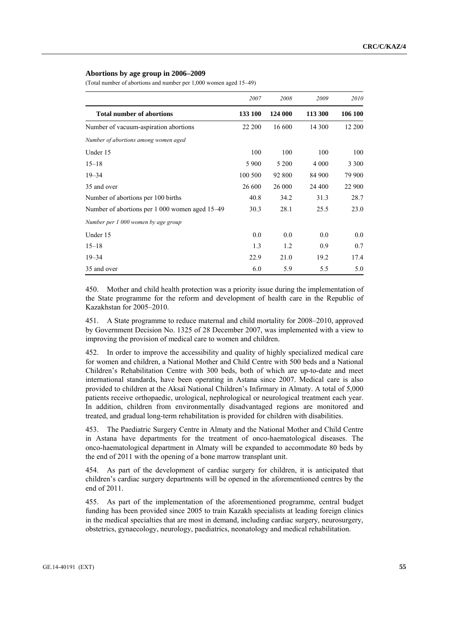#### **Abortions by age group in 2006–2009**

(Total number of abortions and number per 1,000 women aged 15–49)

|                                                | 2007    | 2008    | 2009    | 2010    |
|------------------------------------------------|---------|---------|---------|---------|
| <b>Total number of abortions</b>               | 133 100 | 124 000 | 113 300 | 106 100 |
| Number of vacuum-aspiration abortions          | 22 200  | 16 600  | 14 300  | 12 200  |
| Number of abortions among women aged           |         |         |         |         |
| Under 15                                       | 100     | 100     | 100     | 100     |
| $15 - 18$                                      | 5 9 0 0 | 5 200   | 4 0 0 0 | 3 3 0 0 |
| $19 - 34$                                      | 100 500 | 92 800  | 84 900  | 79 900  |
| 35 and over                                    | 26 600  | 26 000  | 24 400  | 22 900  |
| Number of abortions per 100 births             | 40.8    | 34.2    | 31.3    | 28.7    |
| Number of abortions per 1 000 women aged 15-49 | 30.3    | 28.1    | 25.5    | 23.0    |
| Number per 1 000 women by age group            |         |         |         |         |
| Under 15                                       | 0.0     | 0.0     | 0.0     | 0.0     |
| $15 - 18$                                      | 1.3     | 1.2     | 0.9     | 0.7     |
| $19 - 34$                                      | 22.9    | 21.0    | 19.2    | 17.4    |
| 35 and over                                    | 6.0     | 5.9     | 5.5     | 5.0     |

450. Mother and child health protection was a priority issue during the implementation of the State programme for the reform and development of health care in the Republic of Kazakhstan for 2005–2010.

451. A State programme to reduce maternal and child mortality for 2008–2010, approved by Government Decision No. 1325 of 28 December 2007, was implemented with a view to improving the provision of medical care to women and children.

452. In order to improve the accessibility and quality of highly specialized medical care for women and children, a National Mother and Child Centre with 500 beds and a National Children's Rehabilitation Centre with 300 beds, both of which are up-to-date and meet international standards, have been operating in Astana since 2007. Medical care is also provided to children at the Aksaĭ National Children's Infirmary in Almaty. A total of 5,000 patients receive orthopaedic, urological, nephrological or neurological treatment each year. In addition, children from environmentally disadvantaged regions are monitored and treated, and gradual long-term rehabilitation is provided for children with disabilities.

453. The Paediatric Surgery Centre in Almaty and the National Mother and Child Centre in Astana have departments for the treatment of onco-haematological diseases. The onco-haematological department in Almaty will be expanded to accommodate 80 beds by the end of 2011 with the opening of a bone marrow transplant unit.

454. As part of the development of cardiac surgery for children, it is anticipated that children's cardiac surgery departments will be opened in the aforementioned centres by the end of 2011.

455. As part of the implementation of the aforementioned programme, central budget funding has been provided since 2005 to train Kazakh specialists at leading foreign clinics in the medical specialties that are most in demand, including cardiac surgery, neurosurgery, obstetrics, gynaecology, neurology, paediatrics, neonatology and medical rehabilitation.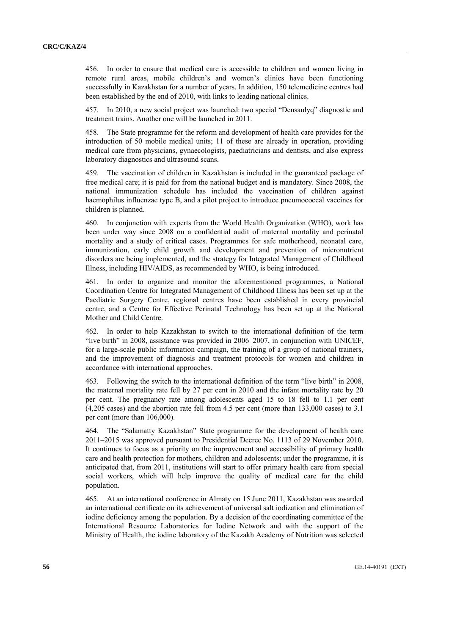456. In order to ensure that medical care is accessible to children and women living in remote rural areas, mobile children's and women's clinics have been functioning successfully in Kazakhstan for a number of years. In addition, 150 telemedicine centres had been established by the end of 2010, with links to leading national clinics.

457. In 2010, a new social project was launched: two special "Densaulyq" diagnostic and treatment trains. Another one will be launched in 2011.

458. The State programme for the reform and development of health care provides for the introduction of 50 mobile medical units; 11 of these are already in operation, providing medical care from physicians, gynaecologists, paediatricians and dentists, and also express laboratory diagnostics and ultrasound scans.

459. The vaccination of children in Kazakhstan is included in the guaranteed package of free medical care; it is paid for from the national budget and is mandatory. Since 2008, the national immunization schedule has included the vaccination of children against haemophilus influenzae type B, and a pilot project to introduce pneumococcal vaccines for children is planned.

460. In conjunction with experts from the World Health Organization (WHO), work has been under way since 2008 on a confidential audit of maternal mortality and perinatal mortality and a study of critical cases. Programmes for safe motherhood, neonatal care, immunization, early child growth and development and prevention of micronutrient disorders are being implemented, and the strategy for Integrated Management of Childhood Illness, including HIV/AIDS, as recommended by WHO, is being introduced.

461. In order to organize and monitor the aforementioned programmes, a National Coordination Centre for Integrated Management of Childhood Illness has been set up at the Paediatric Surgery Centre, regional centres have been established in every provincial centre, and a Centre for Effective Perinatal Technology has been set up at the National Mother and Child Centre.

462. In order to help Kazakhstan to switch to the international definition of the term "live birth" in 2008, assistance was provided in 2006–2007, in conjunction with UNICEF, for a large-scale public information campaign, the training of a group of national trainers, and the improvement of diagnosis and treatment protocols for women and children in accordance with international approaches.

463. Following the switch to the international definition of the term "live birth" in 2008, the maternal mortality rate fell by 27 per cent in 2010 and the infant mortality rate by 20 per cent. The pregnancy rate among adolescents aged 15 to 18 fell to 1.1 per cent (4,205 cases) and the abortion rate fell from 4.5 per cent (more than 133,000 cases) to 3.1 per cent (more than 106,000).

464. The "Salamatty Kazakhstan" State programme for the development of health care 2011–2015 was approved pursuant to Presidential Decree No. 1113 of 29 November 2010. It continues to focus as a priority on the improvement and accessibility of primary health care and health protection for mothers, children and adolescents; under the programme, it is anticipated that, from 2011, institutions will start to offer primary health care from special social workers, which will help improve the quality of medical care for the child population.

465. At an international conference in Almaty on 15 June 2011, Kazakhstan was awarded an international certificate on its achievement of universal salt iodization and elimination of iodine deficiency among the population. By a decision of the coordinating committee of the International Resource Laboratories for Iodine Network and with the support of the Ministry of Health, the iodine laboratory of the Kazakh Academy of Nutrition was selected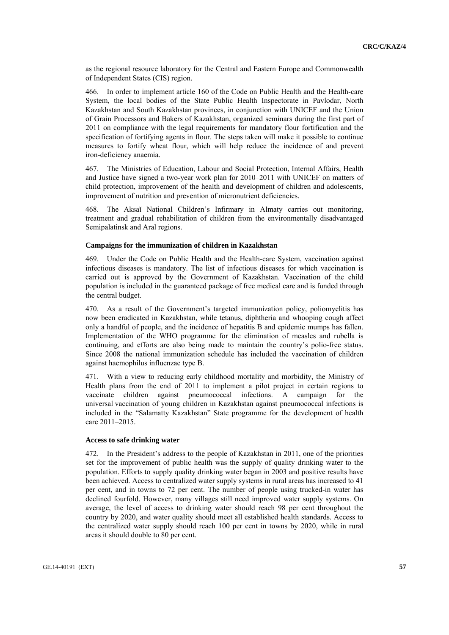as the regional resource laboratory for the Central and Eastern Europe and Commonwealth of Independent States (CIS) region.

466. In order to implement article 160 of the Code on Public Health and the Health-care System, the local bodies of the State Public Health Inspectorate in Pavlodar, North Kazakhstan and South Kazakhstan provinces, in conjunction with UNICEF and the Union of Grain Processors and Bakers of Kazakhstan, organized seminars during the first part of 2011 on compliance with the legal requirements for mandatory flour fortification and the specification of fortifying agents in flour. The steps taken will make it possible to continue measures to fortify wheat flour, which will help reduce the incidence of and prevent iron-deficiency anaemia.

467. The Ministries of Education, Labour and Social Protection, Internal Affairs, Health and Justice have signed a two-year work plan for 2010–2011 with UNICEF on matters of child protection, improvement of the health and development of children and adolescents, improvement of nutrition and prevention of micronutrient deficiencies.

468. The Aksaĭ National Children's Infirmary in Almaty carries out monitoring, treatment and gradual rehabilitation of children from the environmentally disadvantaged Semipalatinsk and Aral regions.

#### **Campaigns for the immunization of children in Kazakhstan**

469. Under the Code on Public Health and the Health-care System, vaccination against infectious diseases is mandatory. The list of infectious diseases for which vaccination is carried out is approved by the Government of Kazakhstan. Vaccination of the child population is included in the guaranteed package of free medical care and is funded through the central budget.

470. As a result of the Government's targeted immunization policy, poliomyelitis has now been eradicated in Kazakhstan, while tetanus, diphtheria and whooping cough affect only a handful of people, and the incidence of hepatitis B and epidemic mumps has fallen. Implementation of the WHO programme for the elimination of measles and rubella is continuing, and efforts are also being made to maintain the country's polio-free status. Since 2008 the national immunization schedule has included the vaccination of children against haemophilus influenzae type B.

471. With a view to reducing early childhood mortality and morbidity, the Ministry of Health plans from the end of 2011 to implement a pilot project in certain regions to vaccinate children against pneumococcal infections. A campaign for the universal vaccination of young children in Kazakhstan against pneumococcal infections is included in the "Salamatty Kazakhstan" State programme for the development of health care 2011–2015.

#### **Access to safe drinking water**

472. In the President's address to the people of Kazakhstan in 2011, one of the priorities set for the improvement of public health was the supply of quality drinking water to the population. Efforts to supply quality drinking water began in 2003 and positive results have been achieved. Access to centralized water supply systems in rural areas has increased to 41 per cent, and in towns to 72 per cent. The number of people using trucked-in water has declined fourfold. However, many villages still need improved water supply systems. On average, the level of access to drinking water should reach 98 per cent throughout the country by 2020, and water quality should meet all established health standards. Access to the centralized water supply should reach 100 per cent in towns by 2020, while in rural areas it should double to 80 per cent.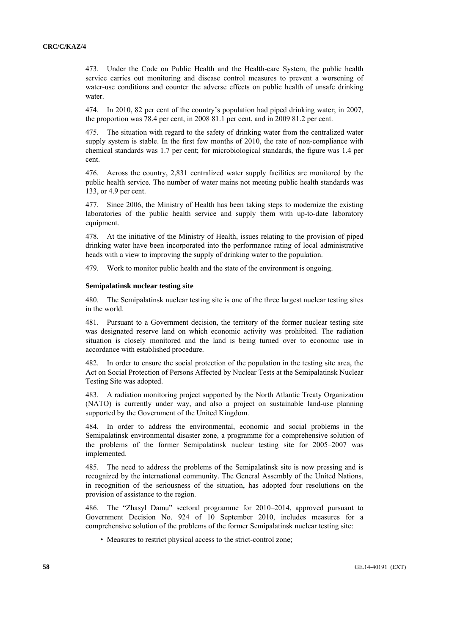473. Under the Code on Public Health and the Health-care System, the public health service carries out monitoring and disease control measures to prevent a worsening of water-use conditions and counter the adverse effects on public health of unsafe drinking water.

474. In 2010, 82 per cent of the country's population had piped drinking water; in 2007, the proportion was 78.4 per cent, in 2008 81.1 per cent, and in 2009 81.2 per cent.

475. The situation with regard to the safety of drinking water from the centralized water supply system is stable. In the first few months of 2010, the rate of non-compliance with chemical standards was 1.7 per cent; for microbiological standards, the figure was 1.4 per cent.

476. Across the country, 2,831 centralized water supply facilities are monitored by the public health service. The number of water mains not meeting public health standards was 133, or 4.9 per cent.

477. Since 2006, the Ministry of Health has been taking steps to modernize the existing laboratories of the public health service and supply them with up-to-date laboratory equipment.

478. At the initiative of the Ministry of Health, issues relating to the provision of piped drinking water have been incorporated into the performance rating of local administrative heads with a view to improving the supply of drinking water to the population.

479. Work to monitor public health and the state of the environment is ongoing.

#### **Semipalatinsk nuclear testing site**

480. The Semipalatinsk nuclear testing site is one of the three largest nuclear testing sites in the world.

481. Pursuant to a Government decision, the territory of the former nuclear testing site was designated reserve land on which economic activity was prohibited. The radiation situation is closely monitored and the land is being turned over to economic use in accordance with established procedure.

482. In order to ensure the social protection of the population in the testing site area, the Act on Social Protection of Persons Affected by Nuclear Tests at the Semipalatinsk Nuclear Testing Site was adopted.

483. A radiation monitoring project supported by the North Atlantic Treaty Organization (NATO) is currently under way, and also a project on sustainable land-use planning supported by the Government of the United Kingdom.

484. In order to address the environmental, economic and social problems in the Semipalatinsk environmental disaster zone, a programme for a comprehensive solution of the problems of the former Semipalatinsk nuclear testing site for 2005–2007 was implemented.

485. The need to address the problems of the Semipalatinsk site is now pressing and is recognized by the international community. The General Assembly of the United Nations, in recognition of the seriousness of the situation, has adopted four resolutions on the provision of assistance to the region.

486. The "Zhasyl Damu" sectoral programme for 2010–2014, approved pursuant to Government Decision No. 924 of 10 September 2010, includes measures for a comprehensive solution of the problems of the former Semipalatinsk nuclear testing site:

• Measures to restrict physical access to the strict-control zone;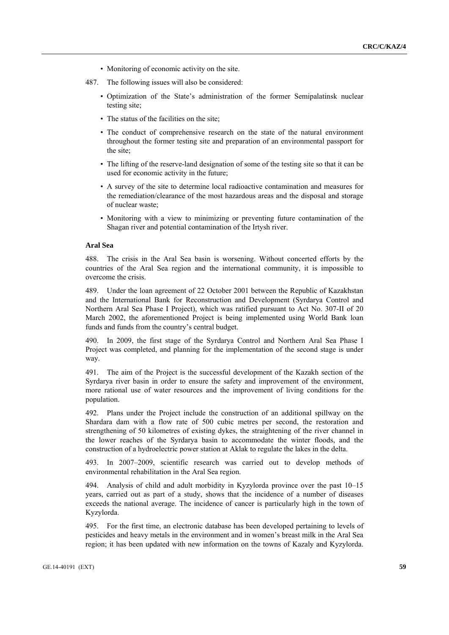- Monitoring of economic activity on the site.
- 487. The following issues will also be considered:
	- Optimization of the State's administration of the former Semipalatinsk nuclear testing site;
	- The status of the facilities on the site;
	- The conduct of comprehensive research on the state of the natural environment throughout the former testing site and preparation of an environmental passport for the site;
	- The lifting of the reserve-land designation of some of the testing site so that it can be used for economic activity in the future;
	- A survey of the site to determine local radioactive contamination and measures for the remediation/clearance of the most hazardous areas and the disposal and storage of nuclear waste;
	- Monitoring with a view to minimizing or preventing future contamination of the Shagan river and potential contamination of the Irtysh river.

#### **Aral Sea**

488. The crisis in the Aral Sea basin is worsening. Without concerted efforts by the countries of the Aral Sea region and the international community, it is impossible to overcome the crisis.

489. Under the loan agreement of 22 October 2001 between the Republic of Kazakhstan and the International Bank for Reconstruction and Development (Syrdarya Control and Northern Aral Sea Phase I Project), which was ratified pursuant to Act No. 307-II of 20 March 2002, the aforementioned Project is being implemented using World Bank loan funds and funds from the country's central budget.

490. In 2009, the first stage of the Syrdarya Control and Northern Aral Sea Phase I Project was completed, and planning for the implementation of the second stage is under way.

491. The aim of the Project is the successful development of the Kazakh section of the Syrdarya river basin in order to ensure the safety and improvement of the environment, more rational use of water resources and the improvement of living conditions for the population.

492. Plans under the Project include the construction of an additional spillway on the Shardara dam with a flow rate of 500 cubic metres per second, the restoration and strengthening of 50 kilometres of existing dykes, the straightening of the river channel in the lower reaches of the Syrdarya basin to accommodate the winter floods, and the construction of a hydroelectric power station at Aklak to regulate the lakes in the delta.

493. In 2007–2009, scientific research was carried out to develop methods of environmental rehabilitation in the Aral Sea region.

494. Analysis of child and adult morbidity in Kyzylorda province over the past 10–15 years, carried out as part of a study, shows that the incidence of a number of diseases exceeds the national average. The incidence of cancer is particularly high in the town of Kyzylorda.

495. For the first time, an electronic database has been developed pertaining to levels of pesticides and heavy metals in the environment and in women's breast milk in the Aral Sea region; it has been updated with new information on the towns of Kazaly and Kyzylorda.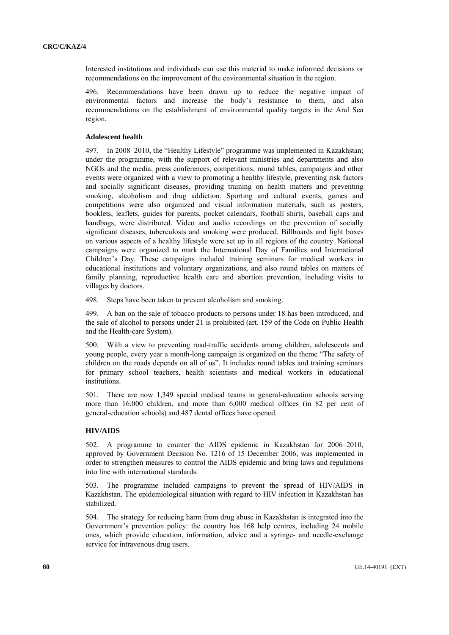Interested institutions and individuals can use this material to make informed decisions or recommendations on the improvement of the environmental situation in the region.

496. Recommendations have been drawn up to reduce the negative impact of environmental factors and increase the body's resistance to them, and also recommendations on the establishment of environmental quality targets in the Aral Sea region.

#### **Adolescent health**

497. In 2008–2010, the "Healthy Lifestyle" programme was implemented in Kazakhstan; under the programme, with the support of relevant ministries and departments and also NGOs and the media, press conferences, competitions, round tables, campaigns and other events were organized with a view to promoting a healthy lifestyle, preventing risk factors and socially significant diseases, providing training on health matters and preventing smoking, alcoholism and drug addiction. Sporting and cultural events, games and competitions were also organized and visual information materials, such as posters, booklets, leaflets, guides for parents, pocket calendars, football shirts, baseball caps and handbags, were distributed. Video and audio recordings on the prevention of socially significant diseases, tuberculosis and smoking were produced. Billboards and light boxes on various aspects of a healthy lifestyle were set up in all regions of the country. National campaigns were organized to mark the International Day of Families and International Children's Day. These campaigns included training seminars for medical workers in educational institutions and voluntary organizations, and also round tables on matters of family planning, reproductive health care and abortion prevention, including visits to villages by doctors.

498. Steps have been taken to prevent alcoholism and smoking.

499. A ban on the sale of tobacco products to persons under 18 has been introduced, and the sale of alcohol to persons under 21 is prohibited (art. 159 of the Code on Public Health and the Health-care System).

500. With a view to preventing road-traffic accidents among children, adolescents and young people, every year a month-long campaign is organized on the theme "The safety of children on the roads depends on all of us". It includes round tables and training seminars for primary school teachers, health scientists and medical workers in educational institutions.

501. There are now 1,349 special medical teams in general-education schools serving more than 16,000 children, and more than 6,000 medical offices (in 82 per cent of general-education schools) and 487 dental offices have opened.

#### **HIV/AIDS**

502. A programme to counter the AIDS epidemic in Kazakhstan for 2006–2010, approved by Government Decision No. 1216 of 15 December 2006, was implemented in order to strengthen measures to control the AIDS epidemic and bring laws and regulations into line with international standards.

503. The programme included campaigns to prevent the spread of HIV/AIDS in Kazakhstan. The epidemiological situation with regard to HIV infection in Kazakhstan has stabilized.

504. The strategy for reducing harm from drug abuse in Kazakhstan is integrated into the Government's prevention policy: the country has 168 help centres, including 24 mobile ones, which provide education, information, advice and a syringe- and needle-exchange service for intravenous drug users.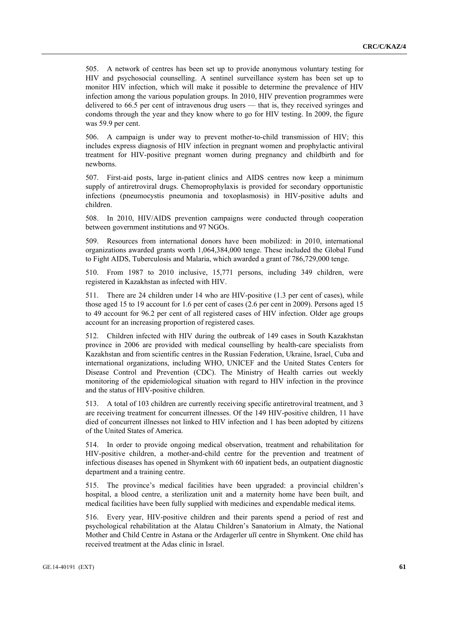505. A network of centres has been set up to provide anonymous voluntary testing for HIV and psychosocial counselling. A sentinel surveillance system has been set up to monitor HIV infection, which will make it possible to determine the prevalence of HIV infection among the various population groups. In 2010, HIV prevention programmes were delivered to 66.5 per cent of intravenous drug users — that is, they received syringes and condoms through the year and they know where to go for HIV testing. In 2009, the figure was 59.9 per cent.

506. A campaign is under way to prevent mother-to-child transmission of HIV; this includes express diagnosis of HIV infection in pregnant women and prophylactic antiviral treatment for HIV-positive pregnant women during pregnancy and childbirth and for newborns.

507. First-aid posts, large in-patient clinics and AIDS centres now keep a minimum supply of antiretroviral drugs. Chemoprophylaxis is provided for secondary opportunistic infections (pneumocystis pneumonia and toxoplasmosis) in HIV-positive adults and children.

508. In 2010, HIV/AIDS prevention campaigns were conducted through cooperation between government institutions and 97 NGOs.

509. Resources from international donors have been mobilized: in 2010, international organizations awarded grants worth 1,064,384,000 tenge. These included the Global Fund to Fight AIDS, Tuberculosis and Malaria, which awarded a grant of 786,729,000 tenge.

510. From 1987 to 2010 inclusive, 15,771 persons, including 349 children, were registered in Kazakhstan as infected with HIV.

511. There are 24 children under 14 who are HIV-positive (1.3 per cent of cases), while those aged 15 to 19 account for 1.6 per cent of cases (2.6 per cent in 2009). Persons aged 15 to 49 account for 96.2 per cent of all registered cases of HIV infection. Older age groups account for an increasing proportion of registered cases.

512. Children infected with HIV during the outbreak of 149 cases in South Kazakhstan province in 2006 are provided with medical counselling by health-care specialists from Kazakhstan and from scientific centres in the Russian Federation, Ukraine, Israel, Cuba and international organizations, including WHO, UNICEF and the United States Centers for Disease Control and Prevention (CDC). The Ministry of Health carries out weekly monitoring of the epidemiological situation with regard to HIV infection in the province and the status of HIV-positive children.

513. A total of 103 children are currently receiving specific antiretroviral treatment, and 3 are receiving treatment for concurrent illnesses. Of the 149 HIV-positive children, 11 have died of concurrent illnesses not linked to HIV infection and 1 has been adopted by citizens of the United States of America.

514. In order to provide ongoing medical observation, treatment and rehabilitation for HIV-positive children, a mother-and-child centre for the prevention and treatment of infectious diseases has opened in Shymkent with 60 inpatient beds, an outpatient diagnostic department and a training centre.

515. The province's medical facilities have been upgraded: a provincial children's hospital, a blood centre, a sterilization unit and a maternity home have been built, and medical facilities have been fully supplied with medicines and expendable medical items.

516. Every year, HIV-positive children and their parents spend a period of rest and psychological rehabilitation at the Alatau Children's Sanatorium in Almaty, the National Mother and Child Centre in Astana or the Ardagerler uĭī centre in Shymkent. One child has received treatment at the Adas clinic in Israel.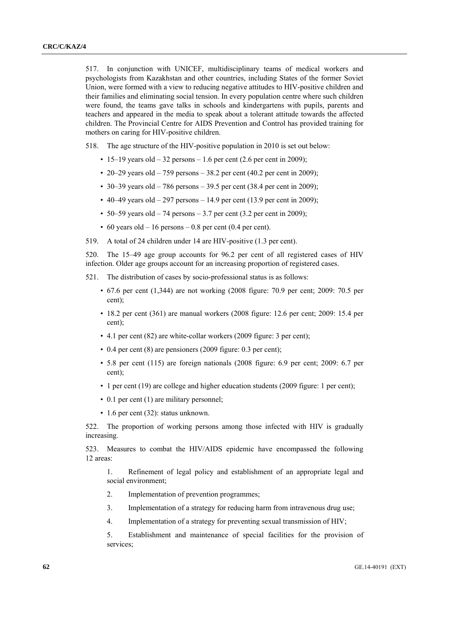517. In conjunction with UNICEF, multidisciplinary teams of medical workers and psychologists from Kazakhstan and other countries, including States of the former Soviet Union, were formed with a view to reducing negative attitudes to HIV-positive children and their families and eliminating social tension. In every population centre where such children were found, the teams gave talks in schools and kindergartens with pupils, parents and teachers and appeared in the media to speak about a tolerant attitude towards the affected children. The Provincial Centre for AIDS Prevention and Control has provided training for mothers on caring for HIV-positive children.

518. The age structure of the HIV-positive population in 2010 is set out below:

- 15–19 years old 32 persons 1.6 per cent (2.6 per cent in 2009);
- 20–29 years old 759 persons 38.2 per cent (40.2 per cent in 2009);
- 30–39 years old 786 persons 39.5 per cent (38.4 per cent in 2009);
- 40–49 years old 297 persons 14.9 per cent (13.9 per cent in 2009);
- 50–59 years old 74 persons 3.7 per cent  $(3.2 \text{ per cent in } 2009)$ ;
- 60 years old  $-16$  persons  $-0.8$  per cent (0.4 per cent).
- 519. A total of 24 children under 14 are HIV-positive (1.3 per cent).

520. The 15–49 age group accounts for 96.2 per cent of all registered cases of HIV infection. Older age groups account for an increasing proportion of registered cases.

521. The distribution of cases by socio-professional status is as follows:

- 67.6 per cent (1,344) are not working (2008 figure: 70.9 per cent; 2009: 70.5 per cent);
- 18.2 per cent (361) are manual workers (2008 figure: 12.6 per cent; 2009: 15.4 per cent);
- 4.1 per cent (82) are white-collar workers (2009 figure: 3 per cent);
- 0.4 per cent (8) are pensioners (2009 figure: 0.3 per cent);
- 5.8 per cent (115) are foreign nationals (2008 figure: 6.9 per cent; 2009: 6.7 per cent);
- 1 per cent (19) are college and higher education students (2009 figure: 1 per cent);
- 0.1 per cent (1) are military personnel;
- 1.6 per cent (32): status unknown.

522. The proportion of working persons among those infected with HIV is gradually increasing.

523. Measures to combat the HIV/AIDS epidemic have encompassed the following 12 areas:

 1. Refinement of legal policy and establishment of an appropriate legal and social environment;

- 2. Implementation of prevention programmes;
- 3. Implementation of a strategy for reducing harm from intravenous drug use;
- 4. Implementation of a strategy for preventing sexual transmission of HIV;

 5. Establishment and maintenance of special facilities for the provision of services;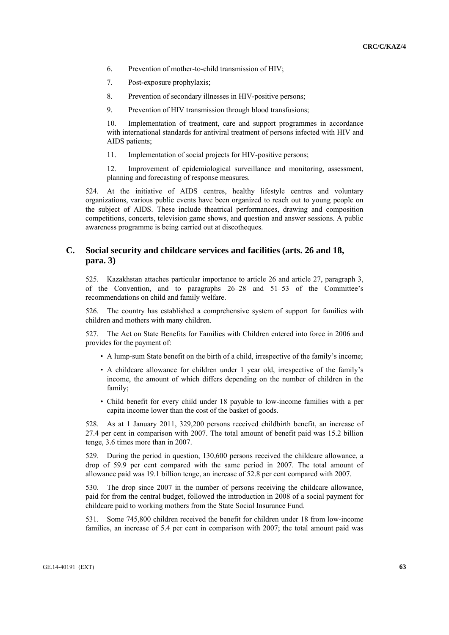- 6. Prevention of mother-to-child transmission of HIV;
- 7. Post-exposure prophylaxis;
- 8. Prevention of secondary illnesses in HIV-positive persons;
- 9. Prevention of HIV transmission through blood transfusions;

 10. Implementation of treatment, care and support programmes in accordance with international standards for antiviral treatment of persons infected with HIV and AIDS patients;

11. Implementation of social projects for HIV-positive persons;

 12. Improvement of epidemiological surveillance and monitoring, assessment, planning and forecasting of response measures.

524. At the initiative of AIDS centres, healthy lifestyle centres and voluntary organizations, various public events have been organized to reach out to young people on the subject of AIDS. These include theatrical performances, drawing and composition competitions, concerts, television game shows, and question and answer sessions. A public awareness programme is being carried out at discotheques.

### **C. Social security and childcare services and facilities (arts. 26 and 18, para. 3)**

525. Kazakhstan attaches particular importance to article 26 and article 27, paragraph 3, of the Convention, and to paragraphs 26–28 and 51–53 of the Committee's recommendations on child and family welfare.

526. The country has established a comprehensive system of support for families with children and mothers with many children.

527. The Act on State Benefits for Families with Children entered into force in 2006 and provides for the payment of:

- A lump-sum State benefit on the birth of a child, irrespective of the family's income;
- A childcare allowance for children under 1 year old, irrespective of the family's income, the amount of which differs depending on the number of children in the family;
- Child benefit for every child under 18 payable to low-income families with a per capita income lower than the cost of the basket of goods.

528. As at 1 January 2011, 329,200 persons received childbirth benefit, an increase of 27.4 per cent in comparison with 2007. The total amount of benefit paid was 15.2 billion tenge, 3.6 times more than in 2007.

529. During the period in question, 130,600 persons received the childcare allowance, a drop of 59.9 per cent compared with the same period in 2007. The total amount of allowance paid was 19.1 billion tenge, an increase of 52.8 per cent compared with 2007.

530. The drop since 2007 in the number of persons receiving the childcare allowance, paid for from the central budget, followed the introduction in 2008 of a social payment for childcare paid to working mothers from the State Social Insurance Fund.

531. Some 745,800 children received the benefit for children under 18 from low-income families, an increase of 5.4 per cent in comparison with 2007; the total amount paid was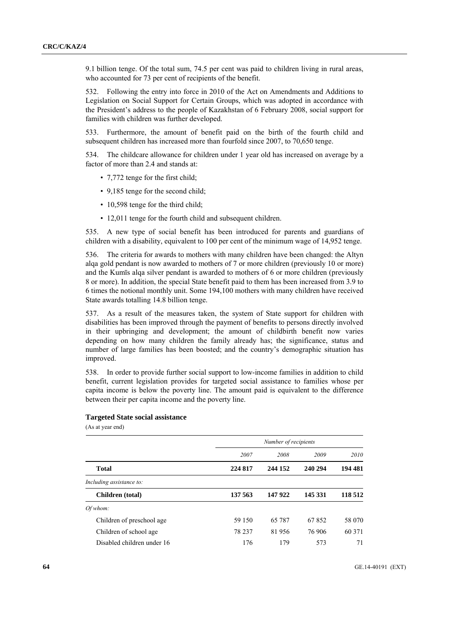9.1 billion tenge. Of the total sum, 74.5 per cent was paid to children living in rural areas, who accounted for 73 per cent of recipients of the benefit.

532. Following the entry into force in 2010 of the Act on Amendments and Additions to Legislation on Social Support for Certain Groups, which was adopted in accordance with the President's address to the people of Kazakhstan of 6 February 2008, social support for families with children was further developed.

533. Furthermore, the amount of benefit paid on the birth of the fourth child and subsequent children has increased more than fourfold since 2007, to 70,650 tenge.

534. The childcare allowance for children under 1 year old has increased on average by a factor of more than 2.4 and stands at:

- 7,772 tenge for the first child;
- 9,185 tenge for the second child;
- 10,598 tenge for the third child;
- 12,011 tenge for the fourth child and subsequent children.

535. A new type of social benefit has been introduced for parents and guardians of children with a disability, equivalent to 100 per cent of the minimum wage of 14,952 tenge.

536. The criteria for awards to mothers with many children have been changed: the Altyn alqa gold pendant is now awarded to mothers of 7 or more children (previously 10 or more) and the Kumīs alqa silver pendant is awarded to mothers of 6 or more children (previously 8 or more). In addition, the special State benefit paid to them has been increased from 3.9 to 6 times the notional monthly unit. Some 194,100 mothers with many children have received State awards totalling 14.8 billion tenge.

537. As a result of the measures taken, the system of State support for children with disabilities has been improved through the payment of benefits to persons directly involved in their upbringing and development; the amount of childbirth benefit now varies depending on how many children the family already has; the significance, status and number of large families has been boosted; and the country's demographic situation has improved.

538. In order to provide further social support to low-income families in addition to child benefit, current legislation provides for targeted social assistance to families whose per capita income is below the poverty line. The amount paid is equivalent to the difference between their per capita income and the poverty line.

### **Targeted State social assistance**

(As at year end)

|                            | Number of recipients |         |         |         |
|----------------------------|----------------------|---------|---------|---------|
|                            | 2007                 | 2008    | 2009    | 2010    |
| <b>Total</b>               | 224 817              | 244 152 | 240 294 | 194 481 |
| Including assistance to:   |                      |         |         |         |
| Children (total)           | 137 563              | 147922  | 145 331 | 118 512 |
| Of whom:                   |                      |         |         |         |
| Children of preschool age  | 59 150               | 65 787  | 67852   | 58 070  |
| Children of school age     | 78 237               | 81956   | 76 906  | 60 371  |
| Disabled children under 16 | 176                  | 179     | 573     | 71      |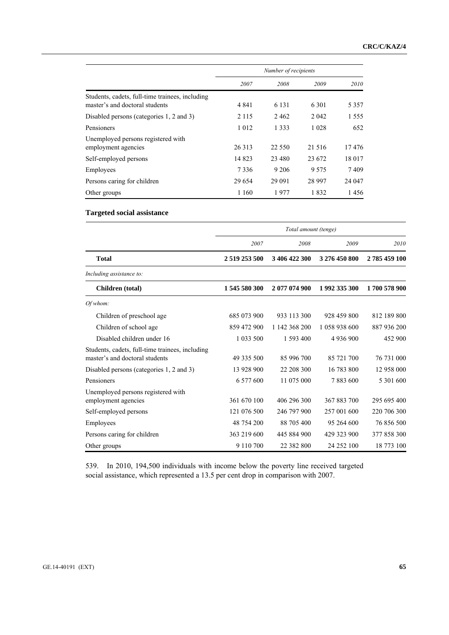|                                                                                   | Number of recipients |          |          |         |
|-----------------------------------------------------------------------------------|----------------------|----------|----------|---------|
|                                                                                   | 2007                 | 2008     | 2009     | 2010    |
| Students, cadets, full-time trainees, including<br>master's and doctoral students | 4 8 4 1              | 6 1 3 1  | 6 3 0 1  | 5 3 5 7 |
| Disabled persons (categories 1, 2 and 3)                                          | 2 1 1 5              | 2462     | 2 0 4 2  | 1 5 5 5 |
| Pensioners                                                                        | 1 0 1 2              | 1 3 3 3  | 1 0 2 8  | 652     |
| Unemployed persons registered with<br>employment agencies                         | 26 3 13              | 22 5 5 0 | 21 5 16  | 17476   |
| Self-employed persons                                                             | 14 823               | 23,480   | 23 672   | 18 017  |
| Employees                                                                         | 7 3 3 6              | 9 2 0 6  | 9575     | 7409    |
| Persons caring for children                                                       | 29 6 54              | 29 091   | 28 9 9 7 | 24 047  |
| Other groups                                                                      | 1 1 6 0              | 1977     | 1832     | 1456    |

### **Targeted social assistance**

|                                                                                   | Total amount (tenge) |               |               |              |  |  |
|-----------------------------------------------------------------------------------|----------------------|---------------|---------------|--------------|--|--|
|                                                                                   | 2007                 | 2008          | 2009          | 2010         |  |  |
| <b>Total</b>                                                                      | 2 519 253 500        | 3 406 422 300 | 3 276 450 800 | 2785459100   |  |  |
| Including assistance to:                                                          |                      |               |               |              |  |  |
| Children (total)                                                                  | 1545580300           | 2 077 074 900 | 1992 335 300  | 1700 578 900 |  |  |
| Of whom:                                                                          |                      |               |               |              |  |  |
| Children of preschool age                                                         | 685 073 900          | 933 113 300   | 928 459 800   | 812 189 800  |  |  |
| Children of school age                                                            | 859 472 900          | 1 142 368 200 | 1 058 938 600 | 887 936 200  |  |  |
| Disabled children under 16                                                        | 1 033 500            | 1 593 400     | 4 9 3 6 9 0 0 | 452 900      |  |  |
| Students, cadets, full-time trainees, including<br>master's and doctoral students | 49 335 500           | 85 996 700    | 85 721 700    | 76 731 000   |  |  |
| Disabled persons (categories 1, 2 and 3)                                          | 13 928 900           | 22 208 300    | 16 783 800    | 12 958 000   |  |  |
| Pensioners                                                                        | 6 577 600            | 11 075 000    | 7883600       | 5 301 600    |  |  |
| Unemployed persons registered with<br>employment agencies                         | 361 670 100          | 406 296 300   | 367 883 700   | 295 695 400  |  |  |
| Self-employed persons                                                             | 121 076 500          | 246 797 900   | 257 001 600   | 220 706 300  |  |  |
| Employees                                                                         | 48 754 200           | 88 705 400    | 95 264 600    | 76 856 500   |  |  |
| Persons caring for children                                                       | 363 219 600          | 445 884 900   | 429 323 900   | 377 858 300  |  |  |
| Other groups                                                                      | 9 1 1 0 7 0 0        | 22 382 800    | 24 252 100    | 18 773 100   |  |  |

539. In 2010, 194,500 individuals with income below the poverty line received targeted social assistance, which represented a 13.5 per cent drop in comparison with 2007.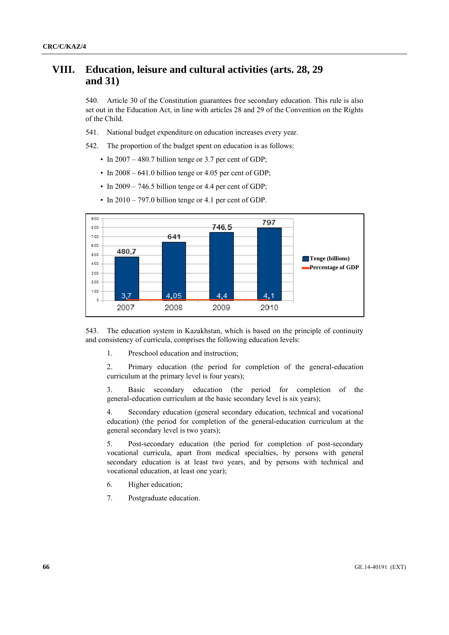## **VIII. Education, leisure and cultural activities (arts. 28, 29 and 31)**

540. Article 30 of the Constitution guarantees free secondary education. This rule is also set out in the Education Act, in line with articles 28 and 29 of the Convention on the Rights of the Child.

541. National budget expenditure on education increases every year.

542. The proportion of the budget spent on education is as follows:

- In 2007 480.7 billion tenge or 3.7 per cent of GDP;
- In  $2008 641.0$  billion tenge or 4.05 per cent of GDP;
- In  $2009 746.5$  billion tenge or 4.4 per cent of GDP;



• In 2010 – 797.0 billion tenge or 4.1 per cent of GDP.

543. The education system in Kazakhstan, which is based on the principle of continuity and consistency of curricula, comprises the following education levels:

1. Preschool education and instruction;

 2. Primary education (the period for completion of the general-education curriculum at the primary level is four years);

 3. Basic secondary education (the period for completion of the general-education curriculum at the basic secondary level is six years);

 4. Secondary education (general secondary education, technical and vocational education) (the period for completion of the general-education curriculum at the general secondary level is two years);

 5. Post-secondary education (the period for completion of post-secondary vocational curricula, apart from medical specialties, by persons with general secondary education is at least two years, and by persons with technical and vocational education, at least one year);

- 6. Higher education;
- 7. Postgraduate education.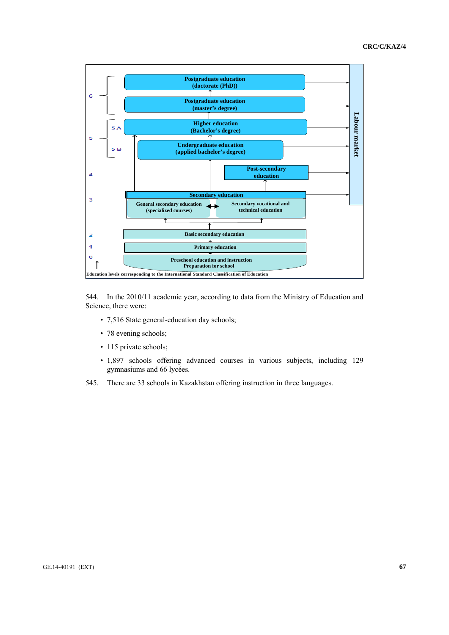

544. In the 2010/11 academic year, according to data from the Ministry of Education and Science, there were:

- 7,516 State general-education day schools;
- 78 evening schools;
- 115 private schools;
- 1,897 schools offering advanced courses in various subjects, including 129 gymnasiums and 66 lycées.
- 545. There are 33 schools in Kazakhstan offering instruction in three languages.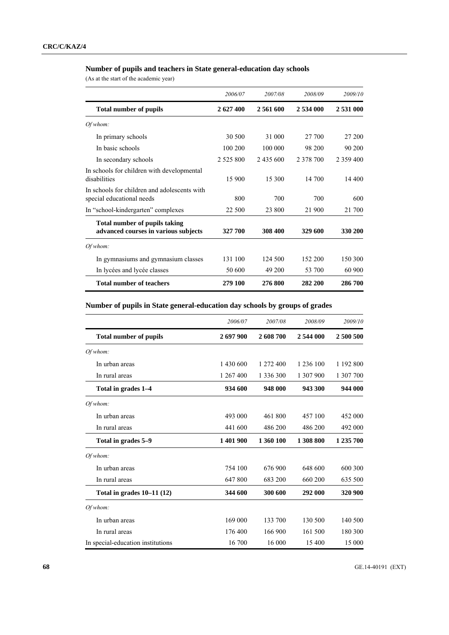## **Number of pupils and teachers in State general-education day schools**

(As at the start of the academic year)

|                                                                              | 2006/07       | 2007/08   | 2008/09   | 2009/10       |
|------------------------------------------------------------------------------|---------------|-----------|-----------|---------------|
| <b>Total number of pupils</b>                                                | 2627400       | 2 561 600 | 2 534 000 | 2 531 000     |
| Of whom:                                                                     |               |           |           |               |
| In primary schools                                                           | 30 500        | 31 000    | 27 700    | 27 200        |
| In basic schools                                                             | 100 200       | 100 000   | 98 200    | 90 200        |
| In secondary schools                                                         | 2 5 2 5 8 0 0 | 2 435 600 | 2 378 700 | 2 3 5 9 4 0 0 |
| In schools for children with developmental<br>disabilities                   | 15 900        | 15 300    | 14 700    | 14 400        |
| In schools for children and adolescents with<br>special educational needs    | 800           | 700       | 700       | 600           |
| In "school-kindergarten" complexes                                           | 22 500        | 23 800    | 21 900    | 21 700        |
| <b>Total number of pupils taking</b><br>advanced courses in various subjects | 327 700       | 308 400   | 329 600   | 330 200       |
| Of whom:                                                                     |               |           |           |               |
| In gymnasiums and gymnasium classes                                          | 131 100       | 124 500   | 152 200   | 150 300       |
| In lycées and lycée classes                                                  | 50 600        | 49 200    | 53 700    | 60 900        |
| <b>Total number of teachers</b>                                              | 279 100       | 276800    | 282 200   | 286700        |

## **Number of pupils in State general-education day schools by groups of grades**

|                                   | 2006/07   | 2007/08   | 2008/09   | 2009/10   |
|-----------------------------------|-----------|-----------|-----------|-----------|
| <b>Total number of pupils</b>     | 2 697 900 | 2 608 700 | 2 544 000 | 2 500 500 |
| Of whom:                          |           |           |           |           |
| In urban areas                    | 1 430 600 | 1 272 400 | 1 236 100 | 1 192 800 |
| In rural areas                    | 1 267 400 | 1 336 300 | 1 307 900 | 1 307 700 |
| Total in grades 1–4               | 934 600   | 948 000   | 943 300   | 944 000   |
| Of whom:                          |           |           |           |           |
| In urban areas                    | 493 000   | 461 800   | 457 100   | 452 000   |
| In rural areas                    | 441 600   | 486 200   | 486 200   | 492 000   |
| Total in grades 5–9               | 1401900   | 1 360 100 | 1 308 800 | 1 235 700 |
| Of whom:                          |           |           |           |           |
| In urban areas                    | 754 100   | 676 900   | 648 600   | 600 300   |
| In rural areas                    | 647 800   | 683 200   | 660 200   | 635 500   |
| Total in grades $10-11(12)$       | 344 600   | 300 600   | 292 000   | 320 900   |
| Of whom:                          |           |           |           |           |
| In urban areas                    | 169 000   | 133 700   | 130 500   | 140 500   |
| In rural areas                    | 176 400   | 166 900   | 161 500   | 180 300   |
| In special-education institutions | 16 700    | 16 000    | 15 400    | 15 000    |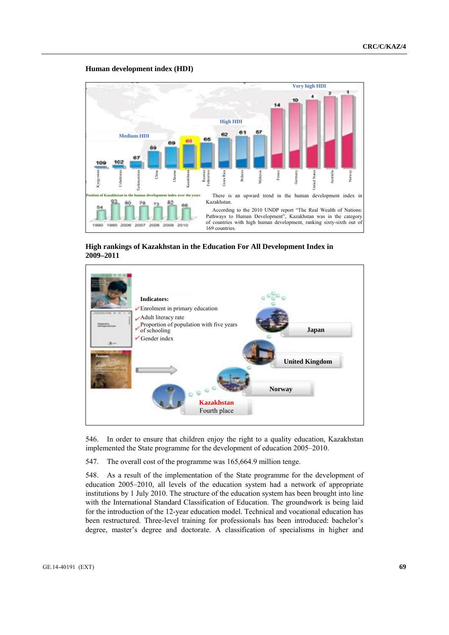#### **Human development index (HDI)**



 **High rankings of Kazakhstan in the Education For All Development Index in 2009–2011** 



546. In order to ensure that children enjoy the right to a quality education, Kazakhstan implemented the State programme for the development of education 2005–2010.

547. The overall cost of the programme was 165,664.9 million tenge.

548. As a result of the implementation of the State programme for the development of education 2005–2010, all levels of the education system had a network of appropriate institutions by 1 July 2010. The structure of the education system has been brought into line with the International Standard Classification of Education. The groundwork is being laid for the introduction of the 12-year education model. Technical and vocational education has been restructured. Three-level training for professionals has been introduced: bachelor's degree, master's degree and doctorate. A classification of specialisms in higher and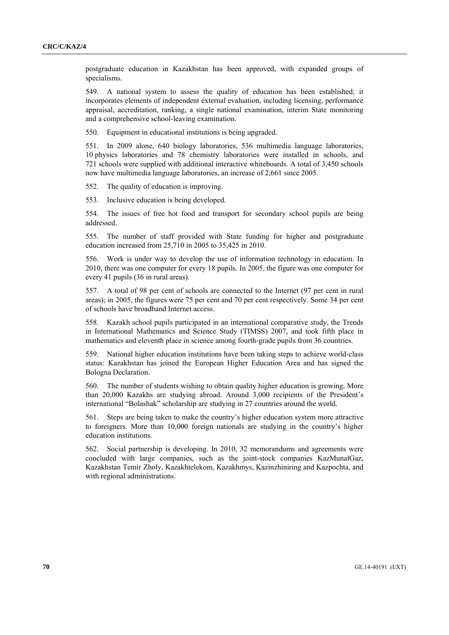postgraduate education in Kazakhstan has been approved, with expanded groups of specialisms.

549. A national system to assess the quality of education has been established; it incorporates elements of independent external evaluation, including licensing, performance appraisal, accreditation, ranking, a single national examination, interim State monitoring and a comprehensive school-leaving examination.

550. Equipment in educational institutions is being upgraded.

551. In 2009 alone, 640 biology laboratories, 536 multimedia language laboratories, 10 physics laboratories and 78 chemistry laboratories were installed in schools, and 721 schools were supplied with additional interactive whiteboards. A total of 3,450 schools now have multimedia language laboratories, an increase of 2,661 since 2005.

552. The quality of education is improving.

553. Inclusive education is being developed.

554. The issues of free hot food and transport for secondary school pupils are being addressed.

555. The number of staff provided with State funding for higher and postgraduate education increased from 25,710 in 2005 to 35,425 in 2010.

556. Work is under way to develop the use of information technology in education. In 2010, there was one computer for every 18 pupils. In 2005, the figure was one computer for every 41 pupils (36 in rural areas).

557. A total of 98 per cent of schools are connected to the Internet (97 per cent in rural areas); in 2005, the figures were 75 per cent and 70 per cent respectively. Some 34 per cent of schools have broadband Internet access.

558. Kazakh school pupils participated in an international comparative study, the Trends in International Mathematics and Science Study (TIMSS) 2007, and took fifth place in mathematics and eleventh place in science among fourth-grade pupils from 36 countries.

559. National higher education institutions have been taking steps to achieve world-class status: Kazakhstan has joined the European Higher Education Area and has signed the Bologna Declaration.

560. The number of students wishing to obtain quality higher education is growing. More than 20,000 Kazakhs are studying abroad. Around 3,000 recipients of the President's international "Bolashak" scholarship are studying in 27 countries around the world.

561. Steps are being taken to make the country's higher education system more attractive to foreigners. More than 10,000 foreign nationals are studying in the country's higher education institutions.

562. Social partnership is developing. In 2010, 32 memorandums and agreements were concluded with large companies, such as the joint-stock companies KazMunaĭGaz, Kazakhstan Temir Zholy, Kazakhtelekom, Kazakhmys, Kazinzhiniring and Kazpochta, and with regional administrations.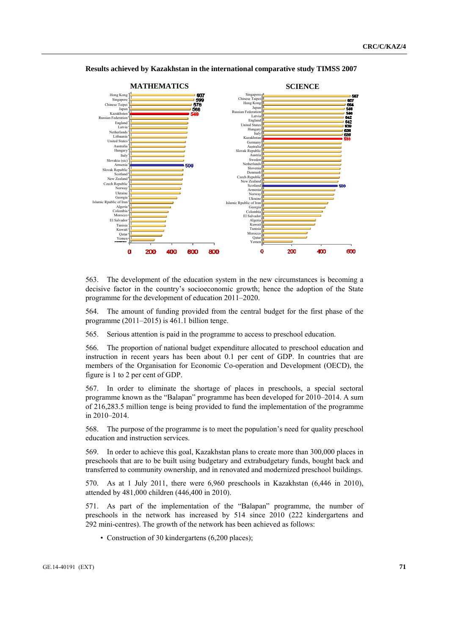

 **Results achieved by Kazakhstan in the international comparative study TIMSS 2007** 

563. The development of the education system in the new circumstances is becoming a decisive factor in the country's socioeconomic growth; hence the adoption of the State programme for the development of education 2011–2020.

564. The amount of funding provided from the central budget for the first phase of the programme (2011–2015) is 461.1 billion tenge.

565. Serious attention is paid in the programme to access to preschool education.

566. The proportion of national budget expenditure allocated to preschool education and instruction in recent years has been about 0.1 per cent of GDP. In countries that are members of the Organisation for Economic Co-operation and Development (OECD), the figure is 1 to 2 per cent of GDP.

567. In order to eliminate the shortage of places in preschools, a special sectoral programme known as the "Balapan" programme has been developed for 2010–2014. A sum of 216,283.5 million tenge is being provided to fund the implementation of the programme in 2010–2014.

568. The purpose of the programme is to meet the population's need for quality preschool education and instruction services.

569. In order to achieve this goal, Kazakhstan plans to create more than 300,000 places in preschools that are to be built using budgetary and extrabudgetary funds, bought back and transferred to community ownership, and in renovated and modernized preschool buildings.

570. As at 1 July 2011, there were 6,960 preschools in Kazakhstan (6,446 in 2010), attended by 481,000 children (446,400 in 2010).

571. As part of the implementation of the "Balapan" programme, the number of preschools in the network has increased by 514 since 2010 (222 kindergartens and 292 mini-centres). The growth of the network has been achieved as follows:

• Construction of 30 kindergartens (6,200 places);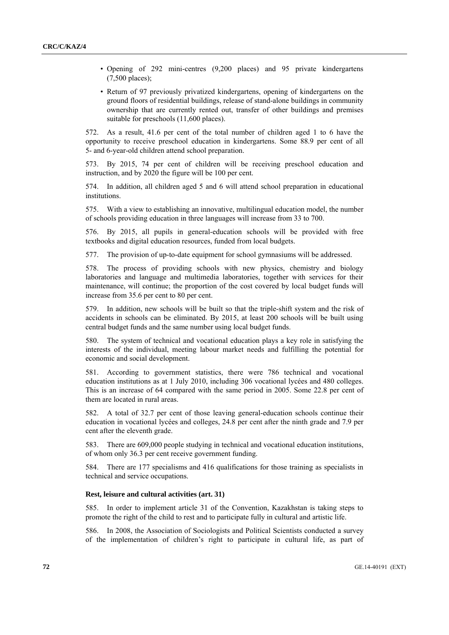- Opening of 292 mini-centres (9,200 places) and 95 private kindergartens (7,500 places);
- Return of 97 previously privatized kindergartens, opening of kindergartens on the ground floors of residential buildings, release of stand-alone buildings in community ownership that are currently rented out, transfer of other buildings and premises suitable for preschools (11,600 places).

572. As a result, 41.6 per cent of the total number of children aged 1 to 6 have the opportunity to receive preschool education in kindergartens. Some 88.9 per cent of all 5- and 6-year-old children attend school preparation.

573. By 2015, 74 per cent of children will be receiving preschool education and instruction, and by 2020 the figure will be 100 per cent.

574. In addition, all children aged 5 and 6 will attend school preparation in educational institutions.

575. With a view to establishing an innovative, multilingual education model, the number of schools providing education in three languages will increase from 33 to 700.

576. By 2015, all pupils in general-education schools will be provided with free textbooks and digital education resources, funded from local budgets.

577. The provision of up-to-date equipment for school gymnasiums will be addressed.

578. The process of providing schools with new physics, chemistry and biology laboratories and language and multimedia laboratories, together with services for their maintenance, will continue; the proportion of the cost covered by local budget funds will increase from 35.6 per cent to 80 per cent.

579. In addition, new schools will be built so that the triple-shift system and the risk of accidents in schools can be eliminated. By 2015, at least 200 schools will be built using central budget funds and the same number using local budget funds.

580. The system of technical and vocational education plays a key role in satisfying the interests of the individual, meeting labour market needs and fulfilling the potential for economic and social development.

581. According to government statistics, there were 786 technical and vocational education institutions as at 1 July 2010, including 306 vocational lycées and 480 colleges. This is an increase of 64 compared with the same period in 2005. Some 22.8 per cent of them are located in rural areas.

582. A total of 32.7 per cent of those leaving general-education schools continue their education in vocational lycées and colleges, 24.8 per cent after the ninth grade and 7.9 per cent after the eleventh grade.

583. There are 609,000 people studying in technical and vocational education institutions, of whom only 36.3 per cent receive government funding.

584. There are 177 specialisms and 416 qualifications for those training as specialists in technical and service occupations.

### **Rest, leisure and cultural activities (art. 31)**

585. In order to implement article 31 of the Convention, Kazakhstan is taking steps to promote the right of the child to rest and to participate fully in cultural and artistic life.

586. In 2008, the Association of Sociologists and Political Scientists conducted a survey of the implementation of children's right to participate in cultural life, as part of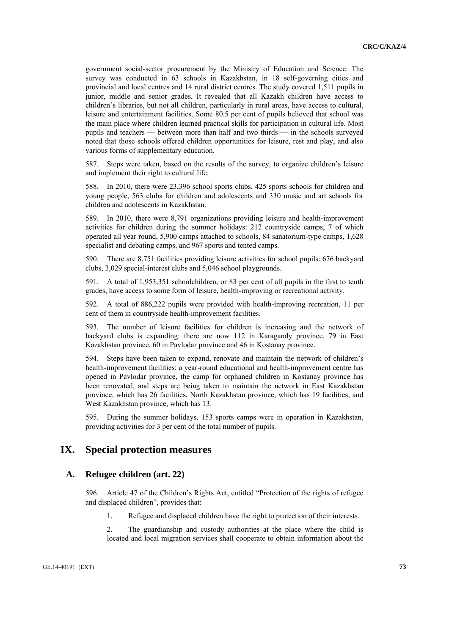government social-sector procurement by the Ministry of Education and Science. The survey was conducted in 63 schools in Kazakhstan, in 18 self-governing cities and provincial and local centres and 14 rural district centres. The study covered 1,511 pupils in junior, middle and senior grades. It revealed that all Kazakh children have access to children's libraries, but not all children, particularly in rural areas, have access to cultural, leisure and entertainment facilities. Some 80.5 per cent of pupils believed that school was the main place where children learned practical skills for participation in cultural life. Most pupils and teachers — between more than half and two thirds — in the schools surveyed noted that those schools offered children opportunities for leisure, rest and play, and also various forms of supplementary education.

587. Steps were taken, based on the results of the survey, to organize children's leisure and implement their right to cultural life.

588. In 2010, there were 23,396 school sports clubs, 425 sports schools for children and young people, 563 clubs for children and adolescents and 330 music and art schools for children and adolescents in Kazakhstan.

589. In 2010, there were 8,791 organizations providing leisure and health-improvement activities for children during the summer holidays: 212 countryside camps, 7 of which operated all year round, 5,900 camps attached to schools, 84 sanatorium-type camps, 1,628 specialist and debating camps, and 967 sports and tented camps.

590. There are 8,751 facilities providing leisure activities for school pupils: 676 backyard clubs, 3,029 special-interest clubs and 5,046 school playgrounds.

591. A total of 1,953,351 schoolchildren, or 83 per cent of all pupils in the first to tenth grades, have access to some form of leisure, health-improving or recreational activity.

592. A total of 886,222 pupils were provided with health-improving recreation, 11 per cent of them in countryside health-improvement facilities.

593. The number of leisure facilities for children is increasing and the network of backyard clubs is expanding: there are now 112 in Karagandy province, 79 in East Kazakhstan province, 60 in Pavlodar province and 46 in Kostanay province.

594. Steps have been taken to expand, renovate and maintain the network of children's health-improvement facilities: a year-round educational and health-improvement centre has opened in Pavlodar province, the camp for orphaned children in Kostanay province has been renovated, and steps are being taken to maintain the network in East Kazakhstan province, which has 26 facilities, North Kazakhstan province, which has 19 facilities, and West Kazakhstan province, which has 13.

595. During the summer holidays, 153 sports camps were in operation in Kazakhstan, providing activities for 3 per cent of the total number of pupils.

# **IX. Special protection measures**

## **A. Refugee children (art. 22)**

596. Article 47 of the Children's Rights Act, entitled "Protection of the rights of refugee and displaced children", provides that:

1. Refugee and displaced children have the right to protection of their interests.

 2. The guardianship and custody authorities at the place where the child is located and local migration services shall cooperate to obtain information about the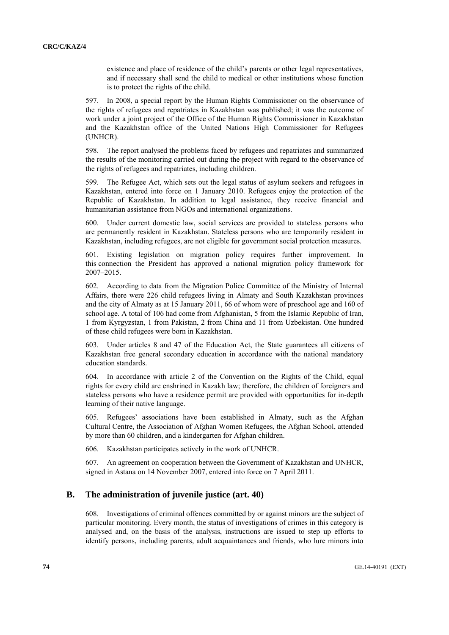existence and place of residence of the child's parents or other legal representatives, and if necessary shall send the child to medical or other institutions whose function is to protect the rights of the child.

597. In 2008, a special report by the Human Rights Commissioner on the observance of the rights of refugees and repatriates in Kazakhstan was published; it was the outcome of work under a joint project of the Office of the Human Rights Commissioner in Kazakhstan and the Kazakhstan office of the United Nations High Commissioner for Refugees (UNHCR).

598. The report analysed the problems faced by refugees and repatriates and summarized the results of the monitoring carried out during the project with regard to the observance of the rights of refugees and repatriates, including children.

599. The Refugee Act, which sets out the legal status of asylum seekers and refugees in Kazakhstan, entered into force on 1 January 2010. Refugees enjoy the protection of the Republic of Kazakhstan. In addition to legal assistance, they receive financial and humanitarian assistance from NGOs and international organizations.

600. Under current domestic law, social services are provided to stateless persons who are permanently resident in Kazakhstan. Stateless persons who are temporarily resident in Kazakhstan, including refugees, are not eligible for government social protection measures.

601. Existing legislation on migration policy requires further improvement. In this connection the President has approved a national migration policy framework for 2007–2015.

602. According to data from the Migration Police Committee of the Ministry of Internal Affairs, there were 226 child refugees living in Almaty and South Kazakhstan provinces and the city of Almaty as at 15 January 2011, 66 of whom were of preschool age and 160 of school age. A total of 106 had come from Afghanistan, 5 from the Islamic Republic of Iran, 1 from Kyrgyzstan, 1 from Pakistan, 2 from China and 11 from Uzbekistan. One hundred of these child refugees were born in Kazakhstan.

603. Under articles 8 and 47 of the Education Act, the State guarantees all citizens of Kazakhstan free general secondary education in accordance with the national mandatory education standards.

604. In accordance with article 2 of the Convention on the Rights of the Child, equal rights for every child are enshrined in Kazakh law; therefore, the children of foreigners and stateless persons who have a residence permit are provided with opportunities for in-depth learning of their native language.

605. Refugees' associations have been established in Almaty, such as the Afghan Cultural Centre, the Association of Afghan Women Refugees, the Afghan School, attended by more than 60 children, and a kindergarten for Afghan children.

606. Kazakhstan participates actively in the work of UNHCR.

607. An agreement on cooperation between the Government of Kazakhstan and UNHCR, signed in Astana on 14 November 2007, entered into force on 7 April 2011.

## **B. The administration of juvenile justice (art. 40)**

608. Investigations of criminal offences committed by or against minors are the subject of particular monitoring. Every month, the status of investigations of crimes in this category is analysed and, on the basis of the analysis, instructions are issued to step up efforts to identify persons, including parents, adult acquaintances and friends, who lure minors into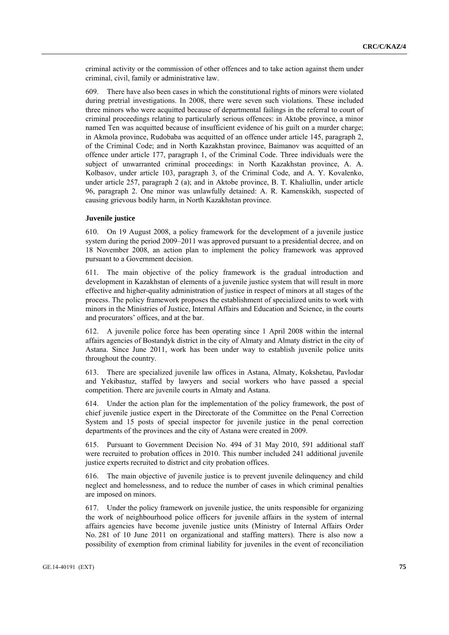criminal activity or the commission of other offences and to take action against them under criminal, civil, family or administrative law.

609. There have also been cases in which the constitutional rights of minors were violated during pretrial investigations. In 2008, there were seven such violations. These included three minors who were acquitted because of departmental failings in the referral to court of criminal proceedings relating to particularly serious offences: in Aktobe province, a minor named Ten was acquitted because of insufficient evidence of his guilt on a murder charge; in Akmola province, Rudobaba was acquitted of an offence under article 145, paragraph 2, of the Criminal Code; and in North Kazakhstan province, Baimanov was acquitted of an offence under article 177, paragraph 1, of the Criminal Code. Three individuals were the subject of unwarranted criminal proceedings: in North Kazakhstan province, A. A. Kolbasov, under article 103, paragraph 3, of the Criminal Code, and A. Y. Kovalenko, under article 257, paragraph 2 (a); and in Aktobe province, B. T. Khaliullin, under article 96, paragraph 2. One minor was unlawfully detained: A. R. Kamenskikh, suspected of causing grievous bodily harm, in North Kazakhstan province.

## **Juvenile justice**

610. On 19 August 2008, a policy framework for the development of a juvenile justice system during the period 2009–2011 was approved pursuant to a presidential decree, and on 18 November 2008, an action plan to implement the policy framework was approved pursuant to a Government decision.

611. The main objective of the policy framework is the gradual introduction and development in Kazakhstan of elements of a juvenile justice system that will result in more effective and higher-quality administration of justice in respect of minors at all stages of the process. The policy framework proposes the establishment of specialized units to work with minors in the Ministries of Justice, Internal Affairs and Education and Science, in the courts and procurators' offices, and at the bar.

612. A juvenile police force has been operating since 1 April 2008 within the internal affairs agencies of Bostandyk district in the city of Almaty and Almaty district in the city of Astana. Since June 2011, work has been under way to establish juvenile police units throughout the country.

613. There are specialized juvenile law offices in Astana, Almaty, Kokshetau, Pavlodar and Yekibastuz, staffed by lawyers and social workers who have passed a special competition. There are juvenile courts in Almaty and Astana.

614. Under the action plan for the implementation of the policy framework, the post of chief juvenile justice expert in the Directorate of the Committee on the Penal Correction System and 15 posts of special inspector for juvenile justice in the penal correction departments of the provinces and the city of Astana were created in 2009.

615. Pursuant to Government Decision No. 494 of 31 May 2010, 591 additional staff were recruited to probation offices in 2010. This number included 241 additional juvenile justice experts recruited to district and city probation offices.

616. The main objective of juvenile justice is to prevent juvenile delinquency and child neglect and homelessness, and to reduce the number of cases in which criminal penalties are imposed on minors.

617. Under the policy framework on juvenile justice, the units responsible for organizing the work of neighbourhood police officers for juvenile affairs in the system of internal affairs agencies have become juvenile justice units (Ministry of Internal Affairs Order No. 281 of 10 June 2011 on organizational and staffing matters). There is also now a possibility of exemption from criminal liability for juveniles in the event of reconciliation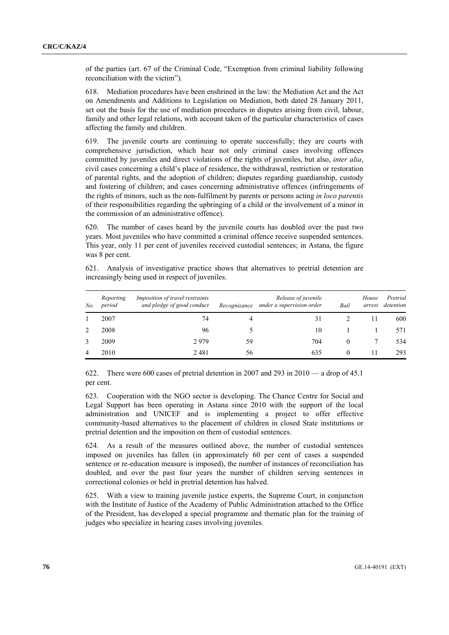of the parties (art. 67 of the Criminal Code, "Exemption from criminal liability following reconciliation with the victim").

618. Mediation procedures have been enshrined in the law: the Mediation Act and the Act on Amendments and Additions to Legislation on Mediation, both dated 28 January 2011, set out the basis for the use of mediation procedures in disputes arising from civil, labour, family and other legal relations, with account taken of the particular characteristics of cases affecting the family and children.

619. The juvenile courts are continuing to operate successfully; they are courts with comprehensive jurisdiction, which hear not only criminal cases involving offences committed by juveniles and direct violations of the rights of juveniles, but also, *inter alia*, civil cases concerning a child's place of residence, the withdrawal, restriction or restoration of parental rights, and the adoption of children; disputes regarding guardianship, custody and fostering of children; and cases concerning administrative offences (infringements of the rights of minors, such as the non-fulfilment by parents or persons acting *in loco parentis* of their responsibilities regarding the upbringing of a child or the involvement of a minor in the commission of an administrative offence).

620. The number of cases heard by the juvenile courts has doubled over the past two years. Most juveniles who have committed a criminal offence receive suspended sentences. This year, only 11 per cent of juveniles received custodial sentences; in Astana, the figure was 8 per cent.

621. Analysis of investigative practice shows that alternatives to pretrial detention are increasingly being used in respect of juveniles.

| No. | Reporting<br>period | Imposition of travel restraints<br>and pledge of good conduct | Recognizance | Release of juvenile<br>under a supervision order | Bail     | House<br>arrest | Pretrial<br>detention |
|-----|---------------------|---------------------------------------------------------------|--------------|--------------------------------------------------|----------|-----------------|-----------------------|
|     | 2007                | 74                                                            | 4            | 31                                               |          |                 | 600                   |
| 2   | 2008                | 96                                                            |              | 10                                               |          |                 | 571                   |
|     | 2009                | 2979                                                          | 59           | 704                                              | $\theta$ |                 | 534                   |
| 4   | 2010                | 2481                                                          | 56           | 635                                              | $\theta$ |                 | 293                   |

622. There were 600 cases of pretrial detention in 2007 and 293 in 2010 — a drop of 45.1 per cent.

623. Cooperation with the NGO sector is developing. The Chance Centre for Social and Legal Support has been operating in Astana since 2010 with the support of the local administration and UNICEF and is implementing a project to offer effective community-based alternatives to the placement of children in closed State institutions or pretrial detention and the imposition on them of custodial sentences.

624. As a result of the measures outlined above, the number of custodial sentences imposed on juveniles has fallen (in approximately 60 per cent of cases a suspended sentence or re-education measure is imposed), the number of instances of reconciliation has doubled, and over the past four years the number of children serving sentences in correctional colonies or held in pretrial detention has halved.

625. With a view to training juvenile justice experts, the Supreme Court, in conjunction with the Institute of Justice of the Academy of Public Administration attached to the Office of the President, has developed a special programme and thematic plan for the training of judges who specialize in hearing cases involving juveniles.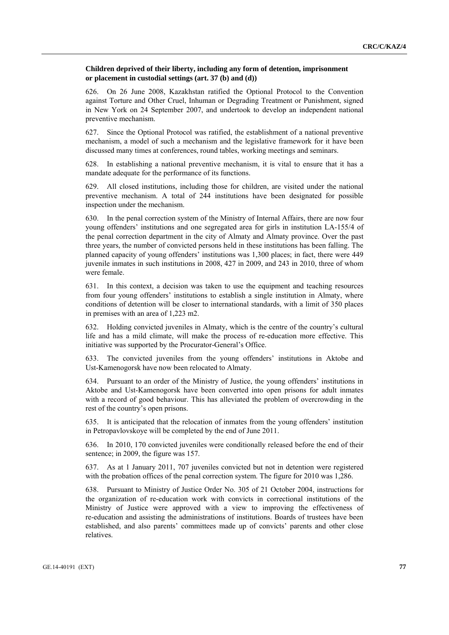## **Children deprived of their liberty, including any form of detention, imprisonment or placement in custodial settings (art. 37 (b) and (d))**

626. On 26 June 2008, Kazakhstan ratified the Optional Protocol to the Convention against Torture and Other Cruel, Inhuman or Degrading Treatment or Punishment, signed in New York on 24 September 2007, and undertook to develop an independent national preventive mechanism.

627. Since the Optional Protocol was ratified, the establishment of a national preventive mechanism, a model of such a mechanism and the legislative framework for it have been discussed many times at conferences, round tables, working meetings and seminars.

628. In establishing a national preventive mechanism, it is vital to ensure that it has a mandate adequate for the performance of its functions.

629. All closed institutions, including those for children, are visited under the national preventive mechanism. A total of 244 institutions have been designated for possible inspection under the mechanism.

630. In the penal correction system of the Ministry of Internal Affairs, there are now four young offenders' institutions and one segregated area for girls in institution LA-155/4 of the penal correction department in the city of Almaty and Almaty province. Over the past three years, the number of convicted persons held in these institutions has been falling. The planned capacity of young offenders' institutions was 1,300 places; in fact, there were 449 juvenile inmates in such institutions in 2008, 427 in 2009, and 243 in 2010, three of whom were female.

631. In this context, a decision was taken to use the equipment and teaching resources from four young offenders' institutions to establish a single institution in Almaty, where conditions of detention will be closer to international standards, with a limit of 350 places in premises with an area of 1,223 m2.

632. Holding convicted juveniles in Almaty, which is the centre of the country's cultural life and has a mild climate, will make the process of re-education more effective. This initiative was supported by the Procurator-General's Office.

633. The convicted juveniles from the young offenders' institutions in Aktobe and Ust-Kamenogorsk have now been relocated to Almaty.

634. Pursuant to an order of the Ministry of Justice, the young offenders' institutions in Aktobe and Ust-Kamenogorsk have been converted into open prisons for adult inmates with a record of good behaviour. This has alleviated the problem of overcrowding in the rest of the country's open prisons.

635. It is anticipated that the relocation of inmates from the young offenders' institution in Petropavlovskoye will be completed by the end of June 2011.

636. In 2010, 170 convicted juveniles were conditionally released before the end of their sentence; in 2009, the figure was 157.

637. As at 1 January 2011, 707 juveniles convicted but not in detention were registered with the probation offices of the penal correction system. The figure for 2010 was 1,286.

638. Pursuant to Ministry of Justice Order No. 305 of 21 October 2004, instructions for the organization of re-education work with convicts in correctional institutions of the Ministry of Justice were approved with a view to improving the effectiveness of re-education and assisting the administrations of institutions. Boards of trustees have been established, and also parents' committees made up of convicts' parents and other close relatives.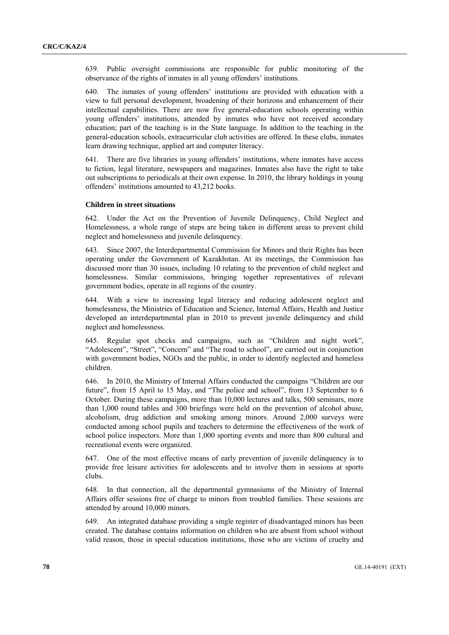639. Public oversight commissions are responsible for public monitoring of the observance of the rights of inmates in all young offenders' institutions.

640. The inmates of young offenders' institutions are provided with education with a view to full personal development, broadening of their horizons and enhancement of their intellectual capabilities. There are now five general-education schools operating within young offenders' institutions, attended by inmates who have not received secondary education; part of the teaching is in the State language. In addition to the teaching in the general-education schools, extracurricular club activities are offered. In these clubs, inmates learn drawing technique, applied art and computer literacy.

641. There are five libraries in young offenders' institutions, where inmates have access to fiction, legal literature, newspapers and magazines. Inmates also have the right to take out subscriptions to periodicals at their own expense. In 2010, the library holdings in young offenders' institutions amounted to 43,212 books.

#### **Children in street situations**

642. Under the Act on the Prevention of Juvenile Delinquency, Child Neglect and Homelessness, a whole range of steps are being taken in different areas to prevent child neglect and homelessness and juvenile delinquency.

643. Since 2007, the Interdepartmental Commission for Minors and their Rights has been operating under the Government of Kazakhstan. At its meetings, the Commission has discussed more than 30 issues, including 10 relating to the prevention of child neglect and homelessness. Similar commissions, bringing together representatives of relevant government bodies, operate in all regions of the country.

644. With a view to increasing legal literacy and reducing adolescent neglect and homelessness, the Ministries of Education and Science, Internal Affairs, Health and Justice developed an interdepartmental plan in 2010 to prevent juvenile delinquency and child neglect and homelessness.

645. Regular spot checks and campaigns, such as "Children and night work", "Adolescent", "Street", "Concern" and "The road to school", are carried out in conjunction with government bodies, NGOs and the public, in order to identify neglected and homeless children.

646. In 2010, the Ministry of Internal Affairs conducted the campaigns "Children are our future", from 15 April to 15 May, and "The police and school", from 13 September to 6 October. During these campaigns, more than 10,000 lectures and talks, 500 seminars, more than 1,000 round tables and 300 briefings were held on the prevention of alcohol abuse, alcoholism, drug addiction and smoking among minors. Around 2,000 surveys were conducted among school pupils and teachers to determine the effectiveness of the work of school police inspectors. More than 1,000 sporting events and more than 800 cultural and recreational events were organized.

647. One of the most effective means of early prevention of juvenile delinquency is to provide free leisure activities for adolescents and to involve them in sessions at sports clubs.

648. In that connection, all the departmental gymnasiums of the Ministry of Internal Affairs offer sessions free of charge to minors from troubled families. These sessions are attended by around 10,000 minors.

649. An integrated database providing a single register of disadvantaged minors has been created. The database contains information on children who are absent from school without valid reason, those in special education institutions, those who are victims of cruelty and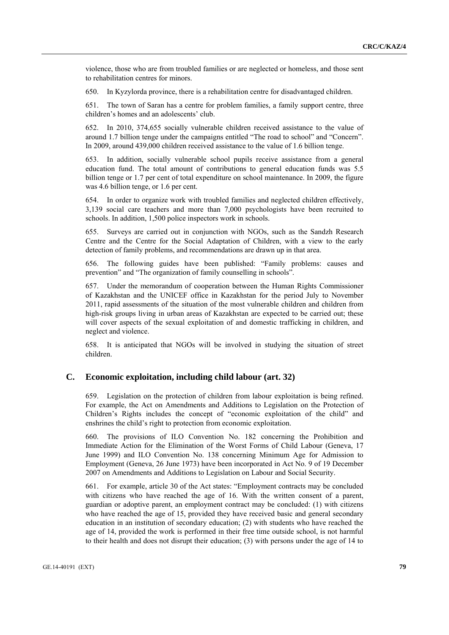violence, those who are from troubled families or are neglected or homeless, and those sent to rehabilitation centres for minors.

650. In Kyzylorda province, there is a rehabilitation centre for disadvantaged children.

651. The town of Saran has a centre for problem families, a family support centre, three children's homes and an adolescents' club.

652. In 2010, 374,655 socially vulnerable children received assistance to the value of around 1.7 billion tenge under the campaigns entitled "The road to school" and "Concern". In 2009, around 439,000 children received assistance to the value of 1.6 billion tenge.

653. In addition, socially vulnerable school pupils receive assistance from a general education fund. The total amount of contributions to general education funds was 5.5 billion tenge or 1.7 per cent of total expenditure on school maintenance. In 2009, the figure was 4.6 billion tenge, or 1.6 per cent.

654. In order to organize work with troubled families and neglected children effectively, 3,139 social care teachers and more than 7,000 psychologists have been recruited to schools. In addition, 1,500 police inspectors work in schools.

655. Surveys are carried out in conjunction with NGOs, such as the Sandzh Research Centre and the Centre for the Social Adaptation of Children, with a view to the early detection of family problems, and recommendations are drawn up in that area.

656. The following guides have been published: "Family problems: causes and prevention" and "The organization of family counselling in schools".

657. Under the memorandum of cooperation between the Human Rights Commissioner of Kazakhstan and the UNICEF office in Kazakhstan for the period July to November 2011, rapid assessments of the situation of the most vulnerable children and children from high-risk groups living in urban areas of Kazakhstan are expected to be carried out; these will cover aspects of the sexual exploitation of and domestic trafficking in children, and neglect and violence.

658. It is anticipated that NGOs will be involved in studying the situation of street children.

## **C. Economic exploitation, including child labour (art. 32)**

659. Legislation on the protection of children from labour exploitation is being refined. For example, the Act on Amendments and Additions to Legislation on the Protection of Children's Rights includes the concept of "economic exploitation of the child" and enshrines the child's right to protection from economic exploitation.

660. The provisions of ILO Convention No. 182 concerning the Prohibition and Immediate Action for the Elimination of the Worst Forms of Child Labour (Geneva, 17 June 1999) and ILO Convention No. 138 concerning Minimum Age for Admission to Employment (Geneva, 26 June 1973) have been incorporated in Act No. 9 of 19 December 2007 on Amendments and Additions to Legislation on Labour and Social Security.

661. For example, article 30 of the Act states: "Employment contracts may be concluded with citizens who have reached the age of 16. With the written consent of a parent, guardian or adoptive parent, an employment contract may be concluded: (1) with citizens who have reached the age of 15, provided they have received basic and general secondary education in an institution of secondary education; (2) with students who have reached the age of 14, provided the work is performed in their free time outside school, is not harmful to their health and does not disrupt their education; (3) with persons under the age of 14 to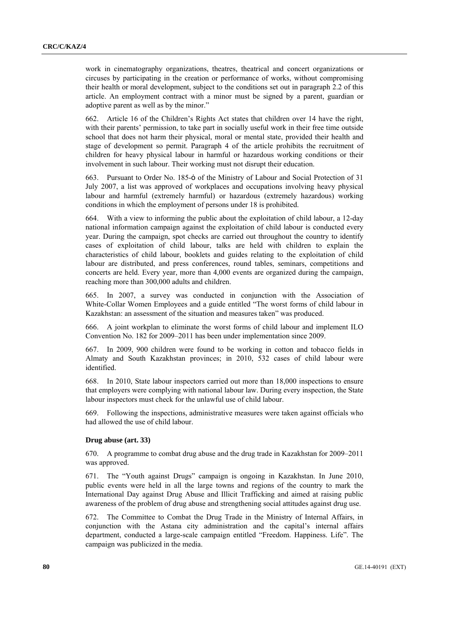work in cinematography organizations, theatres, theatrical and concert organizations or circuses by participating in the creation or performance of works, without compromising their health or moral development, subject to the conditions set out in paragraph 2.2 of this article. An employment contract with a minor must be signed by a parent, guardian or adoptive parent as well as by the minor."

662. Article 16 of the Children's Rights Act states that children over 14 have the right, with their parents' permission, to take part in socially useful work in their free time outside school that does not harm their physical, moral or mental state, provided their health and stage of development so permit. Paragraph 4 of the article prohibits the recruitment of children for heavy physical labour in harmful or hazardous working conditions or their involvement in such labour. Their working must not disrupt their education.

663. Pursuant to Order No. 185-ȯ of the Ministry of Labour and Social Protection of 31 July 2007, a list was approved of workplaces and occupations involving heavy physical labour and harmful (extremely harmful) or hazardous (extremely hazardous) working conditions in which the employment of persons under 18 is prohibited.

664. With a view to informing the public about the exploitation of child labour, a 12-day national information campaign against the exploitation of child labour is conducted every year. During the campaign, spot checks are carried out throughout the country to identify cases of exploitation of child labour, talks are held with children to explain the characteristics of child labour, booklets and guides relating to the exploitation of child labour are distributed, and press conferences, round tables, seminars, competitions and concerts are held. Every year, more than 4,000 events are organized during the campaign, reaching more than 300,000 adults and children.

665. In 2007, a survey was conducted in conjunction with the Association of White-Collar Women Employees and a guide entitled "The worst forms of child labour in Kazakhstan: an assessment of the situation and measures taken" was produced.

666. A joint workplan to eliminate the worst forms of child labour and implement ILO Convention No. 182 for 2009–2011 has been under implementation since 2009.

667. In 2009, 900 children were found to be working in cotton and tobacco fields in Almaty and South Kazakhstan provinces; in 2010, 532 cases of child labour were identified.

668. In 2010, State labour inspectors carried out more than 18,000 inspections to ensure that employers were complying with national labour law. During every inspection, the State labour inspectors must check for the unlawful use of child labour.

669. Following the inspections, administrative measures were taken against officials who had allowed the use of child labour.

#### **Drug abuse (art. 33)**

670. A programme to combat drug abuse and the drug trade in Kazakhstan for 2009–2011 was approved.

671. The "Youth against Drugs" campaign is ongoing in Kazakhstan. In June 2010, public events were held in all the large towns and regions of the country to mark the International Day against Drug Abuse and Illicit Trafficking and aimed at raising public awareness of the problem of drug abuse and strengthening social attitudes against drug use.

672. The Committee to Combat the Drug Trade in the Ministry of Internal Affairs, in conjunction with the Astana city administration and the capital's internal affairs department, conducted a large-scale campaign entitled "Freedom. Happiness. Life". The campaign was publicized in the media.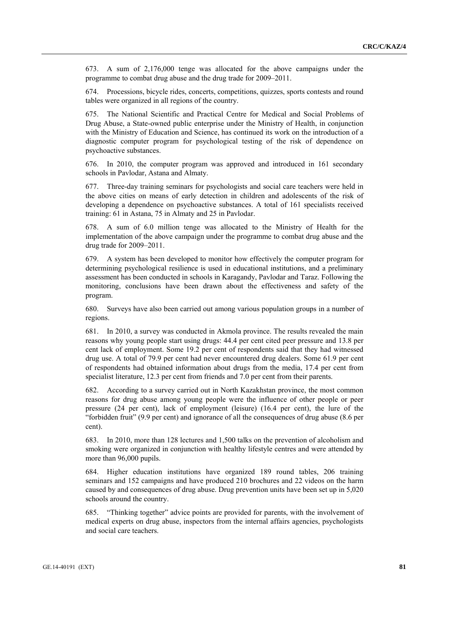673. A sum of 2,176,000 tenge was allocated for the above campaigns under the programme to combat drug abuse and the drug trade for 2009–2011.

674. Processions, bicycle rides, concerts, competitions, quizzes, sports contests and round tables were organized in all regions of the country.

675. The National Scientific and Practical Centre for Medical and Social Problems of Drug Abuse, a State-owned public enterprise under the Ministry of Health, in conjunction with the Ministry of Education and Science, has continued its work on the introduction of a diagnostic computer program for psychological testing of the risk of dependence on psychoactive substances.

676. In 2010, the computer program was approved and introduced in 161 secondary schools in Pavlodar, Astana and Almaty.

677. Three-day training seminars for psychologists and social care teachers were held in the above cities on means of early detection in children and adolescents of the risk of developing a dependence on psychoactive substances. A total of 161 specialists received training: 61 in Astana, 75 in Almaty and 25 in Pavlodar.

678. A sum of 6.0 million tenge was allocated to the Ministry of Health for the implementation of the above campaign under the programme to combat drug abuse and the drug trade for 2009–2011.

679. A system has been developed to monitor how effectively the computer program for determining psychological resilience is used in educational institutions, and a preliminary assessment has been conducted in schools in Karagandy, Pavlodar and Taraz. Following the monitoring, conclusions have been drawn about the effectiveness and safety of the program.

680. Surveys have also been carried out among various population groups in a number of regions.

681. In 2010, a survey was conducted in Akmola province. The results revealed the main reasons why young people start using drugs: 44.4 per cent cited peer pressure and 13.8 per cent lack of employment. Some 19.2 per cent of respondents said that they had witnessed drug use. A total of 79.9 per cent had never encountered drug dealers. Some 61.9 per cent of respondents had obtained information about drugs from the media, 17.4 per cent from specialist literature, 12.3 per cent from friends and 7.0 per cent from their parents.

682. According to a survey carried out in North Kazakhstan province, the most common reasons for drug abuse among young people were the influence of other people or peer pressure (24 per cent), lack of employment (leisure) (16.4 per cent), the lure of the "forbidden fruit" (9.9 per cent) and ignorance of all the consequences of drug abuse (8.6 per cent).

683. In 2010, more than 128 lectures and 1,500 talks on the prevention of alcoholism and smoking were organized in conjunction with healthy lifestyle centres and were attended by more than 96,000 pupils.

684. Higher education institutions have organized 189 round tables, 206 training seminars and 152 campaigns and have produced 210 brochures and 22 videos on the harm caused by and consequences of drug abuse. Drug prevention units have been set up in 5,020 schools around the country.

685. "Thinking together" advice points are provided for parents, with the involvement of medical experts on drug abuse, inspectors from the internal affairs agencies, psychologists and social care teachers.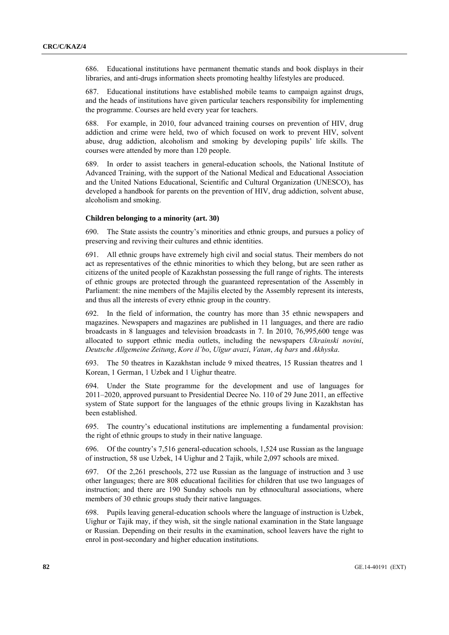686. Educational institutions have permanent thematic stands and book displays in their libraries, and anti-drugs information sheets promoting healthy lifestyles are produced.

687. Educational institutions have established mobile teams to campaign against drugs, and the heads of institutions have given particular teachers responsibility for implementing the programme. Courses are held every year for teachers.

688. For example, in 2010, four advanced training courses on prevention of HIV, drug addiction and crime were held, two of which focused on work to prevent HIV, solvent abuse, drug addiction, alcoholism and smoking by developing pupils' life skills. The courses were attended by more than 120 people.

689. In order to assist teachers in general-education schools, the National Institute of Advanced Training, with the support of the National Medical and Educational Association and the United Nations Educational, Scientific and Cultural Organization (UNESCO), has developed a handbook for parents on the prevention of HIV, drug addiction, solvent abuse, alcoholism and smoking.

## **Children belonging to a minority (art. 30)**

690. The State assists the country's minorities and ethnic groups, and pursues a policy of preserving and reviving their cultures and ethnic identities.

691. All ethnic groups have extremely high civil and social status. Their members do not act as representatives of the ethnic minorities to which they belong, but are seen rather as citizens of the united people of Kazakhstan possessing the full range of rights. The interests of ethnic groups are protected through the guaranteed representation of the Assembly in Parliament: the nine members of the Majilis elected by the Assembly represent its interests, and thus all the interests of every ethnic group in the country.

692. In the field of information, the country has more than 35 ethnic newspapers and magazines. Newspapers and magazines are published in 11 languages, and there are radio broadcasts in 8 languages and television broadcasts in 7. In 2010, 76,995,600 tenge was allocated to support ethnic media outlets, including the newspapers *Ukrainski novini*, *Deutsche Allgemeine Zeitung*, *Kore il'bo*, *Uĭgur avazi*, *Vatan*, *Aq bars* and *Akhyska*.

693. The 50 theatres in Kazakhstan include 9 mixed theatres, 15 Russian theatres and 1 Korean, 1 German, 1 Uzbek and 1 Uighur theatre.

694. Under the State programme for the development and use of languages for 2011–2020, approved pursuant to Presidential Decree No. 110 of 29 June 2011, an effective system of State support for the languages of the ethnic groups living in Kazakhstan has been established.

695. The country's educational institutions are implementing a fundamental provision: the right of ethnic groups to study in their native language.

696. Of the country's 7,516 general-education schools, 1,524 use Russian as the language of instruction, 58 use Uzbek, 14 Uighur and 2 Tajik, while 2,097 schools are mixed.

697. Of the 2,261 preschools, 272 use Russian as the language of instruction and 3 use other languages; there are 808 educational facilities for children that use two languages of instruction; and there are 190 Sunday schools run by ethnocultural associations, where members of 30 ethnic groups study their native languages.

698. Pupils leaving general-education schools where the language of instruction is Uzbek, Uighur or Tajik may, if they wish, sit the single national examination in the State language or Russian. Depending on their results in the examination, school leavers have the right to enrol in post-secondary and higher education institutions.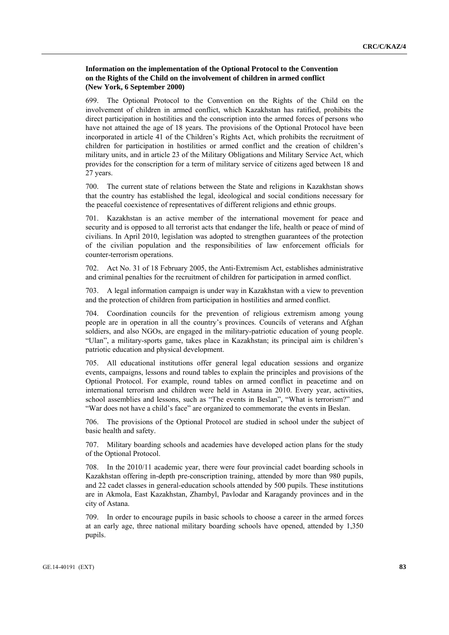## **Information on the implementation of the Optional Protocol to the Convention on the Rights of the Child on the involvement of children in armed conflict (New York, 6 September 2000)**

699. The Optional Protocol to the Convention on the Rights of the Child on the involvement of children in armed conflict, which Kazakhstan has ratified, prohibits the direct participation in hostilities and the conscription into the armed forces of persons who have not attained the age of 18 years. The provisions of the Optional Protocol have been incorporated in article 41 of the Children's Rights Act, which prohibits the recruitment of children for participation in hostilities or armed conflict and the creation of children's military units, and in article 23 of the Military Obligations and Military Service Act, which provides for the conscription for a term of military service of citizens aged between 18 and 27 years.

700. The current state of relations between the State and religions in Kazakhstan shows that the country has established the legal, ideological and social conditions necessary for the peaceful coexistence of representatives of different religions and ethnic groups.

701. Kazakhstan is an active member of the international movement for peace and security and is opposed to all terrorist acts that endanger the life, health or peace of mind of civilians. In April 2010, legislation was adopted to strengthen guarantees of the protection of the civilian population and the responsibilities of law enforcement officials for counter-terrorism operations.

702. Act No. 31 of 18 February 2005, the Anti-Extremism Act, establishes administrative and criminal penalties for the recruitment of children for participation in armed conflict.

703. A legal information campaign is under way in Kazakhstan with a view to prevention and the protection of children from participation in hostilities and armed conflict.

704. Coordination councils for the prevention of religious extremism among young people are in operation in all the country's provinces. Councils of veterans and Afghan soldiers, and also NGOs, are engaged in the military-patriotic education of young people. "Ulan", a military-sports game, takes place in Kazakhstan; its principal aim is children's patriotic education and physical development.

705. All educational institutions offer general legal education sessions and organize events, campaigns, lessons and round tables to explain the principles and provisions of the Optional Protocol. For example, round tables on armed conflict in peacetime and on international terrorism and children were held in Astana in 2010. Every year, activities, school assemblies and lessons, such as "The events in Beslan", "What is terrorism?" and "War does not have a child's face" are organized to commemorate the events in Beslan.

706. The provisions of the Optional Protocol are studied in school under the subject of basic health and safety.

707. Military boarding schools and academies have developed action plans for the study of the Optional Protocol.

708. In the 2010/11 academic year, there were four provincial cadet boarding schools in Kazakhstan offering in-depth pre-conscription training, attended by more than 980 pupils, and 22 cadet classes in general-education schools attended by 500 pupils. These institutions are in Akmola, East Kazakhstan, Zhambyl, Pavlodar and Karagandy provinces and in the city of Astana.

709. In order to encourage pupils in basic schools to choose a career in the armed forces at an early age, three national military boarding schools have opened, attended by 1,350 pupils.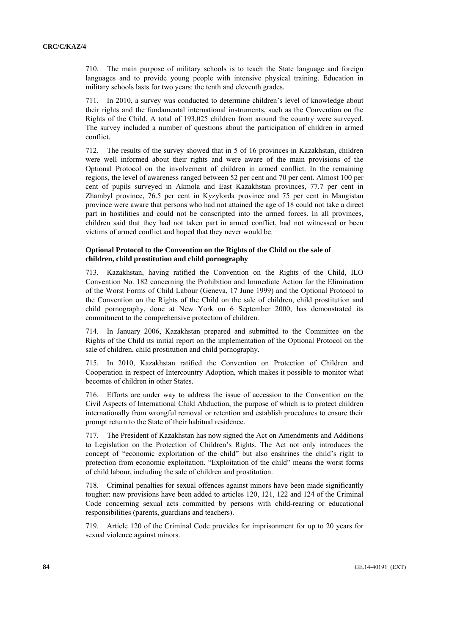710. The main purpose of military schools is to teach the State language and foreign languages and to provide young people with intensive physical training. Education in military schools lasts for two years: the tenth and eleventh grades.

711. In 2010, a survey was conducted to determine children's level of knowledge about their rights and the fundamental international instruments, such as the Convention on the Rights of the Child. A total of 193,025 children from around the country were surveyed. The survey included a number of questions about the participation of children in armed conflict.

712. The results of the survey showed that in 5 of 16 provinces in Kazakhstan, children were well informed about their rights and were aware of the main provisions of the Optional Protocol on the involvement of children in armed conflict. In the remaining regions, the level of awareness ranged between 52 per cent and 70 per cent. Almost 100 per cent of pupils surveyed in Akmola and East Kazakhstan provinces, 77.7 per cent in Zhambyl province, 76.5 per cent in Kyzylorda province and 75 per cent in Mangistau province were aware that persons who had not attained the age of 18 could not take a direct part in hostilities and could not be conscripted into the armed forces. In all provinces, children said that they had not taken part in armed conflict, had not witnessed or been victims of armed conflict and hoped that they never would be.

## **Optional Protocol to the Convention on the Rights of the Child on the sale of children, child prostitution and child pornography**

713. Kazakhstan, having ratified the Convention on the Rights of the Child, ILO Convention No. 182 concerning the Prohibition and Immediate Action for the Elimination of the Worst Forms of Child Labour (Geneva, 17 June 1999) and the Optional Protocol to the Convention on the Rights of the Child on the sale of children, child prostitution and child pornography, done at New York on 6 September 2000, has demonstrated its commitment to the comprehensive protection of children.

714. In January 2006, Kazakhstan prepared and submitted to the Committee on the Rights of the Child its initial report on the implementation of the Optional Protocol on the sale of children, child prostitution and child pornography.

715. In 2010, Kazakhstan ratified the Convention on Protection of Children and Cooperation in respect of Intercountry Adoption, which makes it possible to monitor what becomes of children in other States.

716. Efforts are under way to address the issue of accession to the Convention on the Civil Aspects of International Child Abduction, the purpose of which is to protect children internationally from wrongful removal or retention and establish procedures to ensure their prompt return to the State of their habitual residence.

717. The President of Kazakhstan has now signed the Act on Amendments and Additions to Legislation on the Protection of Children's Rights. The Act not only introduces the concept of "economic exploitation of the child" but also enshrines the child's right to protection from economic exploitation. "Exploitation of the child" means the worst forms of child labour, including the sale of children and prostitution.

718. Criminal penalties for sexual offences against minors have been made significantly tougher: new provisions have been added to articles 120, 121, 122 and 124 of the Criminal Code concerning sexual acts committed by persons with child-rearing or educational responsibilities (parents, guardians and teachers).

719. Article 120 of the Criminal Code provides for imprisonment for up to 20 years for sexual violence against minors.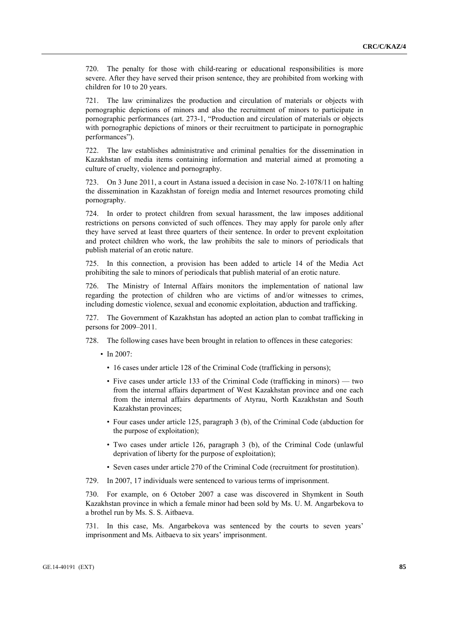720. The penalty for those with child-rearing or educational responsibilities is more severe. After they have served their prison sentence, they are prohibited from working with children for 10 to 20 years.

721. The law criminalizes the production and circulation of materials or objects with pornographic depictions of minors and also the recruitment of minors to participate in pornographic performances (art. 273-1, "Production and circulation of materials or objects with pornographic depictions of minors or their recruitment to participate in pornographic performances").

722. The law establishes administrative and criminal penalties for the dissemination in Kazakhstan of media items containing information and material aimed at promoting a culture of cruelty, violence and pornography.

723. On 3 June 2011, a court in Astana issued a decision in case No. 2-1078/11 on halting the dissemination in Kazakhstan of foreign media and Internet resources promoting child pornography.

724. In order to protect children from sexual harassment, the law imposes additional restrictions on persons convicted of such offences. They may apply for parole only after they have served at least three quarters of their sentence. In order to prevent exploitation and protect children who work, the law prohibits the sale to minors of periodicals that publish material of an erotic nature.

725. In this connection, a provision has been added to article 14 of the Media Act prohibiting the sale to minors of periodicals that publish material of an erotic nature.

726. The Ministry of Internal Affairs monitors the implementation of national law regarding the protection of children who are victims of and/or witnesses to crimes, including domestic violence, sexual and economic exploitation, abduction and trafficking.

727. The Government of Kazakhstan has adopted an action plan to combat trafficking in persons for 2009–2011.

- 728. The following cases have been brought in relation to offences in these categories:
	- In 2007:
		- 16 cases under article 128 of the Criminal Code (trafficking in persons);
		- Five cases under article 133 of the Criminal Code (trafficking in minors) two from the internal affairs department of West Kazakhstan province and one each from the internal affairs departments of Atyrau, North Kazakhstan and South Kazakhstan provinces;
		- Four cases under article 125, paragraph 3 (b), of the Criminal Code (abduction for the purpose of exploitation);
		- Two cases under article 126, paragraph 3 (b), of the Criminal Code (unlawful deprivation of liberty for the purpose of exploitation);
		- Seven cases under article 270 of the Criminal Code (recruitment for prostitution).
- 729. In 2007, 17 individuals were sentenced to various terms of imprisonment.

730. For example, on 6 October 2007 a case was discovered in Shymkent in South Kazakhstan province in which a female minor had been sold by Ms. U. M. Angarbekova to a brothel run by Ms. S. S. Aitbaeva.

731. In this case, Ms. Angarbekova was sentenced by the courts to seven years' imprisonment and Ms. Aitbaeva to six years' imprisonment.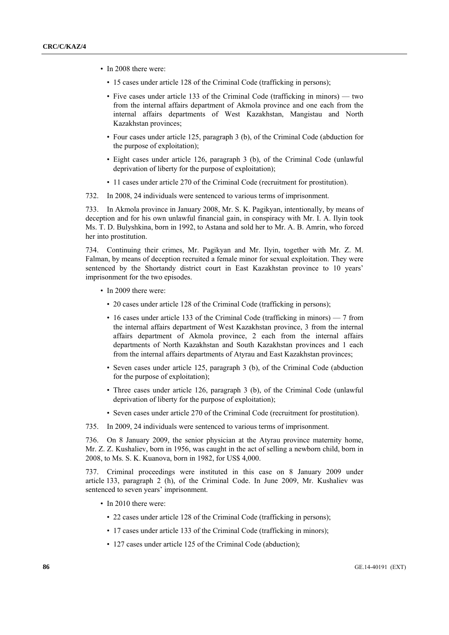- In 2008 there were:
	- 15 cases under article 128 of the Criminal Code (trafficking in persons);
	- Five cases under article 133 of the Criminal Code (trafficking in minors) two from the internal affairs department of Akmola province and one each from the internal affairs departments of West Kazakhstan, Mangistau and North Kazakhstan provinces;
	- Four cases under article 125, paragraph 3 (b), of the Criminal Code (abduction for the purpose of exploitation);
	- Eight cases under article 126, paragraph 3 (b), of the Criminal Code (unlawful deprivation of liberty for the purpose of exploitation);
	- 11 cases under article 270 of the Criminal Code (recruitment for prostitution).
- 732. In 2008, 24 individuals were sentenced to various terms of imprisonment.

733. In Akmola province in January 2008, Mr. S. K. Pagikyan, intentionally, by means of deception and for his own unlawful financial gain, in conspiracy with Mr. I. A. Ilyin took Ms. T. D. Bulyshkina, born in 1992, to Astana and sold her to Mr. A. B. Amrin, who forced her into prostitution.

734. Continuing their crimes, Mr. Pagikyan and Mr. Ilyin, together with Mr. Z. M. Falman, by means of deception recruited a female minor for sexual exploitation. They were sentenced by the Shortandy district court in East Kazakhstan province to 10 years' imprisonment for the two episodes.

- In 2009 there were:
	- 20 cases under article 128 of the Criminal Code (trafficking in persons);
	- 16 cases under article 133 of the Criminal Code (trafficking in minors) 7 from the internal affairs department of West Kazakhstan province, 3 from the internal affairs department of Akmola province, 2 each from the internal affairs departments of North Kazakhstan and South Kazakhstan provinces and 1 each from the internal affairs departments of Atyrau and East Kazakhstan provinces;
	- Seven cases under article 125, paragraph 3 (b), of the Criminal Code (abduction for the purpose of exploitation);
	- Three cases under article 126, paragraph 3 (b), of the Criminal Code (unlawful deprivation of liberty for the purpose of exploitation);
	- Seven cases under article 270 of the Criminal Code (recruitment for prostitution).

735. In 2009, 24 individuals were sentenced to various terms of imprisonment.

736. On 8 January 2009, the senior physician at the Atyrau province maternity home, Mr. Z. Z. Kushaliev, born in 1956, was caught in the act of selling a newborn child, born in 2008, to Ms. S. K. Kuanova, born in 1982, for US\$ 4,000.

737. Criminal proceedings were instituted in this case on 8 January 2009 under article 133, paragraph 2 (h), of the Criminal Code. In June 2009, Mr. Kushaliev was sentenced to seven years' imprisonment.

- In 2010 there were:
	- 22 cases under article 128 of the Criminal Code (trafficking in persons);
	- 17 cases under article 133 of the Criminal Code (trafficking in minors);
	- 127 cases under article 125 of the Criminal Code (abduction);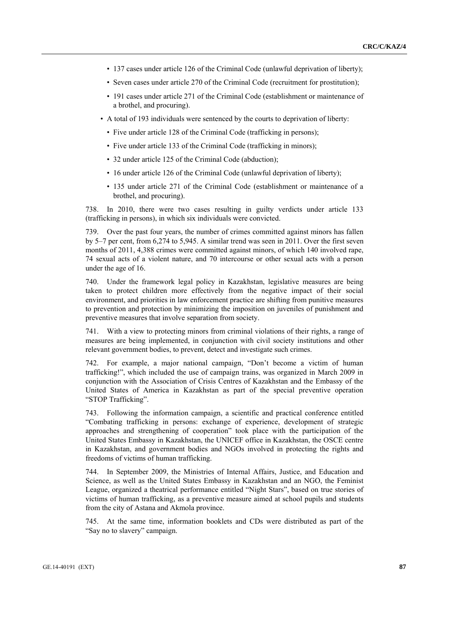- 137 cases under article 126 of the Criminal Code (unlawful deprivation of liberty);
- Seven cases under article 270 of the Criminal Code (recruitment for prostitution);
- 191 cases under article 271 of the Criminal Code (establishment or maintenance of a brothel, and procuring).
- A total of 193 individuals were sentenced by the courts to deprivation of liberty:
	- Five under article 128 of the Criminal Code (trafficking in persons);
	- Five under article 133 of the Criminal Code (trafficking in minors);
	- 32 under article 125 of the Criminal Code (abduction);
	- 16 under article 126 of the Criminal Code (unlawful deprivation of liberty);
	- 135 under article 271 of the Criminal Code (establishment or maintenance of a brothel, and procuring).

738. In 2010, there were two cases resulting in guilty verdicts under article 133 (trafficking in persons), in which six individuals were convicted.

739. Over the past four years, the number of crimes committed against minors has fallen by 5–7 per cent, from 6,274 to 5,945. A similar trend was seen in 2011. Over the first seven months of 2011, 4,388 crimes were committed against minors, of which 140 involved rape, 74 sexual acts of a violent nature, and 70 intercourse or other sexual acts with a person under the age of 16.

740. Under the framework legal policy in Kazakhstan, legislative measures are being taken to protect children more effectively from the negative impact of their social environment, and priorities in law enforcement practice are shifting from punitive measures to prevention and protection by minimizing the imposition on juveniles of punishment and preventive measures that involve separation from society.

741. With a view to protecting minors from criminal violations of their rights, a range of measures are being implemented, in conjunction with civil society institutions and other relevant government bodies, to prevent, detect and investigate such crimes.

742. For example, a major national campaign, "Don't become a victim of human trafficking!", which included the use of campaign trains, was organized in March 2009 in conjunction with the Association of Crisis Centres of Kazakhstan and the Embassy of the United States of America in Kazakhstan as part of the special preventive operation "STOP Trafficking".

743. Following the information campaign, a scientific and practical conference entitled "Combating trafficking in persons: exchange of experience, development of strategic approaches and strengthening of cooperation" took place with the participation of the United States Embassy in Kazakhstan, the UNICEF office in Kazakhstan, the OSCE centre in Kazakhstan, and government bodies and NGOs involved in protecting the rights and freedoms of victims of human trafficking.

744. In September 2009, the Ministries of Internal Affairs, Justice, and Education and Science, as well as the United States Embassy in Kazakhstan and an NGO, the Feminist League, organized a theatrical performance entitled "Night Stars", based on true stories of victims of human trafficking, as a preventive measure aimed at school pupils and students from the city of Astana and Akmola province.

745. At the same time, information booklets and CDs were distributed as part of the "Say no to slavery" campaign.